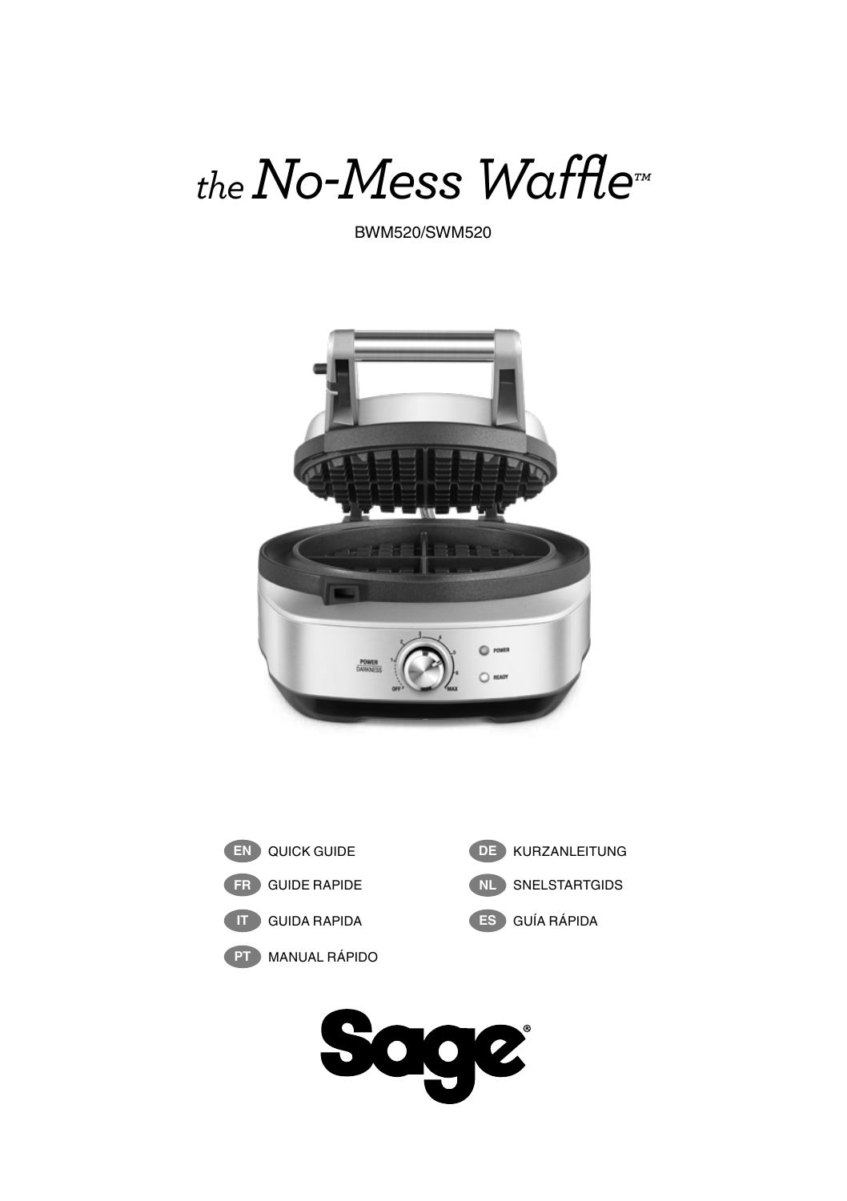*the No-Mess Waffle™*

BWM520/SWM520





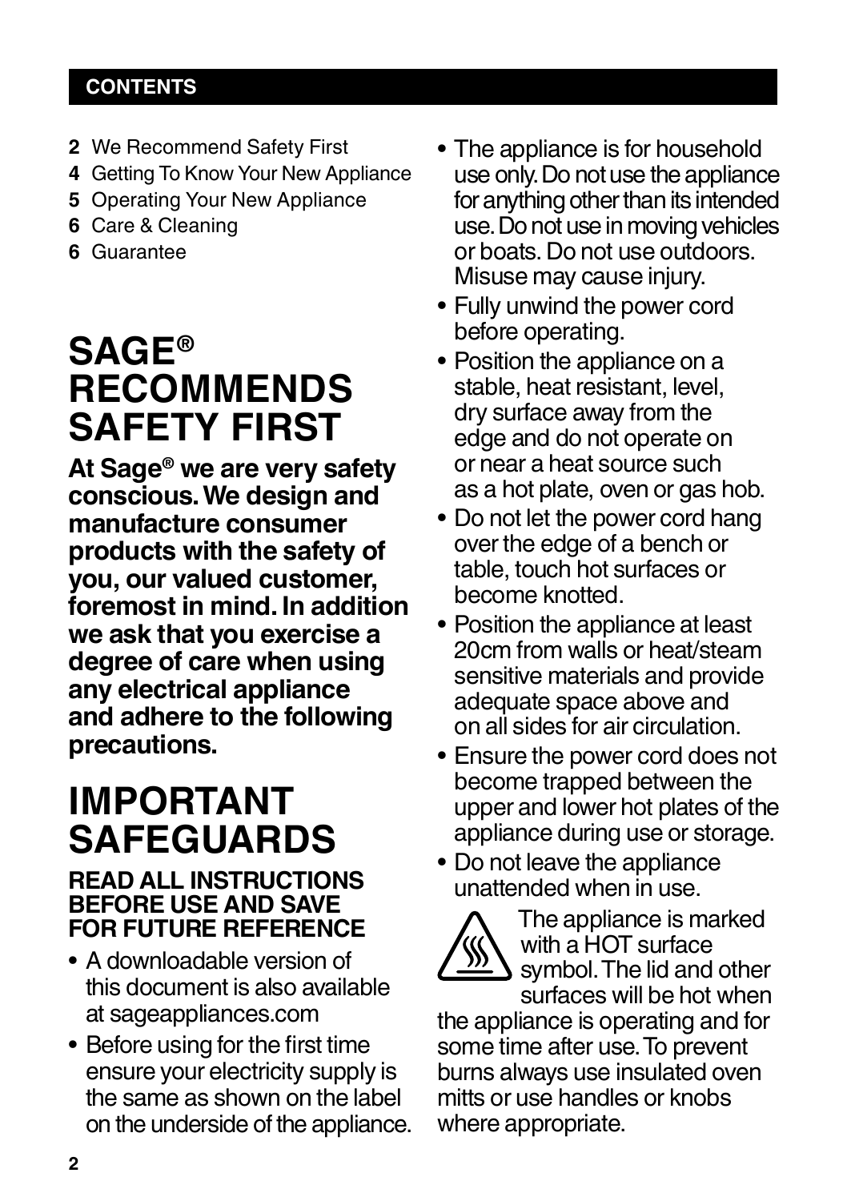## **CONTENTS**

- **2** We Recommend Safety First
- **4** Getting To Know Your New Appliance
- **5** Operating Your New Appliance
- **6** Care & Cleaning
- **6** Guarantee

## **SAGE® RECOMMENDS SAFETY FIRST**

**At Sage® we are very safety conscious. We design and manufacture consumer products with the safety of you, our valued customer, foremost in mind. In addition we ask that you exercise a degree of care when using any electrical appliance and adhere to the following precautions.**

## **IMPORTANT SAFEGUARDS**

## **READ ALL INSTRUCTIONS BEFORE USE AND SAVE FOR FUTURE REFERENCE**

- A downloadable version of this document is also available at sageappliances.com
- Before using for the first time ensure your electricity supply is the same as shown on the label on the underside of the appliance.
- The appliance is for household use only. Do not use the appliance for anything other than its intended use. Do not use in moving vehicles or boats. Do not use outdoors. Misuse may cause injury.
- Fully unwind the power cord before operating.
- Position the appliance on a stable, heat resistant, level, dry surface away from the edge and do not operate on or near a heat source such as a hot plate, oven or gas hob.
- Do not let the power cord hang over the edge of a bench or table, touch hot surfaces or become knotted.
- Position the appliance at least 20cm from walls or heat/steam sensitive materials and provide adequate space above and on all sides for air circulation.
- Ensure the power cord does not become trapped between the upper and lower hot plates of the appliance during use or storage.
- Do not leave the appliance unattended when in use.



The appliance is marked with a HOT surface symbol. The lid and other surfaces will be hot when

the appliance is operating and for some time after use. To prevent burns always use insulated oven mitts or use handles or knobs where appropriate.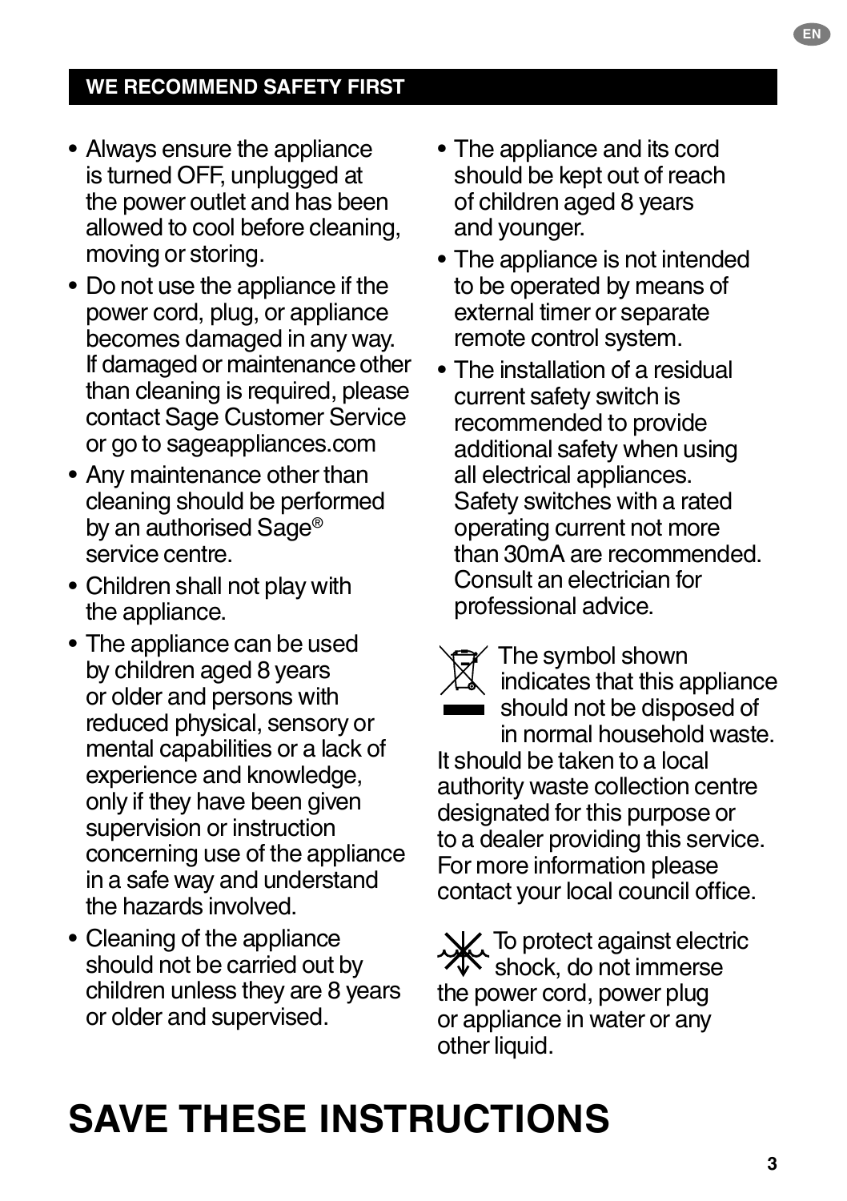- Always ensure the appliance is turned OFF, unplugged at the power outlet and has been allowed to cool before cleaning, moving or storing.
- Do not use the appliance if the power cord, plug, or appliance becomes damaged in any way. If damaged or maintenance other than cleaning is required, please contact Sage Customer Service or go to sageappliances.com
- Any maintenance other than cleaning should be performed by an authorised Sage® service centre.
- Children shall not play with the appliance.
- The appliance can be used by children aged 8 years or older and persons with reduced physical, sensory or mental capabilities or a lack of experience and knowledge, only if they have been given supervision or instruction concerning use of the appliance in a safe way and understand the hazards involved.
- Cleaning of the appliance should not be carried out by children unless they are 8 years or older and supervised.
- The appliance and its cord should be kept out of reach of children aged 8 years and younger.
- The appliance is not intended to be operated by means of external timer or separate remote control system.
- The installation of a residual current safety switch is recommended to provide additional safety when using all electrical appliances. Safety switches with a rated operating current not more than 30mA are recommended. Consult an electrician for professional advice.

The symbol shown indicates that this appliance should not be disposed of in normal household waste. It should be taken to a local authority waste collection centre designated for this purpose or to a dealer providing this service. For more information please contact your local council office.

**N**. To protect against electric **XIX** shock, do not immerse the power cord, power plug or appliance in water or any other liquid.

## **SAVE THESE INSTRUCTIONS**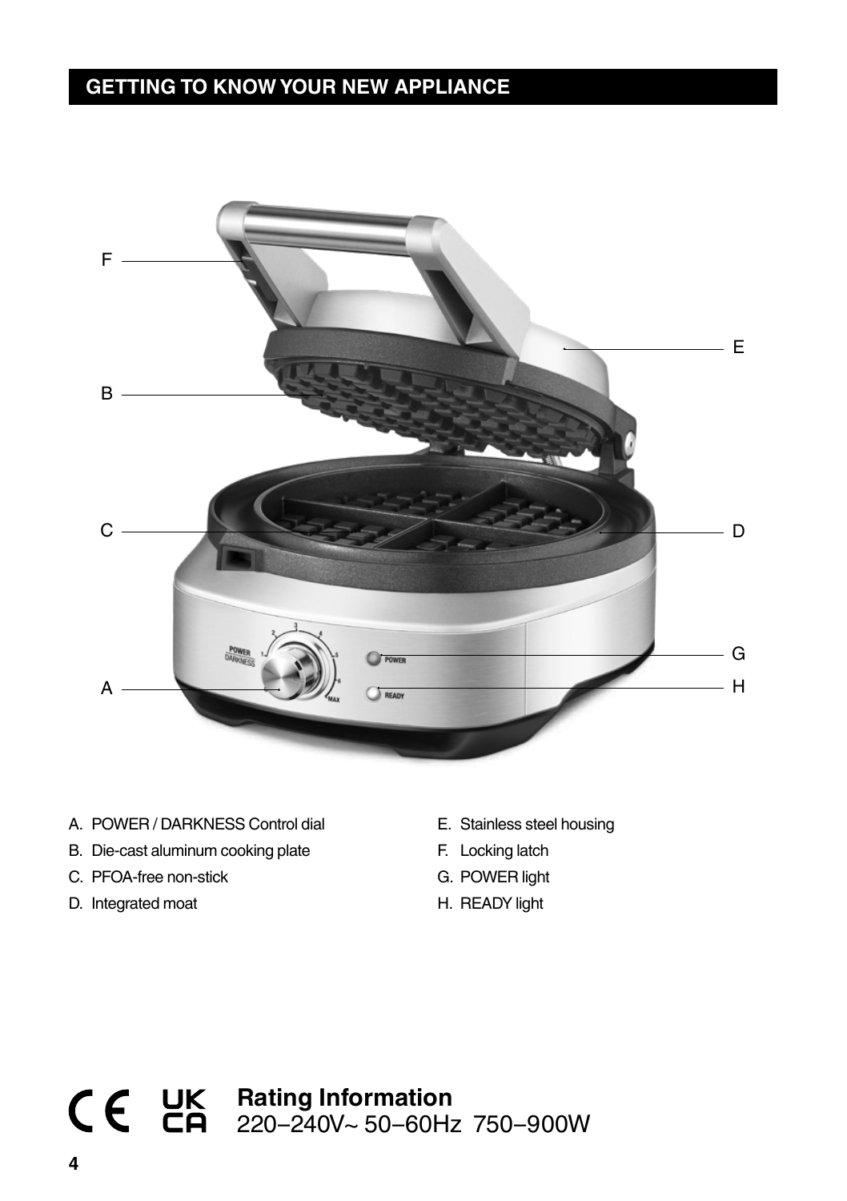## **GETTING TO KNOW YOUR NEW APPLIANCE**



- A. POWER / DARKNESS Control dial
- B. Die-cast aluminum cooking plate
- C. PFOA-free non-stick
- D. Integrated moat
- E. Stainless steel housing
- F. Locking latch
- G. POWER light
- H. READY light

## **Rating Information** 220–240V~ 50–60Hz 750–900W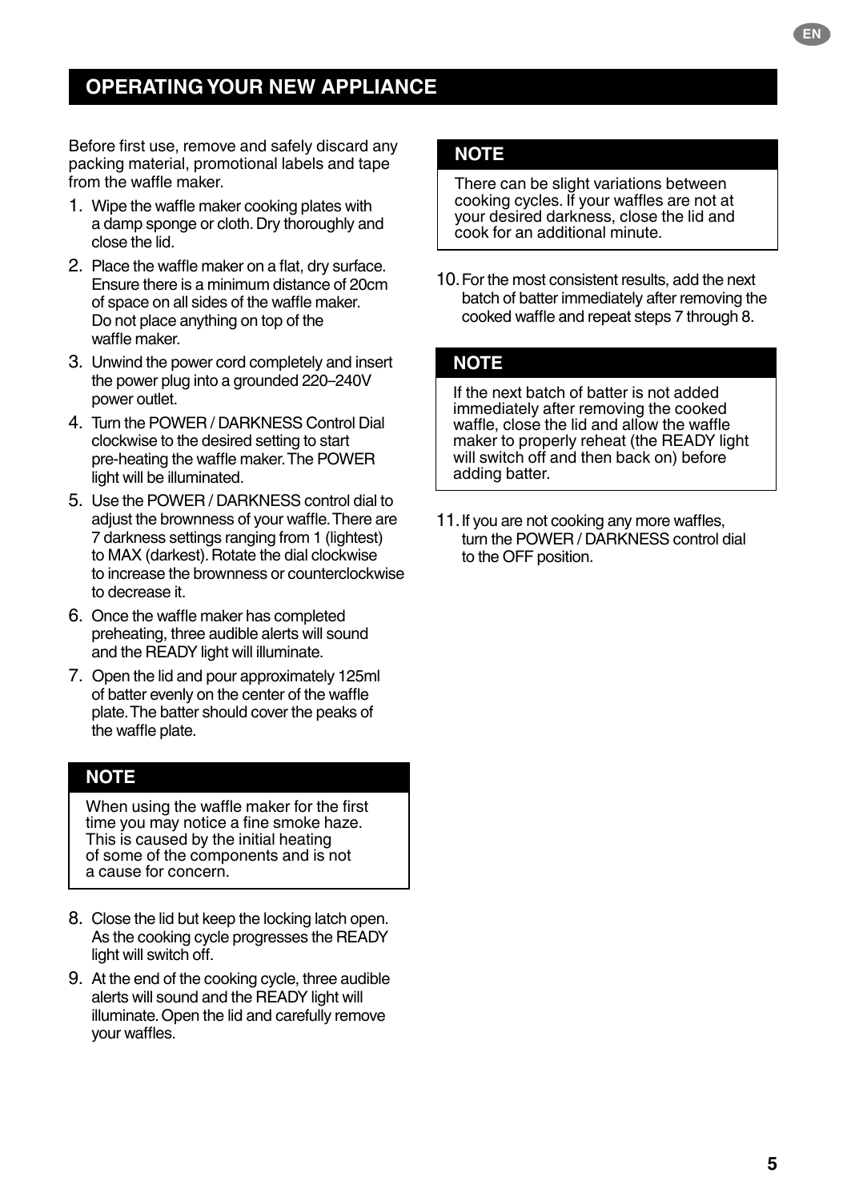## **OPERATING YOUR NEW APPLIANCE**

Before first use, remove and safely discard any packing material, promotional labels and tape from the waffle maker.

- 1. Wipe the waffle maker cooking plates with a damp sponge or cloth. Dry thoroughly and close the lid.
- 2. Place the waffle maker on a flat, dry surface. Ensure there is a minimum distance of 20cm of space on all sides of the waffle maker. Do not place anything on top of the waffle maker.
- 3. Unwind the power cord completely and insert the power plug into a grounded 220–240V power outlet.
- 4. Turn the POWER / DARKNESS Control Dial clockwise to the desired setting to start pre-heating the waffle maker. The POWER light will be illuminated.
- 5. Use the POWER / DARKNESS control dial to adjust the brownness of your waffle. There are 7 darkness settings ranging from 1 (lightest) to MAX (darkest). Rotate the dial clockwise to increase the brownness or counterclockwise to decrease it.
- 6. Once the waffle maker has completed preheating, three audible alerts will sound and the READY light will illuminate.
- 7. Open the lid and pour approximately 125ml of batter evenly on the center of the waffle plate. The batter should cover the peaks of the waffle plate.

### **NOTE**

When using the waffle maker for the first time you may notice a fine smoke haze. This is caused by the initial heating of some of the components and is not a cause for concern.

- 8. Close the lid but keep the locking latch open. As the cooking cycle progresses the READY light will switch off.
- 9. At the end of the cooking cycle, three audible alerts will sound and the READY light will illuminate. Open the lid and carefully remove your waffles.

### **NOTE**

There can be slight variations between cooking cycles. If your waffles are not at your desired darkness, close the lid and cook for an additional minute.

10.For the most consistent results, add the next batch of batter immediately after removing the cooked waffle and repeat steps 7 through 8.

### **NOTE**

If the next batch of batter is not added immediately after removing the cooked waffle, close the lid and allow the waffle maker to properly reheat (the READY light will switch off and then back on) before adding batter.

11.If you are not cooking any more waffles, turn the POWER / DARKNESS control dial to the OFF position.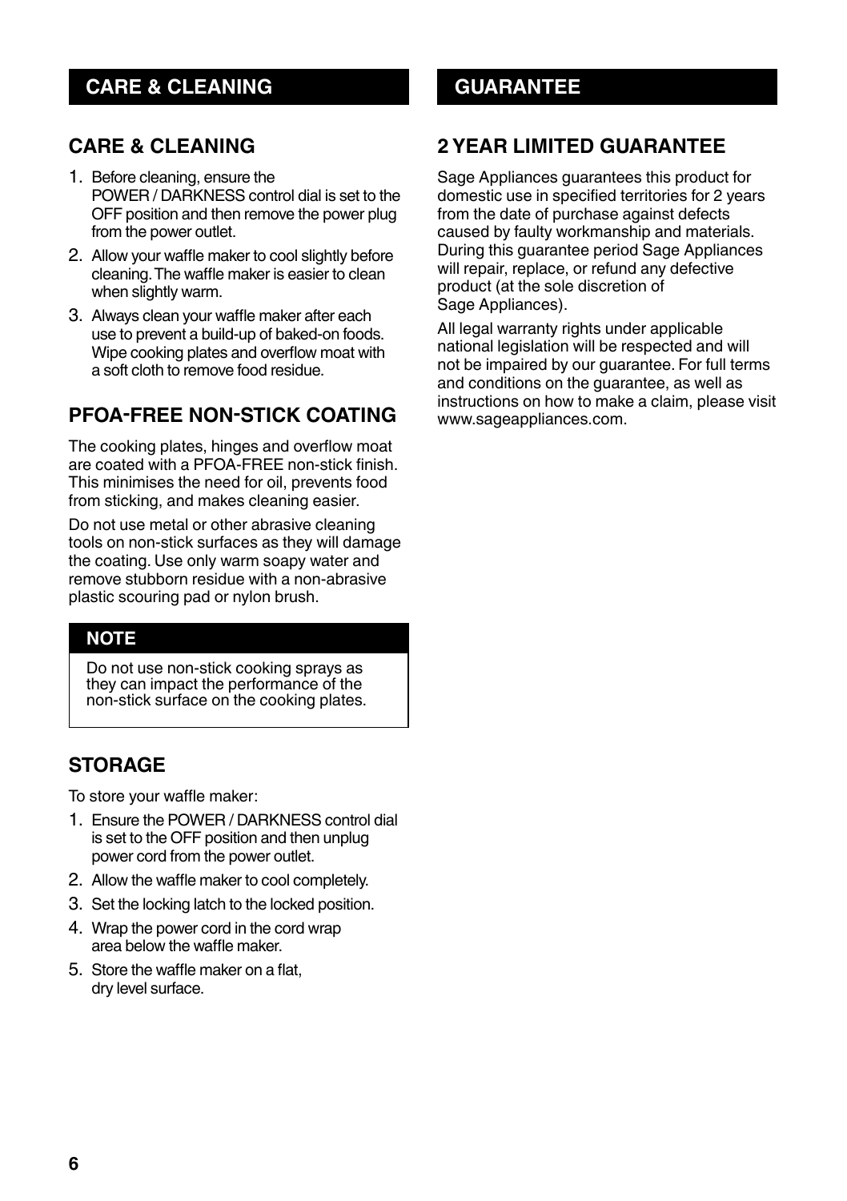## **CARE & CLEANING**

## **CARE & CLEANING**

- 1. Before cleaning, ensure the POWER / DARKNESS control dial is set to the OFF position and then remove the power plug from the power outlet.
- 2. Allow your waffle maker to cool slightly before cleaning. The waffle maker is easier to clean when slightly warm.
- 3. Always clean your waffle maker after each use to prevent a build-up of baked-on foods. Wipe cooking plates and overflow moat with a soft cloth to remove food residue.

## **PFOA-FREE NON-STICK COATING**

The cooking plates, hinges and overflow moat are coated with a PFOA-FREE non-stick finish. This minimises the need for oil, prevents food from sticking, and makes cleaning easier.

Do not use metal or other abrasive cleaning tools on non-stick surfaces as they will damage the coating. Use only warm soapy water and remove stubborn residue with a non-abrasive plastic scouring pad or nylon brush.

### **NOTE**

Do not use non-stick cooking sprays as they can impact the performance of the non-stick surface on the cooking plates.

## **STORAGE**

To store your waffle maker:

- 1. Ensure the POWER / DARKNESS control dial is set to the OFF position and then unplug power cord from the power outlet.
- 2. Allow the waffle maker to cool completely.
- 3. Set the locking latch to the locked position.
- 4. Wrap the power cord in the cord wrap area below the waffle maker.
- 5. Store the waffle maker on a flat, dry level surface.

## **GUARANTEE**

## **2 YEAR LIMITED GUARANTEE**

Sage Appliances guarantees this product for domestic use in specified territories for 2 years from the date of purchase against defects caused by faulty workmanship and materials. During this guarantee period Sage Appliances will repair, replace, or refund any defective product (at the sole discretion of Sage Appliances).

All legal warranty rights under applicable national legislation will be respected and will not be impaired by our guarantee. For full terms and conditions on the guarantee, as well as instructions on how to make a claim, please visit www.sageappliances.com.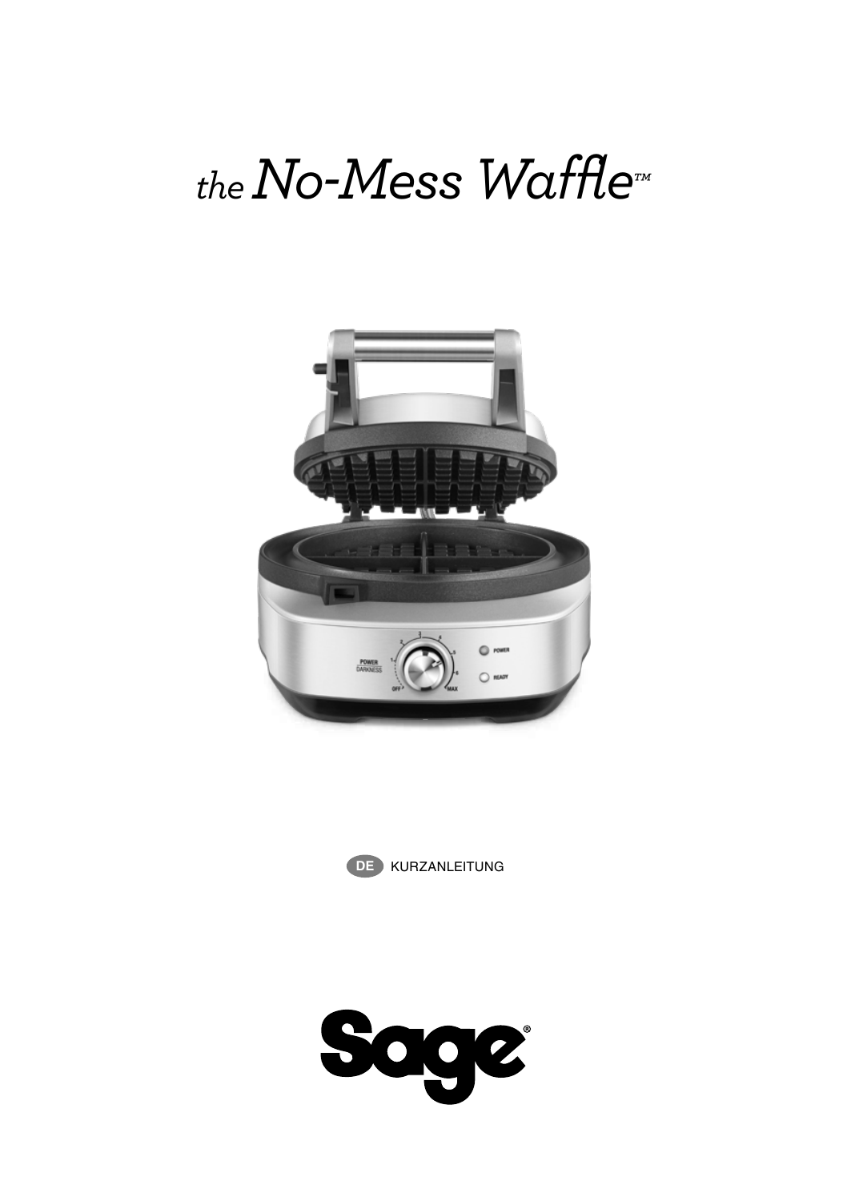# *the No-Mess Waffle™*





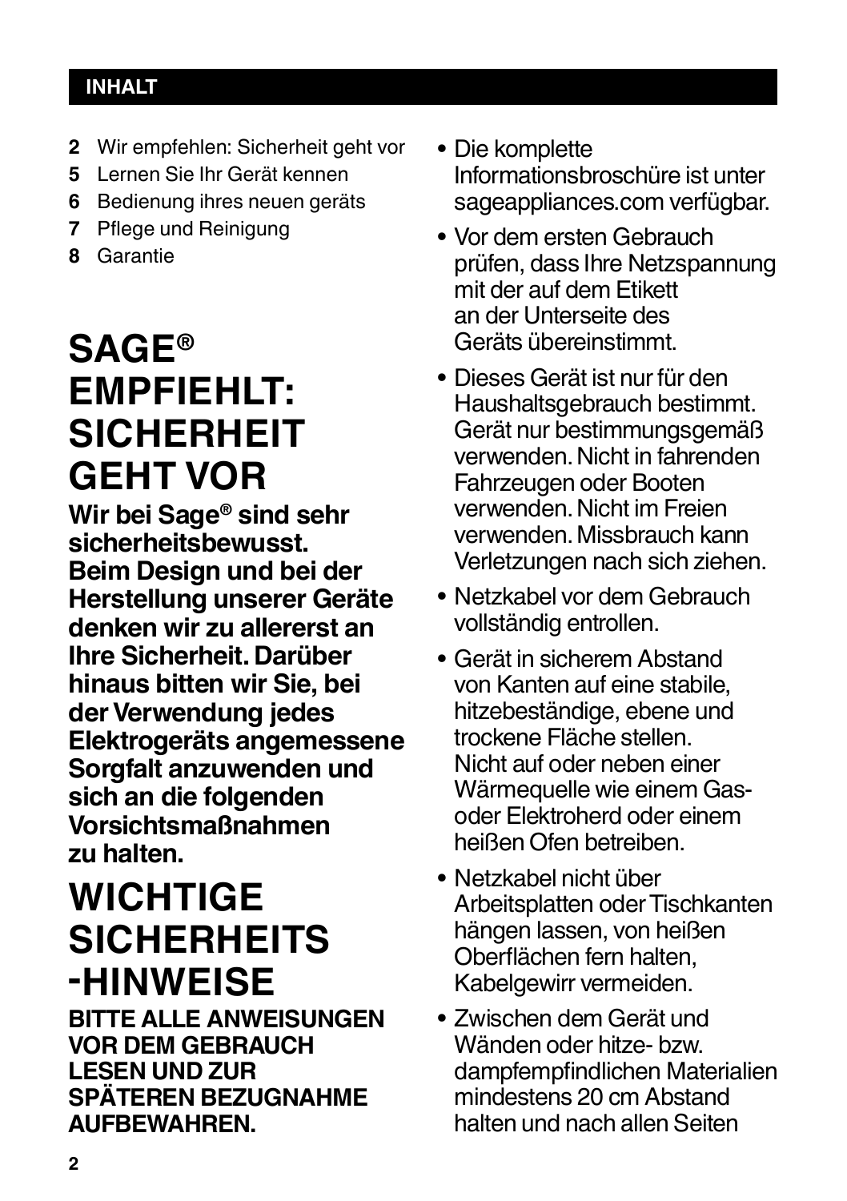## **INHALT**

- **2** Wir empfehlen: Sicherheit geht vor
- **5** Lernen Sie Ihr Gerät kennen
- **6** Bedienung ihres neuen geräts
- **7** Pflege und Reinigung
- **8** Garantie

## **SAGE® EMPFIEHLT: SICHERHEIT GEHT VOR**

**Wir bei Sage® sind sehr sicherheitsbewusst. Beim Design und bei der Herstellung unserer Geräte denken wir zu allererst an Ihre Sicherheit. Darüber hinaus bitten wir Sie, bei der Verwendung jedes Elektrogeräts angemessene Sorgfalt anzuwenden und sich an die folgenden Vorsichtsmaßnahmen zu halten.**

## **WICHTIGE SICHERHEITS -HINWEISE**

**BITTE ALLE ANWEISUNGEN VOR DEM GEBRAUCH LESEN UND ZUR SPÄTEREN BEZUGNAHME AUFBEWAHREN.**

- Die komplette Informationsbroschüre ist unter sageappliances.com verfügbar.
- Vor dem ersten Gebrauch prüfen, dass Ihre Netzspannung mit der auf dem Etikett an der Unterseite des Geräts übereinstimmt.
- Dieses Gerät ist nur für den Haushaltsgebrauch bestimmt. Gerät nur bestimmungsgemäß verwenden. Nicht in fahrenden Fahrzeugen oder Booten verwenden. Nicht im Freien verwenden. Missbrauch kann Verletzungen nach sich ziehen.
- Netzkabel vor dem Gebrauch vollständig entrollen.
- Gerät in sicherem Abstand von Kanten auf eine stabile, hitzebeständige, ebene und trockene Fläche stellen. Nicht auf oder neben einer Wärmequelle wie einem Gasoder Elektroherd oder einem heißen Ofen betreiben.
- Netzkabel nicht über Arbeitsplatten oder Tischkanten hängen lassen, von heißen Oberflächen fern halten, Kabelgewirr vermeiden.
- Zwischen dem Gerät und Wänden oder hitze- bzw. dampfempfindlichen Materialien mindestens 20 cm Abstand halten und nach allen Seiten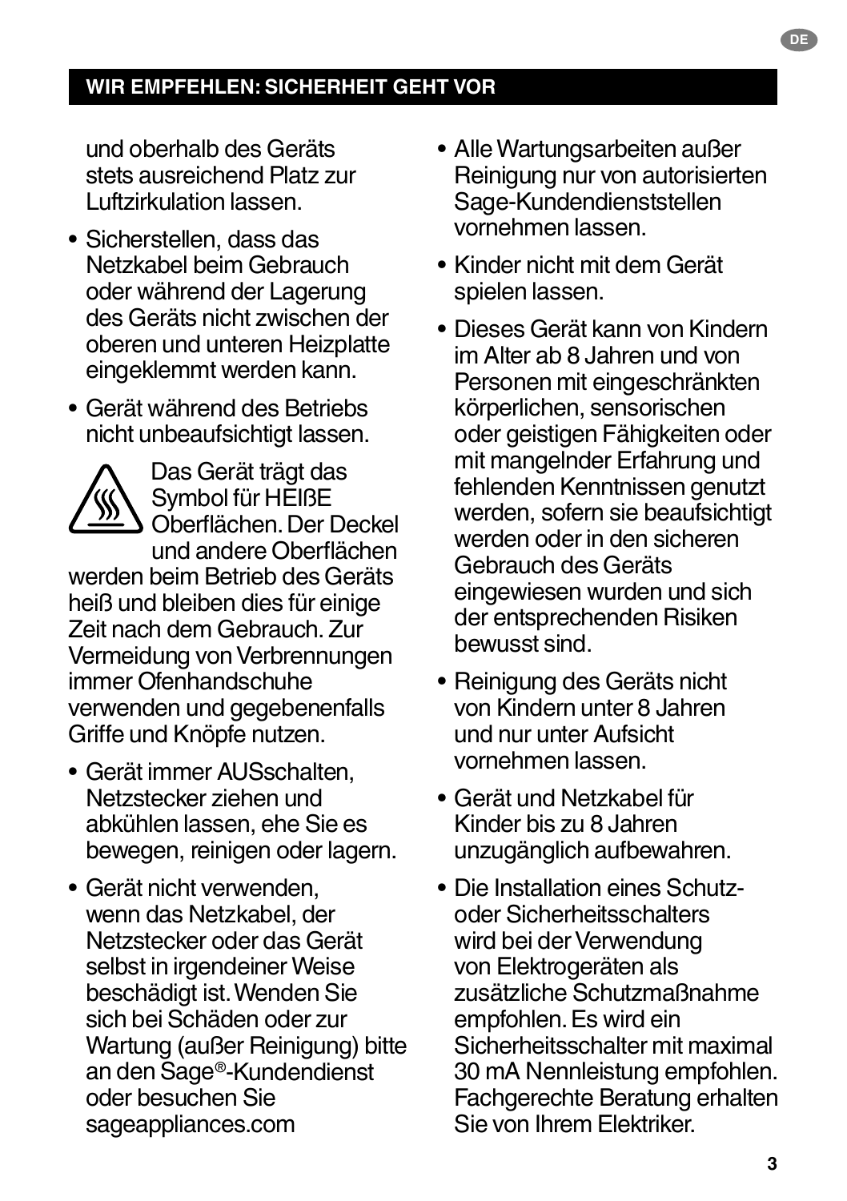## **WIR EMPFEHLEN: SICHERHEIT GEHT VOR**

und oberhalb des Geräts stets ausreichend Platz zur Luftzirkulation lassen.

- Sicherstellen, dass das Netzkabel beim Gebrauch oder während der Lagerung des Geräts nicht zwischen der oberen und unteren Heizplatte eingeklemmt werden kann.
- Gerät während des Betriebs nicht unbeaufsichtigt lassen.

Das Gerät trägt das Symbol für HEIßE Oberflächen. Der Deckel und andere Oberflächen werden beim Betrieb des Geräts heiß und bleiben dies für einige Zeit nach dem Gebrauch. Zur Vermeidung von Verbrennungen immer Ofenhandschuhe verwenden und gegebenenfalls Griffe und Knöpfe nutzen.

- Gerät immer AUSschalten, Netzstecker ziehen und abkühlen lassen, ehe Sie es bewegen, reinigen oder lagern.
- Gerät nicht verwenden, wenn das Netzkabel, der Netzstecker oder das Gerät selbst in irgendeiner Weise beschädigt ist. Wenden Sie sich bei Schäden oder zur Wartung (außer Reinigung) bitte an den Sage®-Kundendienst oder besuchen Sie sageappliances.com
- Alle Wartungsarbeiten außer Reinigung nur von autorisierten Sage-Kundendienststellen vornehmen lassen.
- Kinder nicht mit dem Gerät spielen lassen.
- Dieses Gerät kann von Kindern im Alter ab 8 Jahren und von Personen mit eingeschränkten körperlichen, sensorischen oder geistigen Fähigkeiten oder mit mangelnder Erfahrung und fehlenden Kenntnissen genutzt werden, sofern sie beaufsichtigt werden oder in den sicheren Gebrauch des Geräts eingewiesen wurden und sich der entsprechenden Risiken bewusst sind.
- Reinigung des Geräts nicht von Kindern unter 8 Jahren und nur unter Aufsicht vornehmen lassen.
- Gerät und Netzkabel für Kinder bis zu 8 Jahren unzugänglich aufbewahren.
- Die Installation eines Schutzoder Sicherheitsschalters wird bei der Verwendung von Elektrogeräten als zusätzliche Schutzmaßnahme empfohlen. Es wird ein Sicherheitsschalter mit maximal 30 mA Nennleistung empfohlen. Fachgerechte Beratung erhalten Sie von Ihrem Elektriker.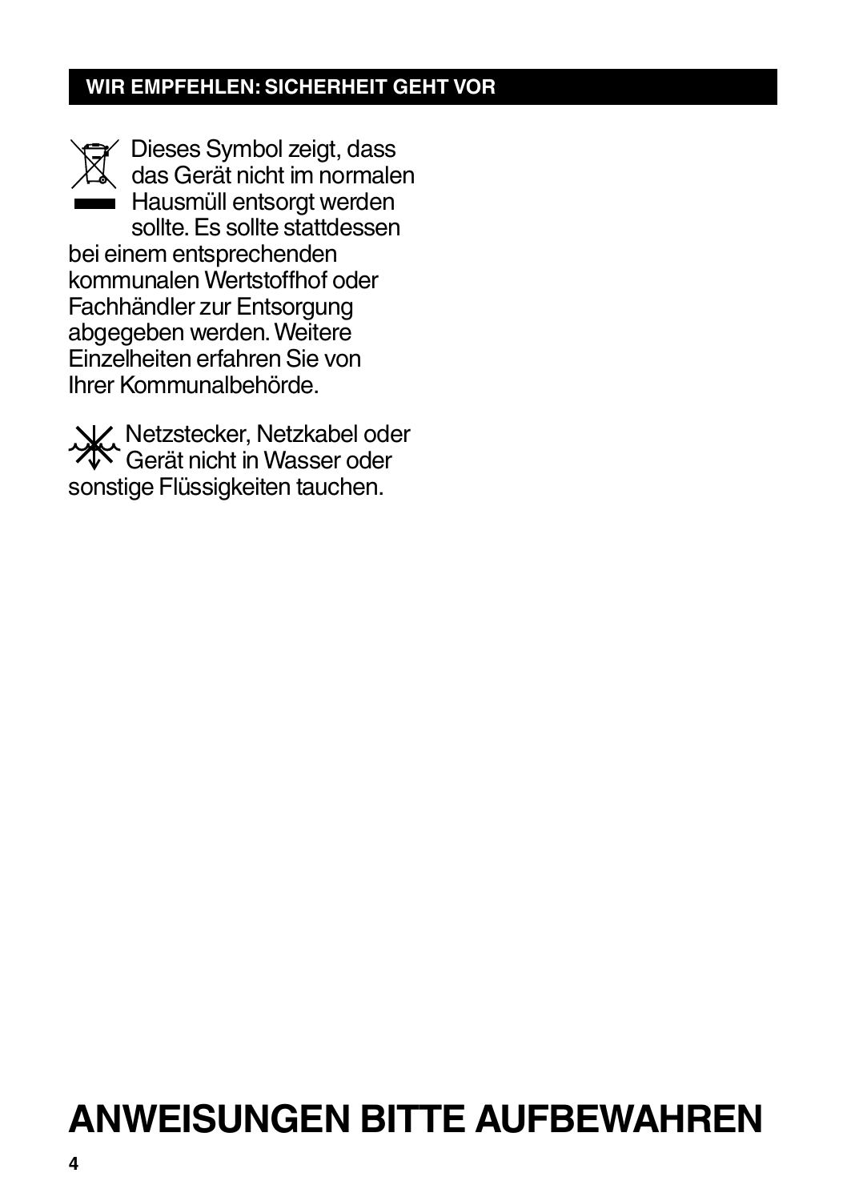## **WIR EMPFEHLEN: SICHERHEIT GEHT VOR**

Dieses Symbol zeigt, dass das Gerät nicht im normalen Hausmüll entsorgt werden sollte. Es sollte stattdessen bei einem entsprechenden kommunalen Wertstoffhof oder Fachhändler zur Entsorgung abgegeben werden. Weitere Einzelheiten erfahren Sie von Ihrer Kommunalbehörde.

Netzstecker, Netzkabel oder Gerät nicht in Wasser oder sonstige Flüssigkeiten tauchen.

## **ANWEISUNGEN BITTE AUFBEWAHREN**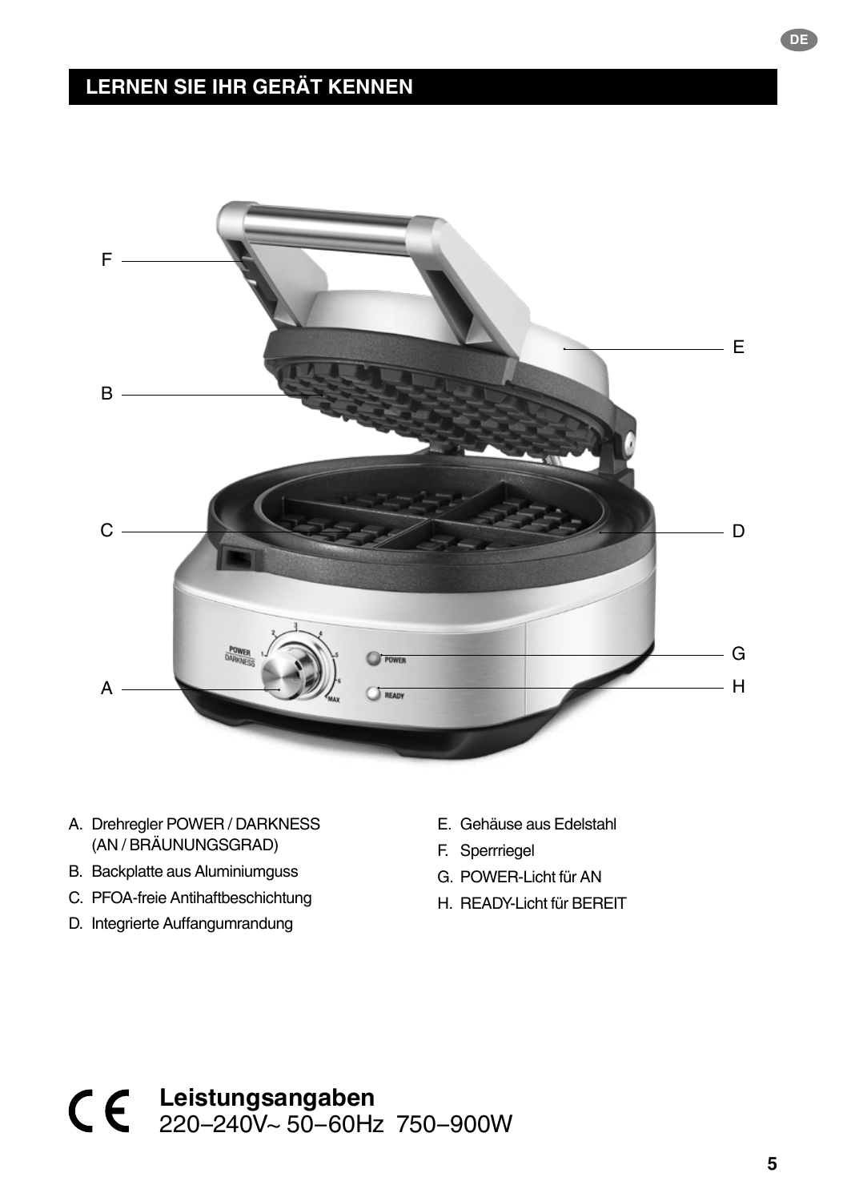## **LERNEN SIE IHR GERÄT KENNEN**



- A. Drehregler POWER / DARKNESS (AN / BRÄUNUNGSGRAD)
- B. Backplatte aus Aluminiumguss
- C. PFOA-freie Antihaftbeschichtung
- D. Integrierte Auffangumrandung
- E. Gehäuse aus Edelstahl
- F. Sperrriegel
- G. POWER-Licht für AN
- H. READY-Licht für BEREIT

**Leistungsangaben** 220–240V~ 50–60Hz 750–900W **DE**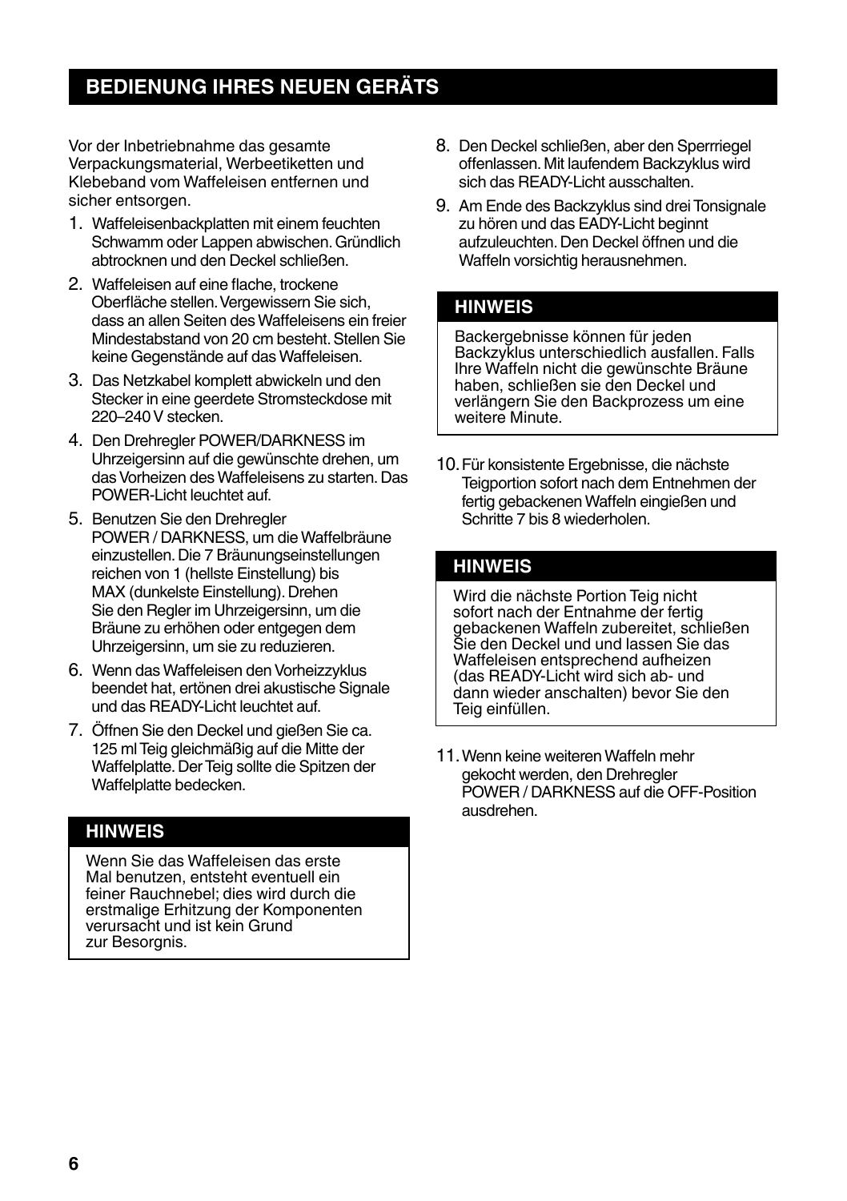## **BEDIENUNG IHRES NEUEN GERÄTS**

Vor der Inbetriebnahme das gesamte Verpackungsmaterial, Werbeetiketten und Klebeband vom Waffeleisen entfernen und sicher entsorgen.

- 1. Waffeleisenbackplatten mit einem feuchten Schwamm oder Lappen abwischen. Gründlich abtrocknen und den Deckel schließen.
- 2. Waffeleisen auf eine flache, trockene Oberfläche stellen. Vergewissern Sie sich, dass an allen Seiten des Waffeleisens ein freier Mindestabstand von 20 cm besteht. Stellen Sie keine Gegenstände auf das Waffeleisen.
- 3. Das Netzkabel komplett abwickeln und den Stecker in eine geerdete Stromsteckdose mit 220–240 V stecken.
- 4. Den Drehregler POWER/DARKNESS im Uhrzeigersinn auf die gewünschte drehen, um das Vorheizen des Waffeleisens zu starten. Das POWER-Licht leuchtet auf.
- 5. Benutzen Sie den Drehregler POWER / DARKNESS, um die Waffelbräune einzustellen. Die 7 Bräunungseinstellungen reichen von 1 (hellste Einstellung) bis MAX (dunkelste Einstellung). Drehen Sie den Regler im Uhrzeigersinn, um die Bräune zu erhöhen oder entgegen dem Uhrzeigersinn, um sie zu reduzieren.
- 6. Wenn das Waffeleisen den Vorheizzyklus beendet hat, ertönen drei akustische Signale und das READY-Licht leuchtet auf.
- 7. Öffnen Sie den Deckel und gießen Sie ca. 125 ml Teig gleichmäßig auf die Mitte der Waffelplatte. Der Teig sollte die Spitzen der Waffelplatte bedecken.

## **HINWEIS**

Wenn Sie das Waffeleisen das erste Mal benutzen, entsteht eventuell ein feiner Rauchnebel; dies wird durch die erstmalige Erhitzung der Komponenten verursacht und ist kein Grund zur Besoranis.

- 8. Den Deckel schließen, aber den Sperrriegel offenlassen. Mit laufendem Backzyklus wird sich das READY-Licht ausschalten.
- 9. Am Ende des Backzyklus sind drei Tonsignale zu hören und das EADY-Licht beginnt aufzuleuchten. Den Deckel öffnen und die Waffeln vorsichtig herausnehmen.

## **HINWEIS**

Backergebnisse können für jeden Backzyklus unterschiedlich ausfallen. Falls Ihre Waffeln nicht die gewünschte Bräune haben, schließen sie den Deckel und verlängern Sie den Backprozess um eine weitere Minute.

10.Für konsistente Ergebnisse, die nächste Teigportion sofort nach dem Entnehmen der fertig gebackenen Waffeln eingießen und Schritte 7 bis 8 wiederholen.

## **HINWEIS**

Wird die nächste Portion Teig nicht sofort nach der Entnahme der fertig gebackenen Waffeln zubereitet, schließen Sie den Deckel und und lassen Sie das Waffeleisen entsprechend aufheizen (das READY-Licht wird sich ab- und dann wieder anschalten) bevor Sie den Teig einfüllen.

11.Wenn keine weiteren Waffeln mehr gekocht werden, den Drehregler POWER / DARKNESS auf die OFF-Position ausdrehen.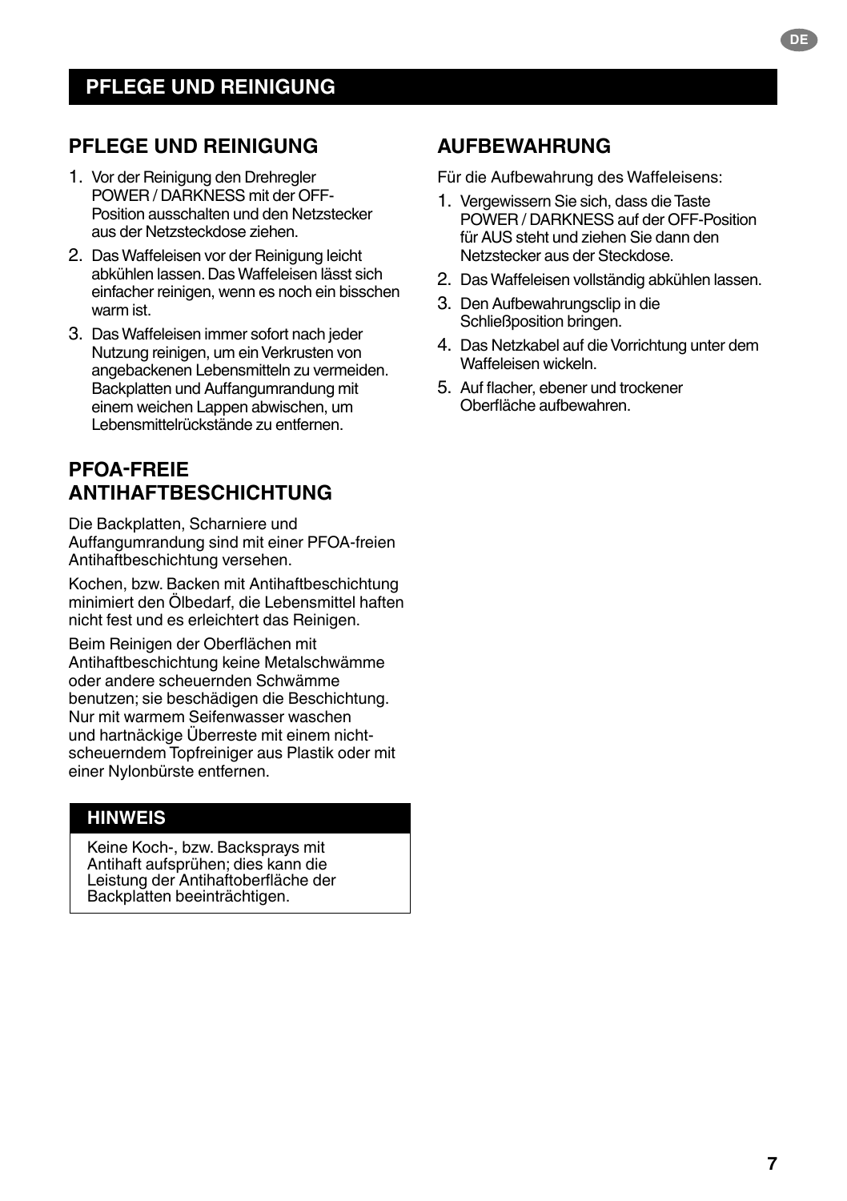## **PFLEGE UND REINIGUNG**

- 1. Vor der Reinigung den Drehregler POWER / DARKNESS mit der OFF-Position ausschalten und den Netzstecker aus der Netzsteckdose ziehen.
- 2. Das Waffeleisen vor der Reinigung leicht abkühlen lassen. Das Waffeleisen lässt sich einfacher reinigen, wenn es noch ein bisschen warm ist.
- 3. Das Waffeleisen immer sofort nach jeder Nutzung reinigen, um ein Verkrusten von angebackenen Lebensmitteln zu vermeiden. Backplatten und Auffangumrandung mit einem weichen Lappen abwischen, um Lebensmittelrückstände zu entfernen.

## **PFOA-FREIE ANTIHAFTBESCHICHTUNG**

Die Backplatten, Scharniere und Auffangumrandung sind mit einer PFOA-freien Antihaftbeschichtung versehen.

Kochen, bzw. Backen mit Antihaftbeschichtung minimiert den Ölbedarf, die Lebensmittel haften nicht fest und es erleichtert das Reinigen.

Beim Reinigen der Oberflächen mit Antihaftbeschichtung keine Metalschwämme oder andere scheuernden Schwämme benutzen; sie beschädigen die Beschichtung. Nur mit warmem Seifenwasser waschen und hartnäckige Überreste mit einem nichtscheuerndem Topfreiniger aus Plastik oder mit einer Nylonbürste entfernen.

## **HINWEIS**

Keine Koch-, bzw. Backsprays mit Antihaft aufsprühen; dies kann die Leistung der Antihaftoberfläche der Backplatten beeinträchtigen.

## **AUFBEWAHRUNG**

Für die Aufbewahrung des Waffeleisens:

- 1. Vergewissern Sie sich, dass die Taste POWER / DARKNESS auf der OFF-Position für AUS steht und ziehen Sie dann den Netzstecker aus der Steckdose.
- 2. Das Waffeleisen vollständig abkühlen lassen.
- 3. Den Aufbewahrungsclip in die Schließposition bringen.
- 4. Das Netzkabel auf die Vorrichtung unter dem Waffeleisen wickeln.
- 5. Auf flacher, ebener und trockener Oberfläche aufbewahren.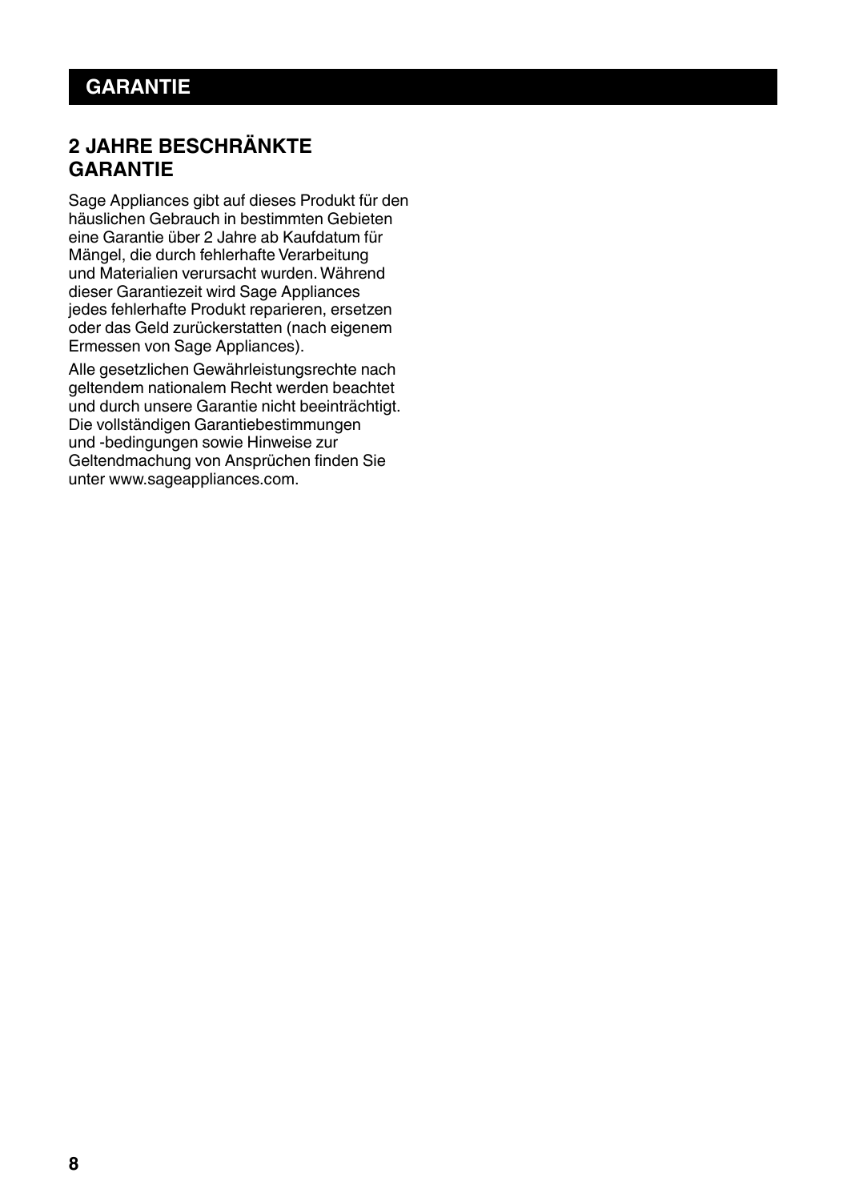## **2 JAHRE BESCHRÄNKTE GARANTIE**

Sage Appliances gibt auf dieses Produkt für den häuslichen Gebrauch in bestimmten Gebieten eine Garantie über 2 Jahre ab Kaufdatum für Mängel, die durch fehlerhafte Verarbeitung und Materialien verursacht wurden. Während dieser Garantiezeit wird Sage Appliances jedes fehlerhafte Produkt reparieren, ersetzen oder das Geld zurückerstatten (nach eigenem Ermessen von Sage Appliances).

Alle gesetzlichen Gewährleistungsrechte nach geltendem nationalem Recht werden beachtet und durch unsere Garantie nicht beeinträchtigt. Die vollständigen Garantiebestimmungen und -bedingungen sowie Hinweise zur Geltendmachung von Ansprüchen finden Sie unter www.sageappliances.com.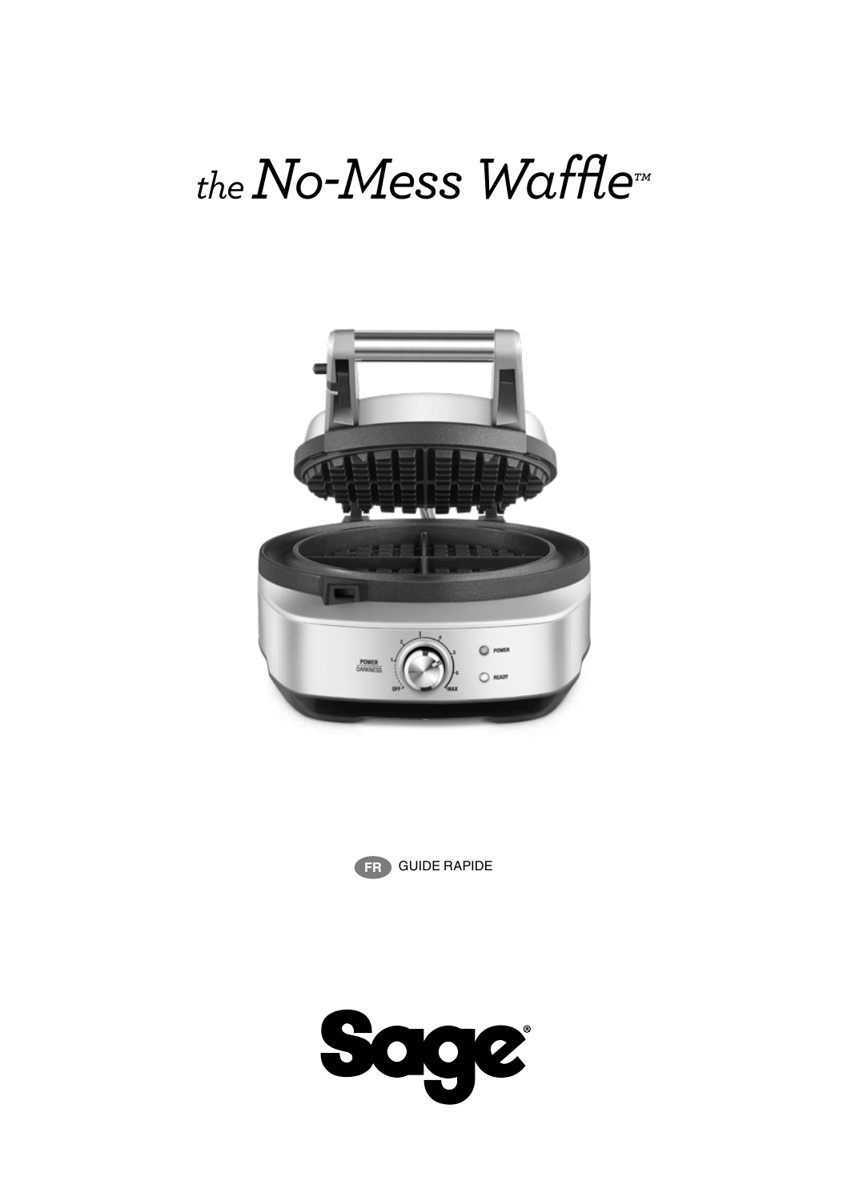# *the No-Mess Waffle™*





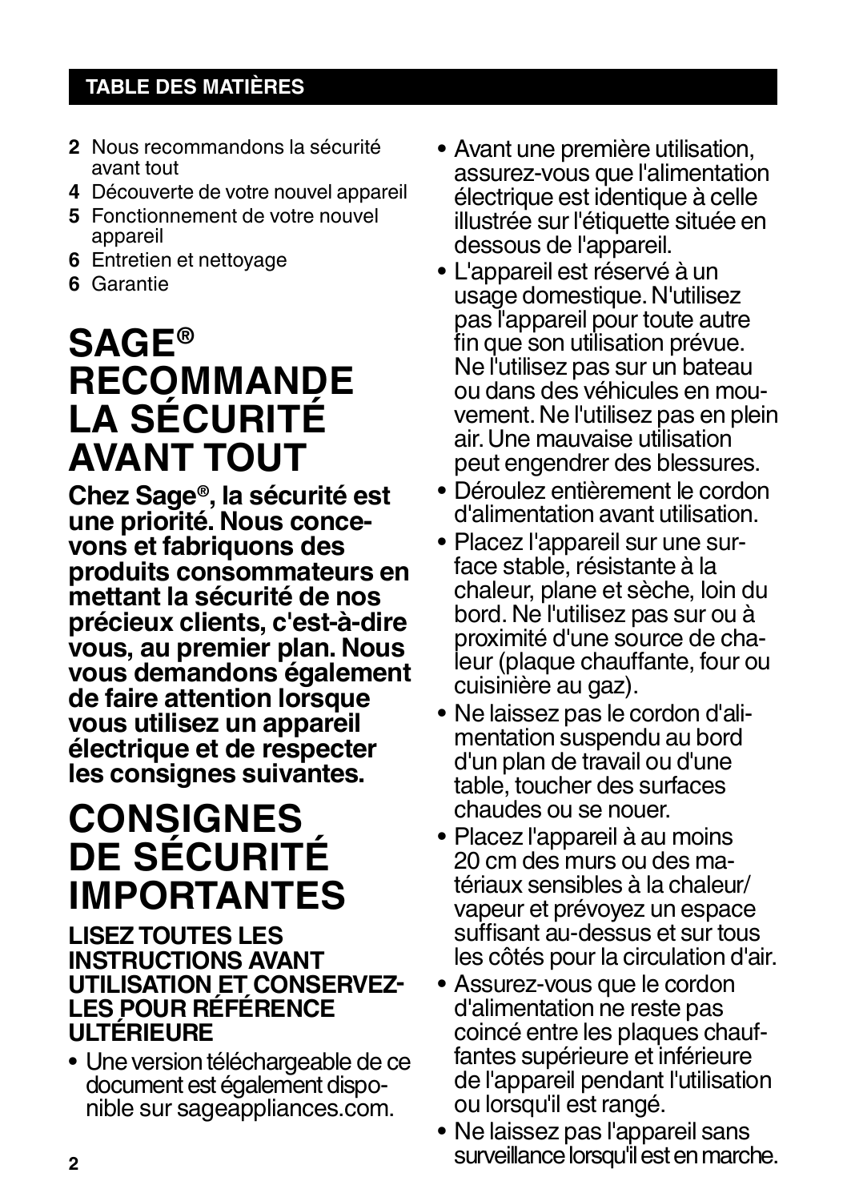## **TABLE DES MATIÈRES**

- **2** Nous recommandons la sécurité avant tout
- **4** Découverte de votre nouvel appareil
- **5** Fonctionnement de votre nouvel appareil
- **6** Entretien et nettoyage
- **6** Garantie

## **SAGE® RECOMMANDE LA SÉCURITÉ AVANT TOUT**

**Chez Sage®, la sécurité est vons et fabriquons des produits consommateurs en mettant la sécurité de nos précieux clients, c'est-à-dire vous, au premier plan. Nous vous demandons également de faire attention lorsque vous utilisez un appareil électrique et de respecter les consignes suivantes.**

## **CONSIGNES DE SÉCURITÉ IMPORTANTES**

## **LISEZ TOUTES LES INSTRUCTIONS AVANT UTILISATION ET CONSERVEZ-LES POUR RÉFÉRENCE ULTÉRIEURE**

• Une version téléchargeable de ce nible sur sageappliances.com.

- Avant une première utilisation, assurez-vous que l'alimentation électrique est identique à celle illustrée sur l'étiquette située en dessous de l'appareil.
- L'appareil est réservé à un usage domestique. N'utilisez pas l'appareil pour toute autre fin que son utilisation prévue. Ne l'utilisez pas sur un bateau vement. Ne l'utilisez pas en plein air. Une mauvaise utilisation peut engendrer des blessures.
- Déroulez entièrement le cordon d'alimentation avant utilisation.
- Placez l'appareil sur une sur- face stable, résistante à la chaleur, plane et sèche, loin du bord. Ne l'utilisez pas sur ou à leur (plaque chauffante, four ou
- cuisinière au gaz). mentation suspendu au bord d'un plan de travail ou d'une table, toucher des surfaces chaudes ou se nouer.
- Placez l'appareil à au moins tériaux sensibles à la chaleur/ vapeur et prévoyez un espace suffisant au-dessus et sur tous les côtés pour la circulation d'air.
- Assurez-vous que le cordon d'alimentation ne reste pas<br>coincé entre les plaques chauffantes supérieure et inférieure de l'appareil pendant l'utilisation ou lorsqu'il est rangé.
- Ne laissez pas l'appareil sans surveillance lorsqu'il est en marche.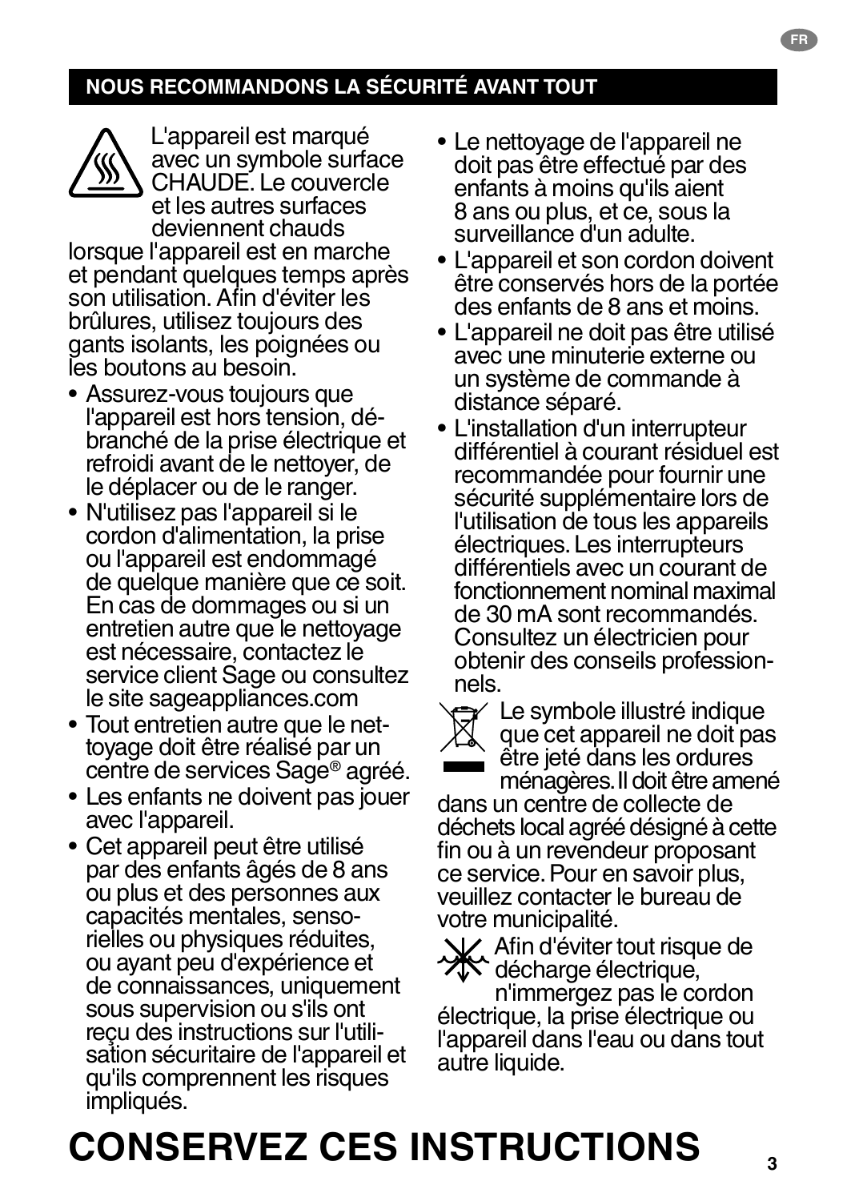## **NOUS RECOMMANDONS LA SÉCURITÉ AVANT TOUT**



L'appareil est marqué avec un symbole surface CHAUDE. Le couvercle et les autres surfaces deviennent chauds lorsque l'appareil est en marche

et pendant quelques temps après son utilisation. Afin d'éviter les brûlures, utilisez toujours des gants isolants, les poignées ou les boutons au besoin.

- Assurez-vous toujours que branché de la prise électrique et refroidi avant de le nettoyer, de le déplacer ou de le ranger.
- N'utilisez pas l'appareil si le cordon d'alimentation, la prise ou l'appareil est endommagé de quelque manière que ce soit. En cas de dommages ou si un entretien autre que le nettoyage est nécessaire, contactez le service client Sage ou consultez le site sageappliances.com
- Tout entretien autre que le net- toyage doit être réalisé par un centre de services Sage® agréé.
- Les enfants ne doivent pas jouer avec l'appareil.
- Cet appareil peut être utilisé par des enfants âgés de 8 ans ou plus et des personnes aux<br>capacités mentales, sensorielles ou physiques réduites. ou ayant peu d'expérience et de connaissances, uniquement sous supervision ou s'ils ont sation sécuritaire de l'appareil et qu'ils comprennent les risques impliqués.
- Le nettoyage de l'appareil ne doit pas être effectué par des enfants à moins qu'ils aient 8 ans ou plus, et ce, sous la surveillance d'un adulte.
- L'appareil et son cordon doivent être conservés hors de la portée des enfants de 8 ans et moins.
- L'appareil ne doit pas être utilisé avec une minuterie externe ou un système de commande à distance séparé.
- L'installation d'un interrupteur différentiel à courant résiduel est recommandée pour fournir une sécurité supplémentaire lors de l'utilisation de tous les appareils électriques. Les interrupteurs différentiels avec un courant de fonctionnement nominal maximal de 30 mA sont recommandés. Consultez un électricien pour obtenir des conseils profession-<br>nels
- 

Le symbole illustré indique que cet appareil ne doit pas être jeté dans les ordures ménagères. Il doit être amené

dans un centre de collecte de déchets local agréé désigné à cette fin ou à un revendeur proposant ce service. Pour en savoir plus, veuillez contacter le bureau de votre municipalité.

Afin d'éviter tout risque de **XX** décharge électrique,

n'immergez pas le cordon électrique, la prise électrique ou l'appareil dans l'eau ou dans tout autre liquide.

**3**

## **CONSERVEZ CES INSTRUCTIONS**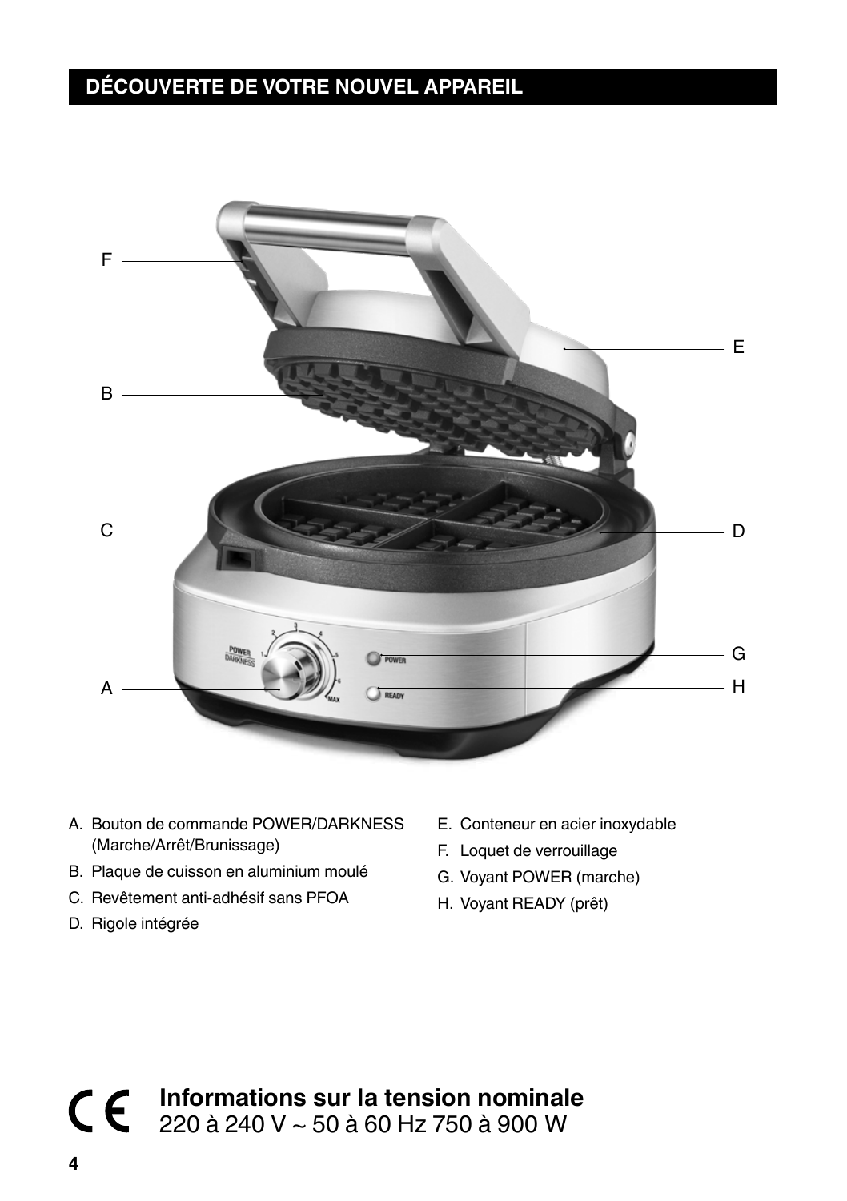## **DÉCOUVERTE DE VOTRE NOUVEL APPAREIL**



- A. Bouton de commande POWER/DARKNESS (Marche/Arrêt/Brunissage)
- B. Plaque de cuisson en aluminium moulé
- C. Revêtement anti-adhésif sans PFOA
- D. Rigole intégrée
- E. Conteneur en acier inoxydable
- F. Loquet de verrouillage
- G. Voyant POWER (marche)
- H. Voyant READY (prêt)

**Informations sur la tension nominale** 220 à 240 V ~ 50 à 60 Hz 750 à 900 W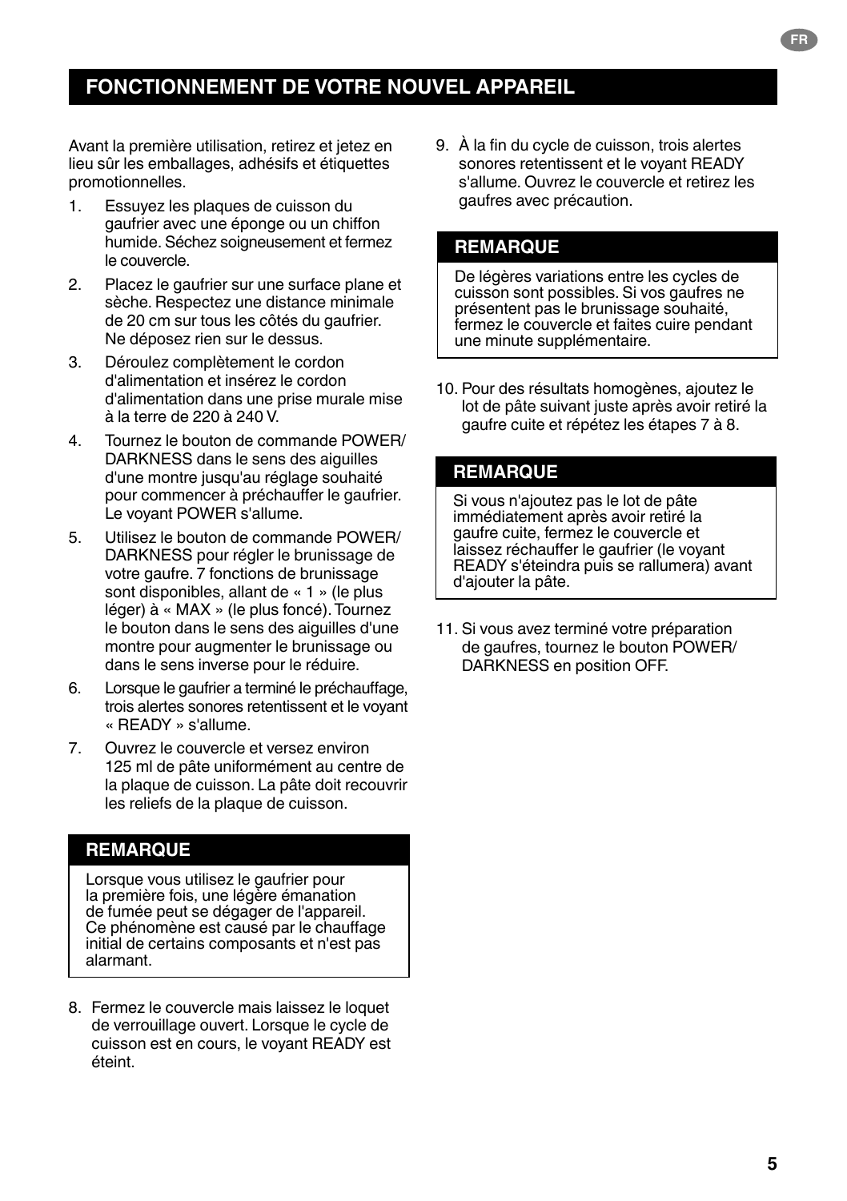## **FONCTIONNEMENT DE VOTRE NOUVEL APPAREIL**

Avant la première utilisation, retirez et jetez en lieu sûr les emballages, adhésifs et étiquettes promotionnelles.

- 1. Essuyez les plaques de cuisson du gaufrier avec une éponge ou un chiffon humide. Séchez soigneusement et fermez le couvercle.
- 2. Placez le gaufrier sur une surface plane et sèche. Respectez une distance minimale de 20 cm sur tous les côtés du gaufrier. Ne déposez rien sur le dessus.
- 3. Déroulez complètement le cordon d'alimentation et insérez le cordon d'alimentation dans une prise murale mise à la terre de 220 à 240 V.
- 4. Tournez le bouton de commande POWER/ DARKNESS dans le sens des aiguilles d'une montre jusqu'au réglage souhaité pour commencer à préchauffer le gaufrier. Le voyant POWER s'allume.
- 5. Utilisez le bouton de commande POWER/ DARKNESS pour régler le brunissage de votre gaufre. 7 fonctions de brunissage sont disponibles, allant de « 1 » (le plus léger) à « MAX » (le plus foncé). Tournez le bouton dans le sens des aiguilles d'une montre pour augmenter le brunissage ou dans le sens inverse pour le réduire.
- 6. Lorsque le gaufrier a terminé le préchauffage, trois alertes sonores retentissent et le voyant « READY » s'allume.
- 7. Ouvrez le couvercle et versez environ 125 ml de pâte uniformément au centre de la plaque de cuisson. La pâte doit recouvrir les reliefs de la plaque de cuisson.

## **REMARQUE**

Lorsque vous utilisez le gaufrier pour la première fois, une légère émanation de fumée peut se dégager de l'appareil. Ce phénomène est causé par le chauffage initial de certains composants et n'est pas alarmant.

8. Fermez le couvercle mais laissez le loquet de verrouillage ouvert. Lorsque le cycle de cuisson est en cours, le voyant READY est éteint.

9. À la fin du cycle de cuisson, trois alertes sonores retentissent et le voyant READY s'allume. Ouvrez le couvercle et retirez les gaufres avec précaution.

### **REMARQUE**

De légères variations entre les cycles de cuisson sont possibles. Si vos gaufres ne présentent pas le brunissage souhaité, fermez le couvercle et faites cuire pendant une minute supplémentaire.

10. Pour des résultats homogènes, ajoutez le lot de pâte suivant juste après avoir retiré la gaufre cuite et répétez les étapes 7 à 8.

### **REMARQUE**

Si vous n'ajoutez pas le lot de pâte immédiatement après avoir retiré la gaufre cuite, fermez le couvercle et laissez réchauffer le gaufrier (le voyant READY s'éteindra puis se rallumera) avant d'ajouter la pâte.

11. Si vous avez terminé votre préparation de gaufres, tournez le bouton POWER/ DARKNESS en position OFF.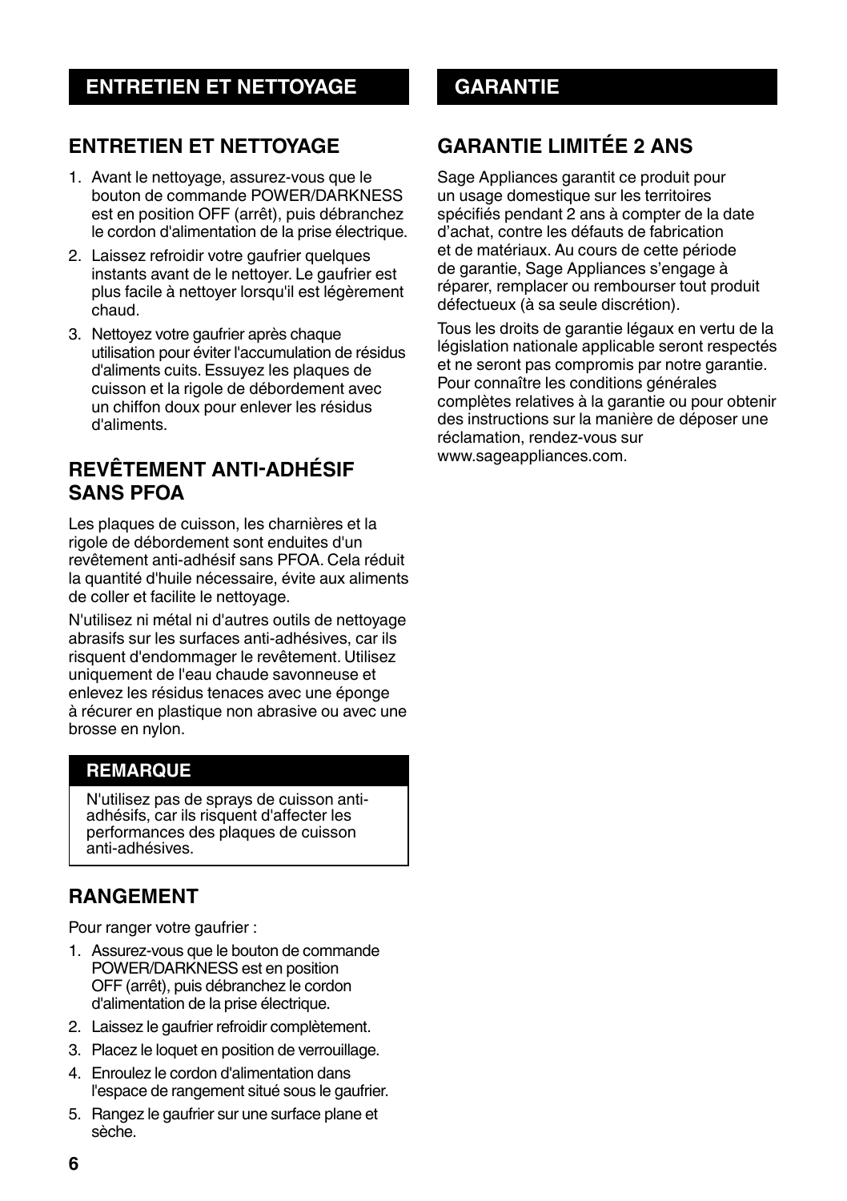## **ENTRETIEN ET NETTOYAGE**

- 1. Avant le nettoyage, assurez-vous que le bouton de commande POWER/DARKNESS est en position OFF (arrêt), puis débranchez le cordon d'alimentation de la prise électrique.
- 2. Laissez refroidir votre gaufrier quelques instants avant de le nettoyer. Le gaufrier est plus facile à nettover lorsqu'il est légèrement chaud.
- 3. Nettoyez votre gaufrier après chaque utilisation pour éviter l'accumulation de résidus d'aliments cuits. Essuyez les plaques de cuisson et la rigole de débordement avec un chiffon doux pour enlever les résidus d'aliments.

## **REVÊTEMENT ANTI-ADHÉSIF SANS PFOA**

Les plaques de cuisson, les charnières et la rigole de débordement sont enduites d'un revêtement anti-adhésif sans PFOA. Cela réduit la quantité d'huile nécessaire, évite aux aliments de coller et facilite le nettoyage.

N'utilisez ni métal ni d'autres outils de nettoyage abrasifs sur les surfaces anti-adhésives, car ils risquent d'endommager le revêtement. Utilisez uniquement de l'eau chaude savonneuse et enlevez les résidus tenaces avec une éponge à récurer en plastique non abrasive ou avec une brosse en nylon.

## **REMARQUE**

N'utilisez pas de sprays de cuisson antiadhésifs, car ils risquent d'affecter les performances des plaques de cuisson anti-adhésives.

## **RANGEMENT**

Pour ranger votre gaufrier :

- 1. Assurez-vous que le bouton de commande POWER/DARKNESS est en position OFF (arrêt), puis débranchez le cordon d'alimentation de la prise électrique.
- 2. Laissez le gaufrier refroidir complètement.
- 3. Placez le loquet en position de verrouillage.
- 4. Enroulez le cordon d'alimentation dans l'espace de rangement situé sous le gaufrier.
- 5. Rangez le gaufrier sur une surface plane et sèche.

## **GARANTIE LIMITÉE 2 ANS**

Sage Appliances garantit ce produit pour un usage domestique sur les territoires spécifiés pendant 2 ans à compter de la date d'achat, contre les défauts de fabrication et de matériaux. Au cours de cette période de garantie, Sage Appliances s'engage à réparer, remplacer ou rembourser tout produit défectueux (à sa seule discrétion).

Tous les droits de garantie légaux en vertu de la législation nationale applicable seront respectés et ne seront pas compromis par notre garantie. Pour connaître les conditions générales complètes relatives à la garantie ou pour obtenir des instructions sur la manière de déposer une réclamation, rendez-vous sur www.sageappliances.com.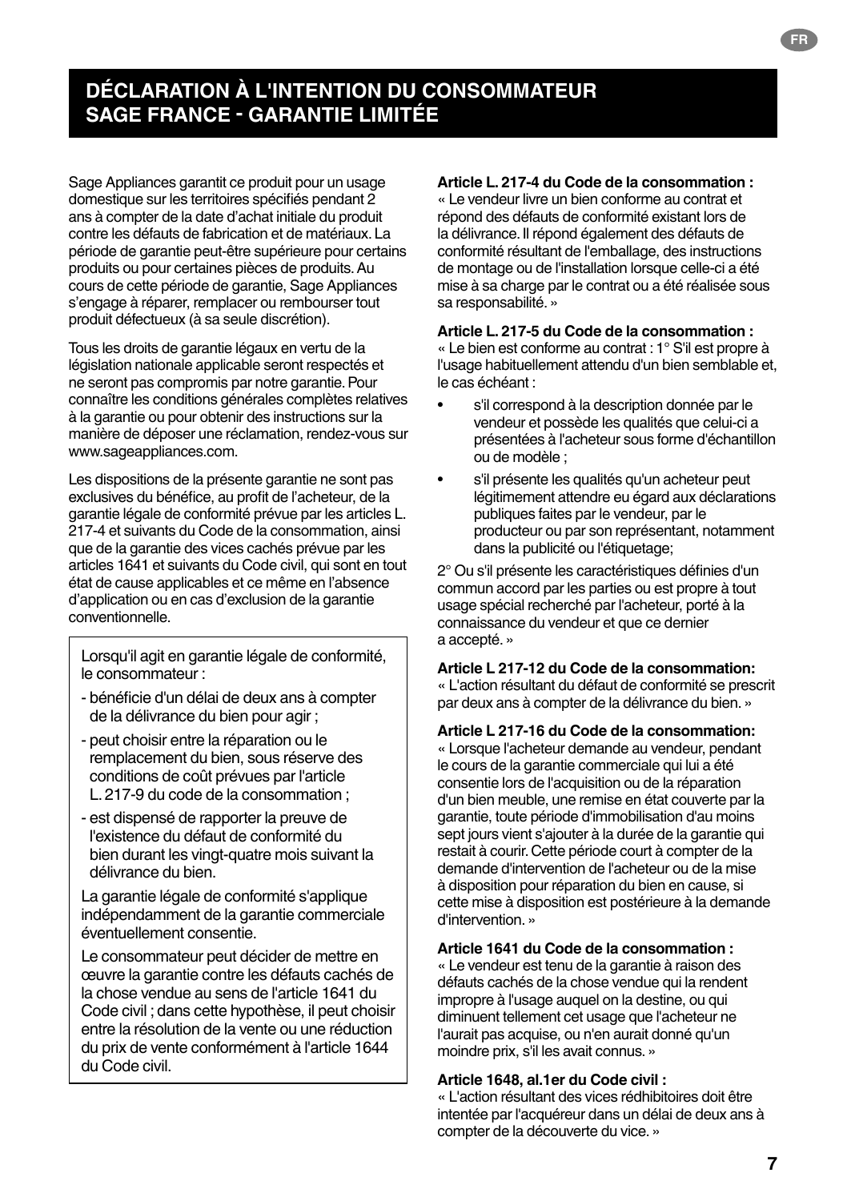## **DÉCLARATION À L'INTENTION DU CONSOMMATEUR SAGE FRANCE - GARANTIE LIMITÉE**

Sage Appliances garantit ce produit pour un usage domestique sur les territoires spécifiés pendant 2 ans à compter de la date d'achat initiale du produit contre les défauts de fabrication et de matériaux. La période de garantie peut-être supérieure pour certains produits ou pour certaines pièces de produits. Au cours de cette période de garantie, Sage Appliances s'engage à réparer, remplacer ou rembourser tout produit défectueux (à sa seule discrétion).

Tous les droits de garantie légaux en vertu de la législation nationale applicable seront respectés et ne seront pas compromis par notre garantie. Pour connaître les conditions générales complètes relatives à la garantie ou pour obtenir des instructions sur la manière de déposer une réclamation, rendez-vous sur www.sageappliances.com.

Les dispositions de la présente garantie ne sont pas exclusives du bénéfice, au profit de l'acheteur, de la garantie légale de conformité prévue par les articles L. 217-4 et suivants du Code de la consommation, ainsi que de la garantie des vices cachés prévue par les articles 1641 et suivants du Code civil, qui sont en tout état de cause applicables et ce même en l'absence d'application ou en cas d'exclusion de la garantie conventionnelle.

Lorsqu'il agit en garantie légale de conformité, le consommateur :

- bénéficie d'un délai de deux ans à compter de la délivrance du bien pour agir ;
- peut choisir entre la réparation ou le remplacement du bien, sous réserve des conditions de coût prévues par l'article L. 217-9 du code de la consommation ;
- est dispensé de rapporter la preuve de l'existence du défaut de conformité du bien durant les vingt-quatre mois suivant la délivrance du bien.

La garantie légale de conformité s'applique indépendamment de la garantie commerciale éventuellement consentie.

Le consommateur peut décider de mettre en œuvre la garantie contre les défauts cachés de la chose vendue au sens de l'article 1641 du Code civil ; dans cette hypothèse, il peut choisir entre la résolution de la vente ou une réduction du prix de vente conformément à l'article 1644 du Code civil.

### **Article L. 217-4 du Code de la consommation :**

« Le vendeur livre un bien conforme au contrat et répond des défauts de conformité existant lors de la délivrance. Il répond également des défauts de conformité résultant de l'emballage, des instructions de montage ou de l'installation lorsque celle-ci a été mise à sa charge par le contrat ou a été réalisée sous sa responsabilité. »

### **Article L. 217-5 du Code de la consommation :**

« Le bien est conforme au contrat : 1° S'il est propre à l'usage habituellement attendu d'un bien semblable et, le cas échéant :

- s'il correspond à la description donnée par le vendeur et possède les qualités que celui-ci a présentées à l'acheteur sous forme d'échantillon ou de modèle ;
- s'il présente les qualités qu'un acheteur peut légitimement attendre eu égard aux déclarations publiques faites par le vendeur, par le producteur ou par son représentant, notamment dans la publicité ou l'étiquetage;

2° Ou s'il présente les caractéristiques définies d'un commun accord par les parties ou est propre à tout usage spécial recherché par l'acheteur, porté à la connaissance du vendeur et que ce dernier a accepté. »

### **Article L 217-12 du Code de la consommation:**

« L'action résultant du défaut de conformité se prescrit par deux ans à compter de la délivrance du bien. »

**Article L 217-16 du Code de la consommation:** 

« Lorsque l'acheteur demande au vendeur, pendant le cours de la garantie commerciale qui lui a été consentie lors de l'acquisition ou de la réparation d'un bien meuble, une remise en état couverte par la garantie, toute période d'immobilisation d'au moins sept jours vient s'ajouter à la durée de la garantie qui restait à courir. Cette période court à compter de la demande d'intervention de l'acheteur ou de la mise à disposition pour réparation du bien en cause, si cette mise à disposition est postérieure à la demande d'intervention. »

### **Article 1641 du Code de la consommation :**

« Le vendeur est tenu de la garantie à raison des défauts cachés de la chose vendue qui la rendent impropre à l'usage auquel on la destine, ou qui diminuent tellement cet usage que l'acheteur ne l'aurait pas acquise, ou n'en aurait donné qu'un moindre prix, s'il les avait connus. »

### **Article 1648, al.1er du Code civil :**

« L'action résultant des vices rédhibitoires doit être intentée par l'acquéreur dans un délai de deux ans à compter de la découverte du vice. »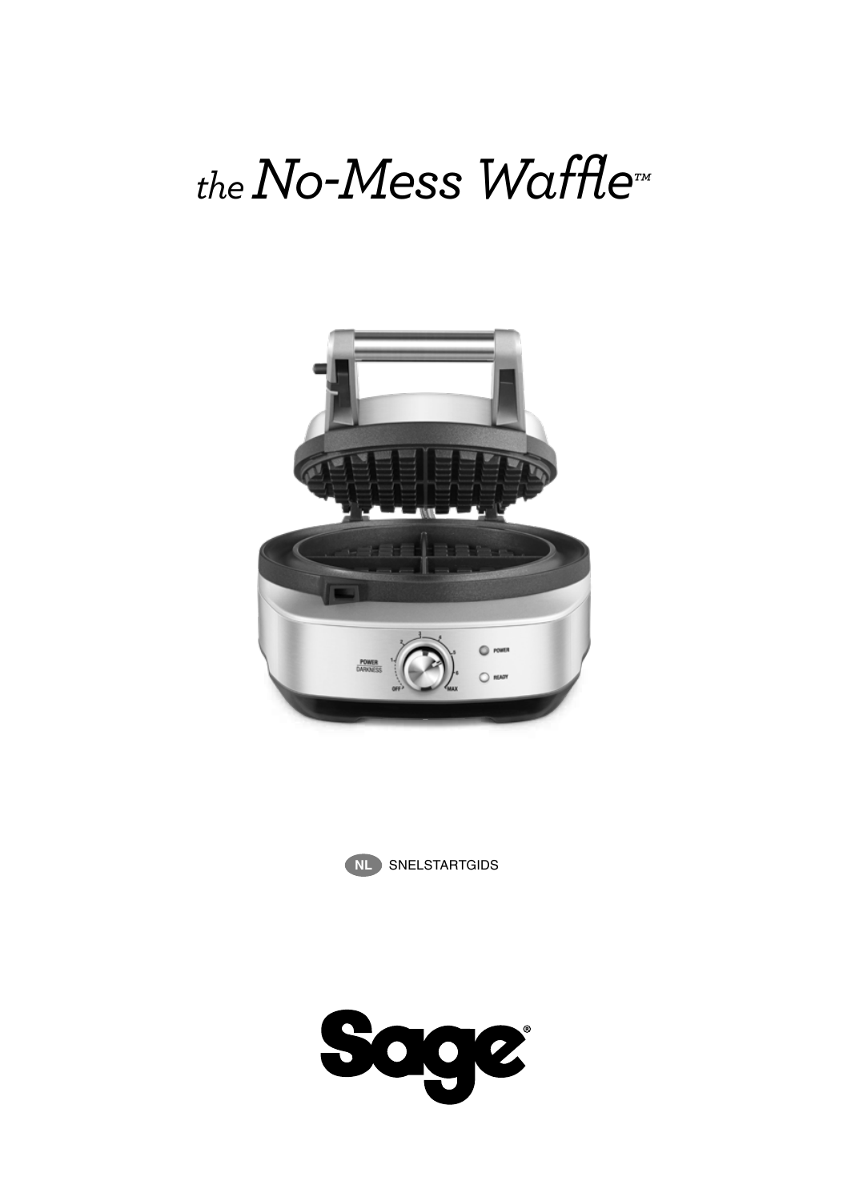# *the No-Mess Waffle™*





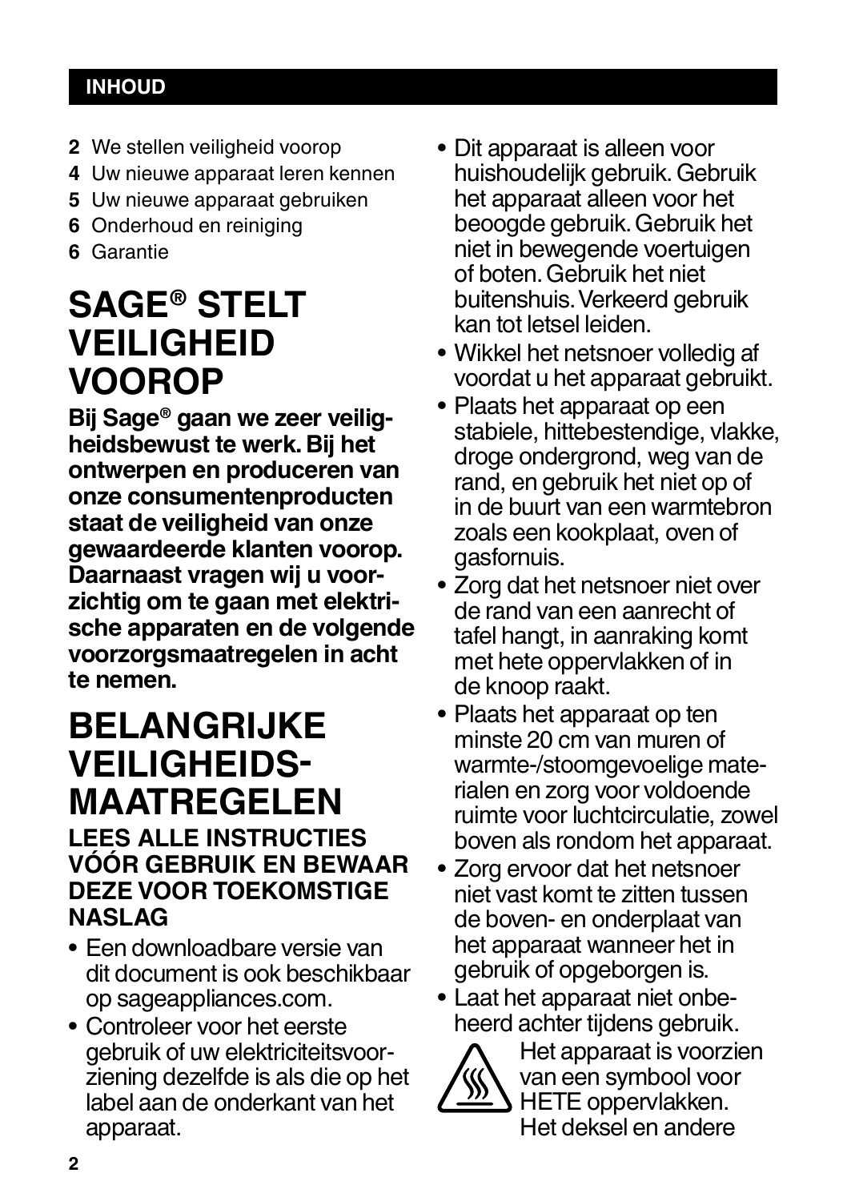## **INHOUD**

- **2** We stellen veiligheid voorop
- **4** Uw nieuwe apparaat leren kennen
- **5** Uw nieuwe apparaat gebruiken
- **6** Onderhoud en reiniging
- **6** Garantie

## **SAGE® STELT VEILIGHEID VOOROP**

**Bij Sage® gaan we zeer veiligheidsbewust te werk. Bij het ontwerpen en produceren van onze consumentenproducten staat de veiligheid van onze gewaardeerde klanten voorop. Daarnaast vragen wij u voorzichtig om te gaan met elektrische apparaten en de volgende voorzorgsmaatregelen in acht te nemen.**

## **BELANGRIJKE VEILIGHEIDS-MAATREGELEN**

## **LEES ALLE INSTRUCTIES VÓÓR GEBRUIK EN BEWAAR DEZE VOOR TOEKOMSTIGE NASLAG**

- Een downloadbare versie van dit document is ook beschikbaar op sageappliances.com.
- Controleer voor het eerste gebruik of uw elektriciteitsvoorziening dezelfde is als die op het label aan de onderkant van het apparaat.
- Dit apparaat is alleen voor huishoudelijk gebruik. Gebruik het apparaat alleen voor het beoogde gebruik. Gebruik het niet in bewegende voertuigen of boten. Gebruik het niet buitenshuis. Verkeerd gebruik kan tot letsel leiden.
- Wikkel het netsnoer volledig af voordat u het apparaat gebruikt.
- Plaats het apparaat op een stabiele, hittebestendige, vlakke, droge ondergrond, weg van de rand, en gebruik het niet op of in de buurt van een warmtebron zoals een kookplaat, oven of gasfornuis.
- Zorg dat het netsnoer niet over de rand van een aanrecht of tafel hangt, in aanraking komt met hete oppervlakken of in de knoop raakt.
- Plaats het apparaat op ten minste 20 cm van muren of warmte-/stoomgevoelige materialen en zorg voor voldoende ruimte voor luchtcirculatie, zowel boven als rondom het apparaat.
- Zorg ervoor dat het netsnoer niet vast komt te zitten tussen de boven- en onderplaat van het apparaat wanneer het in gebruik of opgeborgen is.
- Laat het apparaat niet onbeheerd achter tijdens gebruik.



Het apparaat is voorzien van een symbool voor HETE oppervlakken. Het deksel en andere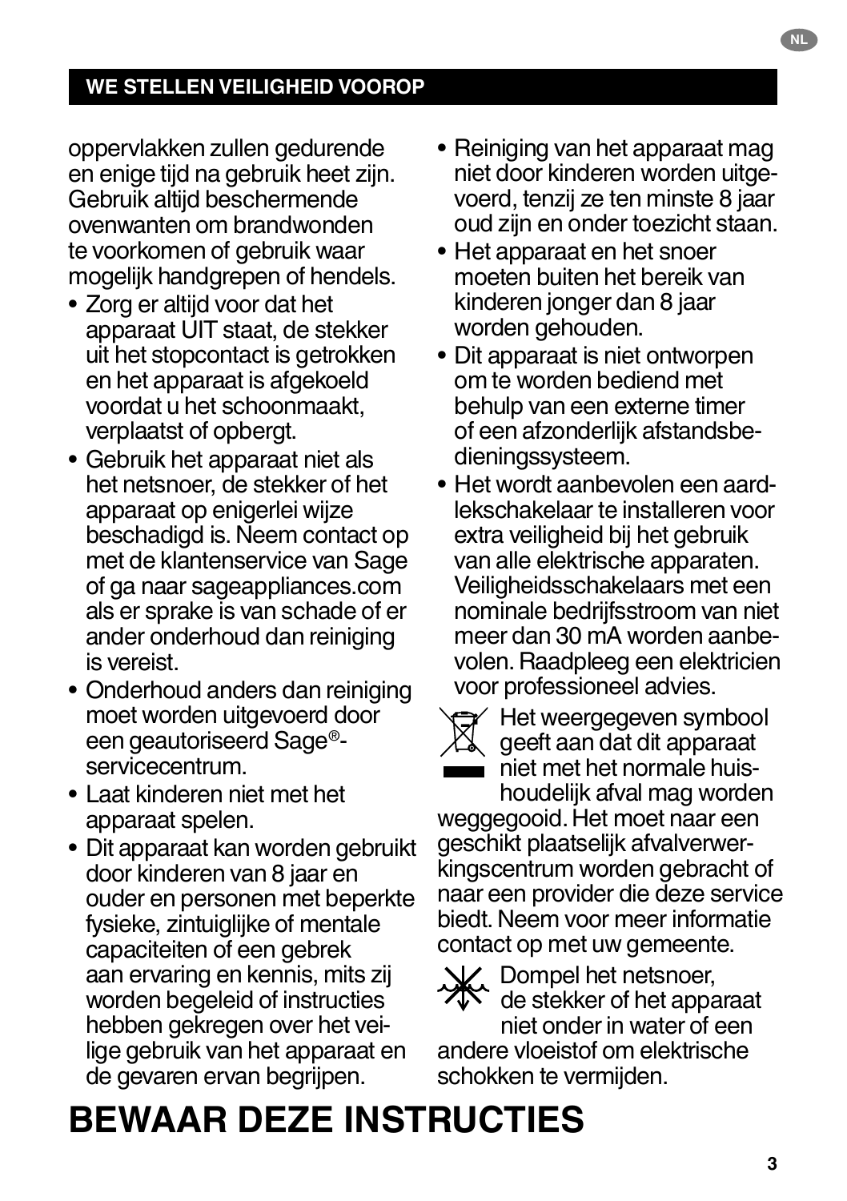## **WE STELLEN VEILIGHEID VOOROP**

oppervlakken zullen gedurende en enige tijd na gebruik heet zijn. Gebruik altijd beschermende ovenwanten om brandwonden te voorkomen of gebruik waar mogelijk handgrepen of hendels.

- Zorg er altijd voor dat het apparaat UIT staat, de stekker uit het stopcontact is getrokken en het apparaat is afgekoeld voordat u het schoonmaakt, verplaatst of opbergt.
- Gebruik het apparaat niet als het netsnoer, de stekker of het apparaat op enigerlei wijze beschadigd is. Neem contact op met de klantenservice van Sage of ga naar sageappliances.com als er sprake is van schade of er ander onderhoud dan reiniging is vereist.
- Onderhoud anders dan reiniging moet worden uitgevoerd door een geautoriseerd Sage® servicecentrum.
- Laat kinderen niet met het apparaat spelen.
- Dit apparaat kan worden gebruikt door kinderen van 8 jaar en ouder en personen met beperkte fysieke, zintuiglijke of mentale capaciteiten of een gebrek aan ervaring en kennis, mits zij worden begeleid of instructies hebben gekregen over het veilige gebruik van het apparaat en de gevaren ervan begrijpen.
- Reiniging van het apparaat mag niet door kinderen worden uitgevoerd, tenzij ze ten minste 8 jaar oud zijn en onder toezicht staan.
- Het apparaat en het snoer moeten buiten het bereik van kinderen jonger dan 8 jaar worden gehouden.
- Dit apparaat is niet ontworpen om te worden bediend met behulp van een externe timer of een afzonderlijk afstandsbedieningssysteem.
- Het wordt aanbevolen een aardlekschakelaar te installeren voor extra veiligheid bij het gebruik van alle elektrische apparaten. Veiligheidsschakelaars met een nominale bedrijfsstroom van niet meer dan 30 mA worden aanbevolen. Raadpleeg een elektricien voor professioneel advies.



Het weergegeven symbool geeft aan dat dit apparaat niet met het normale huishoudelijk afval mag worden

weggegooid. Het moet naar een geschikt plaatselijk afvalverwerkingscentrum worden gebracht of naar een provider die deze service biedt. Neem voor meer informatie contact op met uw gemeente.

L. Dompel het netsnoer,

de stekker of het apparaat

niet onder in water of een andere vloeistof om elektrische schokken te vermijden.

## **BEWAAR DEZE INSTRUCTIES**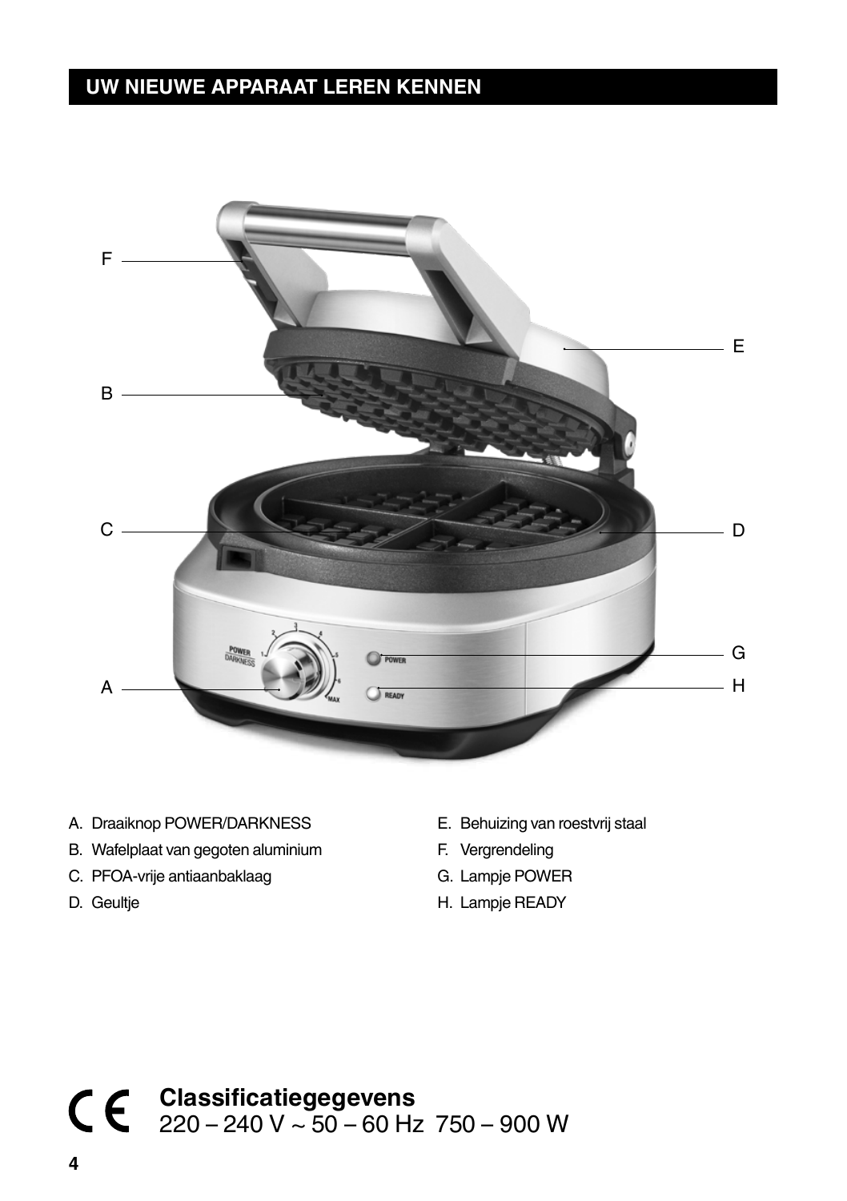## **UW NIEUWE APPARAAT LEREN KENNEN**



- A. Draaiknop POWER/DARKNESS
- B. Wafelplaat van gegoten aluminium
- C. PFOA-vrije antiaanbaklaag
- D. Geultje
- E. Behuizing van roestvrij staal
- F. Vergrendeling
- G. Lampje POWER
- H. Lampje READY

## **Classificatiegegevens** 220 – 240 V ~ 50 – 60 Hz 750 – 900 W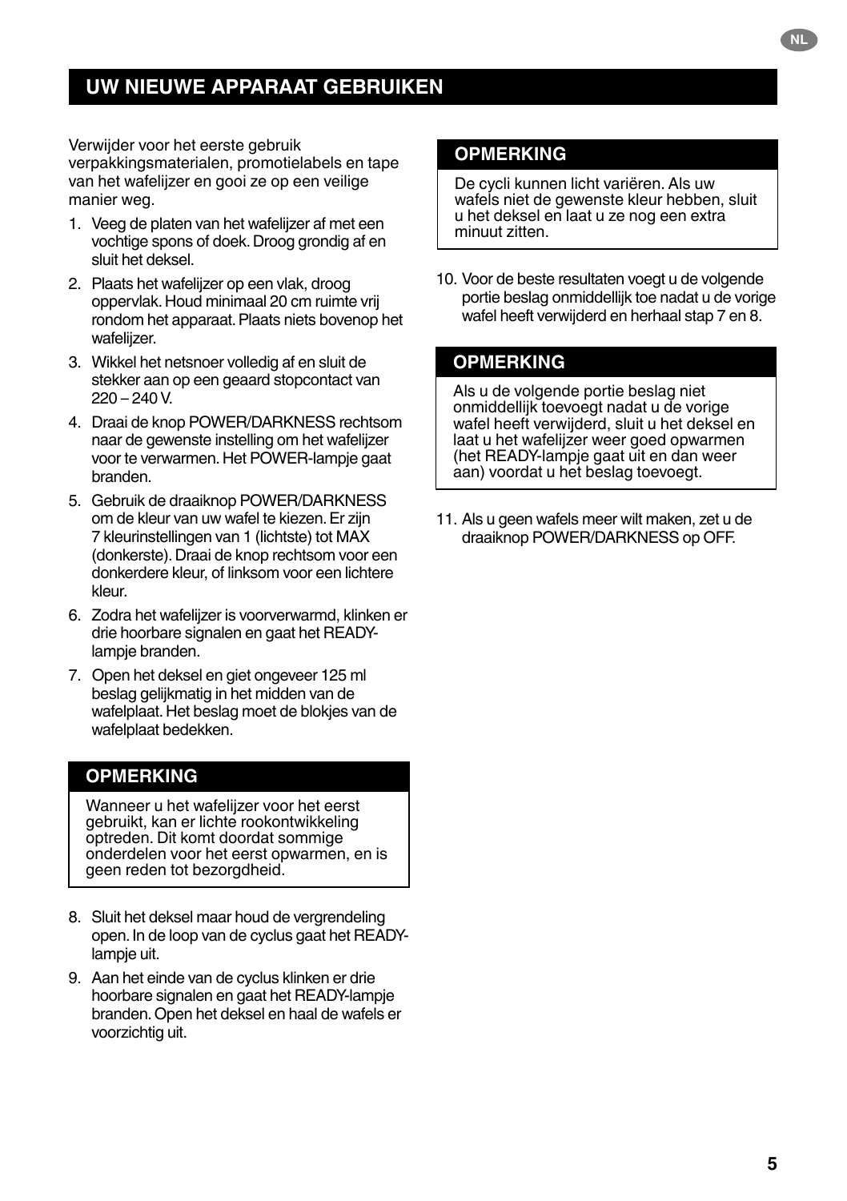## **UW NIEUWE APPARAAT GEBRUIKEN**

Verwijder voor het eerste gebruik verpakkingsmaterialen, promotielabels en tape van het wafelijzer en gooi ze op een veilige manier weg.

- 1. Veeg de platen van het wafelijzer af met een vochtige spons of doek. Droog grondig af en sluit het deksel.
- 2. Plaats het wafelijzer op een vlak, droog oppervlak. Houd minimaal 20 cm ruimte vrij rondom het apparaat. Plaats niets bovenop het wafelijzer.
- 3. Wikkel het netsnoer volledig af en sluit de stekker aan op een geaard stopcontact van  $220 - 240V$
- 4. Draai de knop POWER/DARKNESS rechtsom naar de gewenste instelling om het wafelijzer voor te verwarmen. Het POWER-lampje gaat branden.
- 5. Gebruik de draaiknop POWER/DARKNESS om de kleur van uw wafel te kiezen. Er zijn 7 kleurinstellingen van 1 (lichtste) tot MAX (donkerste). Draai de knop rechtsom voor een donkerdere kleur, of linksom voor een lichtere kleur.
- 6. Zodra het wafelijzer is voorverwarmd, klinken er drie hoorbare signalen en gaat het READYlampje branden.
- 7. Open het deksel en giet ongeveer 125 ml beslag gelijkmatig in het midden van de wafelplaat. Het beslag moet de blokjes van de wafelplaat bedekken.

## **OPMERKING**

Wanneer u het wafelijzer voor het eerst gebruikt, kan er lichte rookontwikkeling optreden. Dit komt doordat sommige onderdelen voor het eerst opwarmen, en is geen reden tot bezorgdheid.

- 8. Sluit het deksel maar houd de vergrendeling open. In de loop van de cyclus gaat het READYlampie uit.
- 9. Aan het einde van de cyclus klinken er drie hoorbare signalen en gaat het READY-lampje branden. Open het deksel en haal de wafels er voorzichtig uit.

## **OPMERKING**

De cycli kunnen licht variëren. Als uw wafels niet de gewenste kleur hebben, sluit u het deksel en laat u ze nog een extra minuut zitten.

10. Voor de beste resultaten voegt u de volgende portie beslag onmiddellijk toe nadat u de vorige wafel heeft verwijderd en herhaal stap 7 en 8.

### **OPMERKING**

Als u de volgende portie beslag niet onmiddellijk toevoegt nadat u de vorige wafel heeft verwijderd, sluit u het deksel en laat u het wafelijzer weer goed opwarmen (het READY-lampje gaat uit en dan weer aan) voordat u het beslag toevoegt.

11. Als u geen wafels meer wilt maken, zet u de draaiknop POWER/DARKNESS op OFF.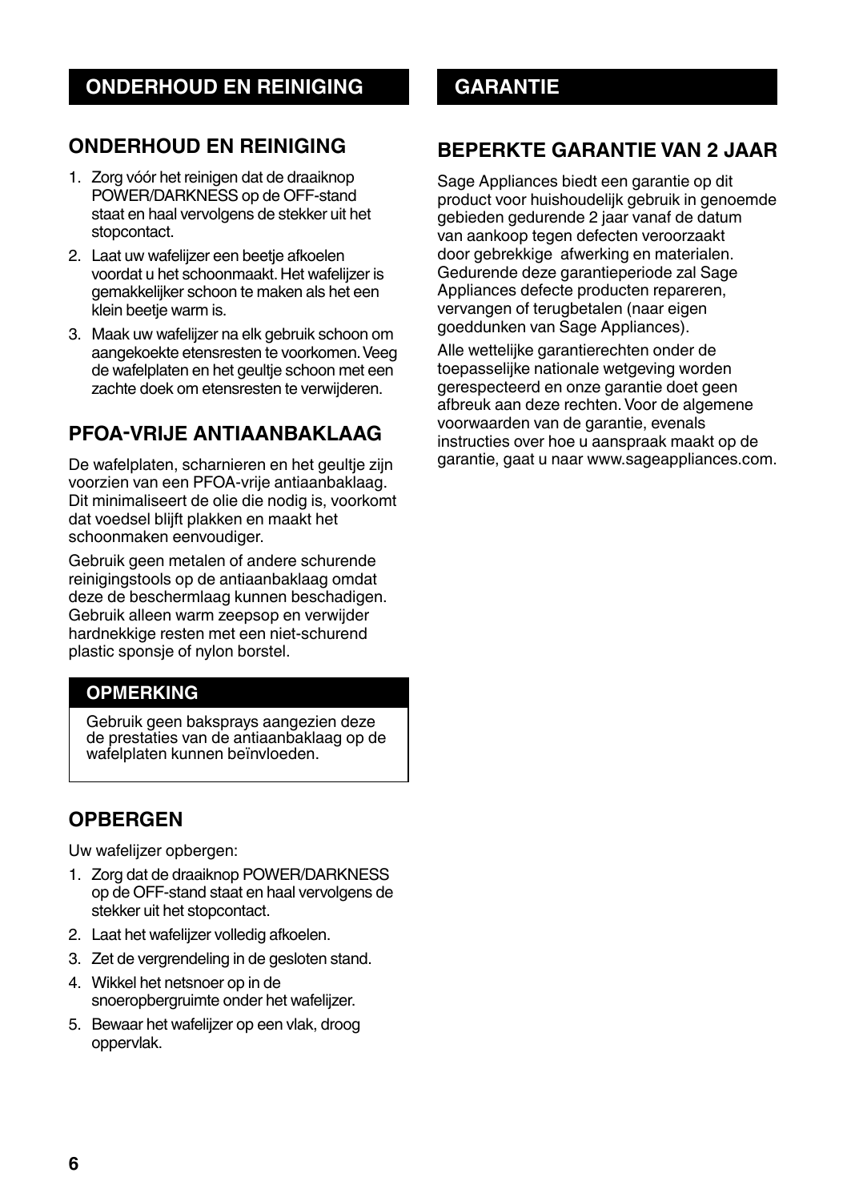## **ONDERHOUD EN REINIGING**

- 1. Zorg vóór het reinigen dat de draaiknop POWER/DARKNESS op de OFF-stand staat en haal vervolgens de stekker uit het stopcontact.
- 2. Laat uw wafelijzer een beetje afkoelen voordat u het schoonmaakt. Het wafelijzer is gemakkelijker schoon te maken als het een klein beetje warm is.
- 3. Maak uw wafelijzer na elk gebruik schoon om aangekoekte etensresten te voorkomen. Veeg de wafelplaten en het geultje schoon met een zachte doek om etensresten te verwijderen.

## **PFOA-VRIJE ANTIAANBAKLAAG**

De wafelplaten, scharnieren en het geultje zijn voorzien van een PFOA-vrije antiaanbaklaag. Dit minimaliseert de olie die nodig is, voorkomt dat voedsel blijft plakken en maakt het schoonmaken eenvoudiger.

Gebruik geen metalen of andere schurende reinigingstools op de antiaanbaklaag omdat deze de beschermlaag kunnen beschadigen. Gebruik alleen warm zeepsop en verwijder hardnekkige resten met een niet-schurend plastic sponsje of nylon borstel.

## **OPMERKING**

Gebruik geen baksprays aangezien deze de prestaties van de antiaanbaklaag op de wafelplaten kunnen beïnvloeden.

## **OPBERGEN**

Uw wafelijzer opbergen:

- 1. Zorg dat de draaiknop POWER/DARKNESS op de OFF-stand staat en haal vervolgens de stekker uit het stopcontact.
- 2. Laat het wafelijzer volledig afkoelen.
- 3. Zet de vergrendeling in de gesloten stand.
- 4. Wikkel het netsnoer op in de snoeropbergruimte onder het wafelijzer.
- 5. Bewaar het wafelijzer op een vlak, droog oppervlak.

## **BEPERKTE GARANTIE VAN 2 JAAR**

Sage Appliances biedt een garantie op dit product voor huishoudelijk gebruik in genoemde gebieden gedurende 2 jaar vanaf de datum van aankoop tegen defecten veroorzaakt door gebrekkige afwerking en materialen. Gedurende deze garantieperiode zal Sage Appliances defecte producten repareren, vervangen of terugbetalen (naar eigen goeddunken van Sage Appliances).

Alle wettelijke garantierechten onder de toepasselijke nationale wetgeving worden gerespecteerd en onze garantie doet geen afbreuk aan deze rechten. Voor de algemene voorwaarden van de garantie, evenals instructies over hoe u aanspraak maakt op de garantie, gaat u naar www.sageappliances.com.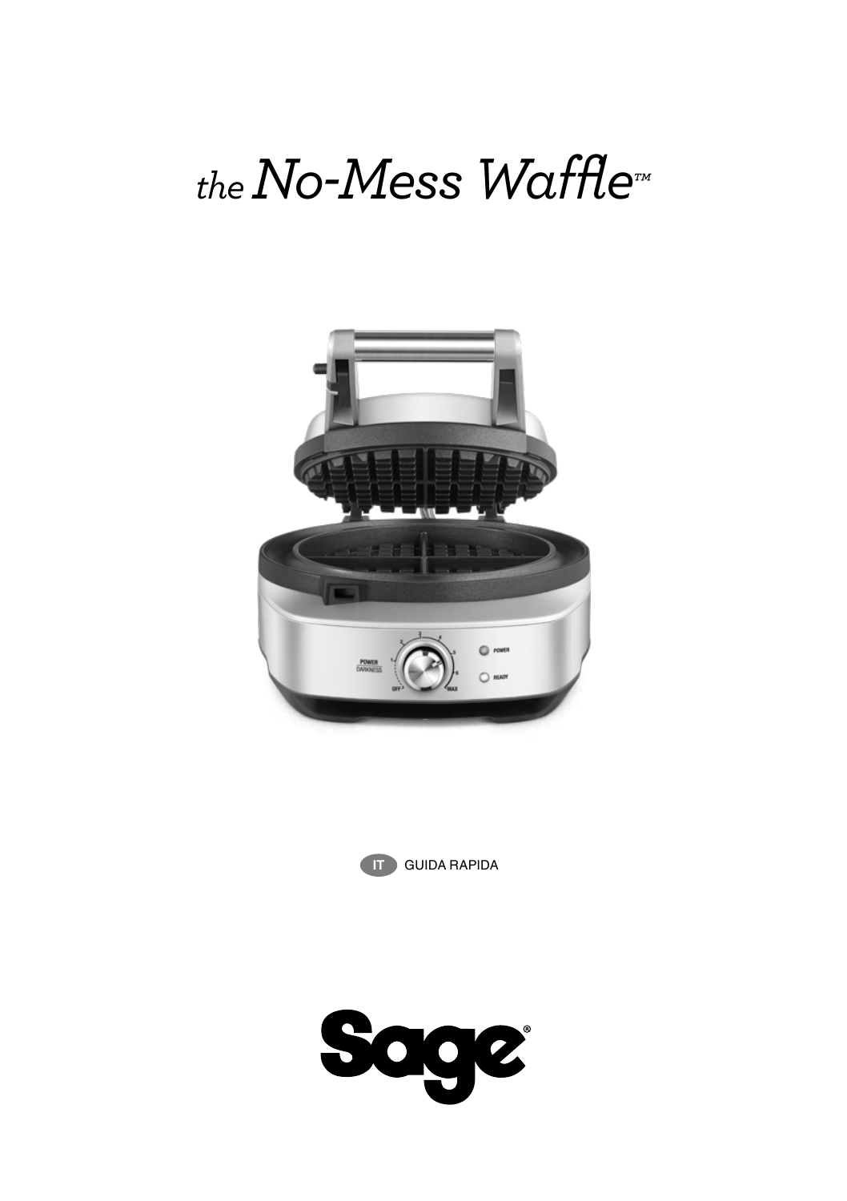# *the No-Mess Waffle™*





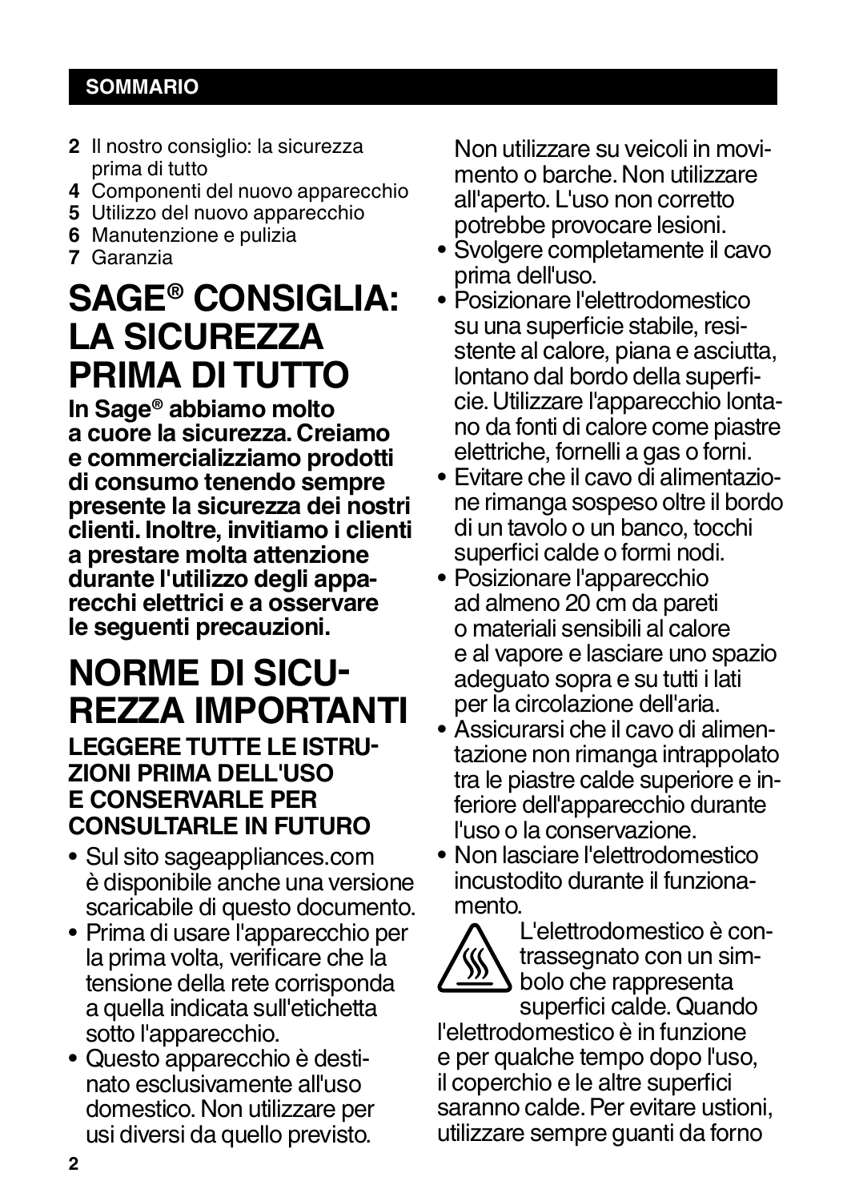## **SOMMARIO**

- **2** Il nostro consiglio: la sicurezza prima di tutto
- **4** Componenti del nuovo apparecchio
- **5** Utilizzo del nuovo apparecchio
- **6** Manutenzione e pulizia
- **7** Garanzia

## **SAGE® CONSIGLIA: LA SICUREZZA PRIMA DI TUTTO**

**In Sage® abbiamo molto a cuore la sicurezza. Creiamo e commercializziamo prodotti di consumo tenendo sempre presente la sicurezza dei nostri clienti. Inoltre, invitiamo i clienti a prestare molta attenzione durante l'utilizzo degli appa- recchi elettrici e a osservare le seguenti precauzioni.**

## **NORME DI SICU-REZZA IMPORTANTI**

## **LEGGERE TUTTE LE ISTRU-ZIONI PRIMA DELL'USO E CONSERVARLE PER CONSULTARLE IN FUTURO**

- Sul sito sageappliances.com è disponibile anche una versione scaricabile di questo documento.
- Prima di usare l'apparecchio per la prima volta, verificare che la tensione della rete corrisponda a quella indicata sull'etichetta sotto l'apparecchio.
- Questo apparecchio è destinato esclusivamente all'uso domestico. Non utilizzare per usi diversi da quello previsto.

Non utilizzare su veicoli in movimento o barche. Non utilizzare all'aperto. L'uso non corretto potrebbe provocare lesioni.

- Svolgere completamente il cavo prima dell'uso.
- Posizionare l'elettrodomestico su una superficie stabile, resistente al calore, piana e asciutta, lontano dal bordo della superficie. Utilizzare l'apparecchio lontano da fonti di calore come piastre elettriche, fornelli a gas o forni.
- Evitare che il cavo di alimentazione rimanga sospeso oltre il bordo di un tavolo o un banco, tocchi superfici calde o formi nodi.
- Posizionare l'apparecchio ad almeno 20 cm da pareti o materiali sensibili al calore e al vapore e lasciare uno spazio adeguato sopra e su tutti i lati per la circolazione dell'aria.
- Assicurarsi che il cavo di alimentazione non rimanga intrappolato tra le piastre calde superiore e inferiore dell'apparecchio durante l'uso o la conservazione.
- Non lasciare l'elettrodomestico incustodito durante il funzionamento.



L'elettrodomestico è contrassegnato con un simbolo che rappresenta superfici calde. Quando

l'elettrodomestico è in funzione e per qualche tempo dopo l'uso, il coperchio e le altre superfici saranno calde. Per evitare ustioni, utilizzare sempre guanti da forno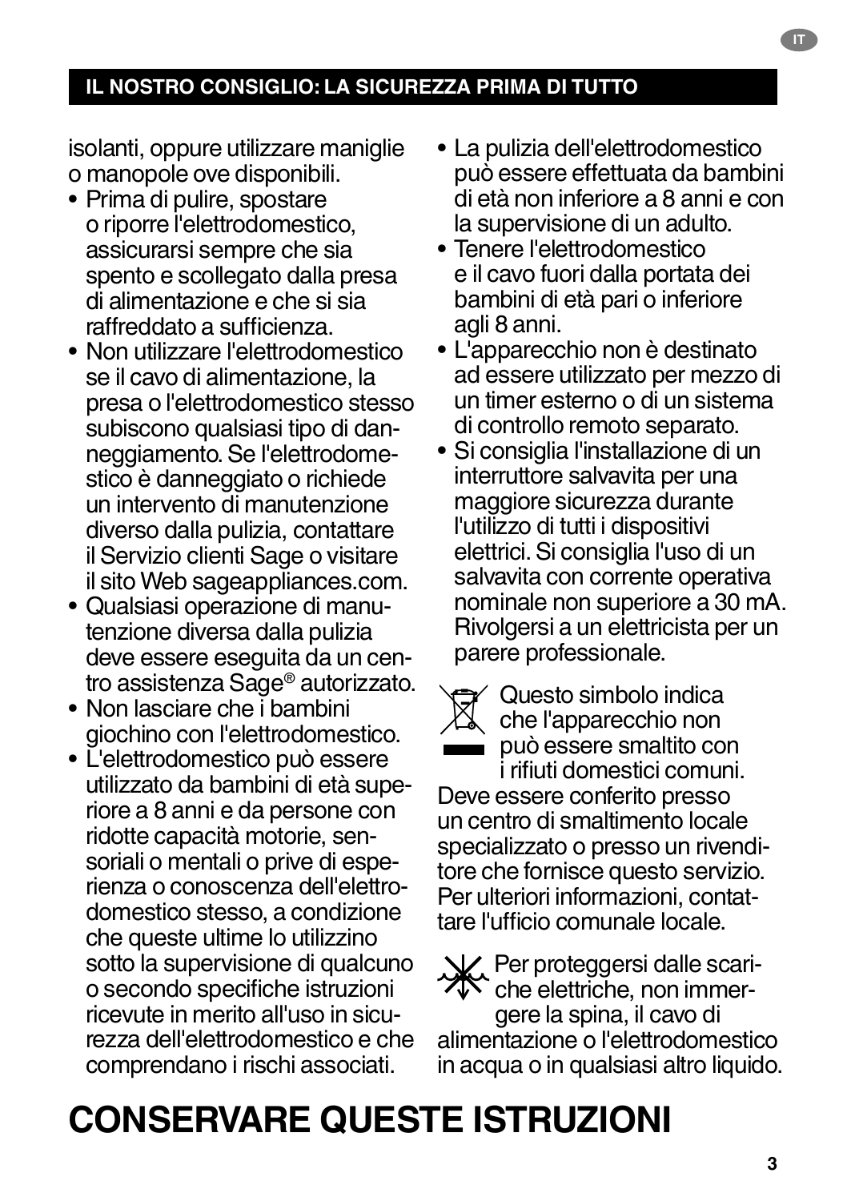## **IL NOSTRO CONSIGLIO: LA SICUREZZA PRIMA DI TUTTO**

isolanti, oppure utilizzare maniglie o manopole ove disponibili.

- Prima di pulire, spostare o riporre l'elettrodomestico, assicurarsi sempre che sia spento e scollegato dalla presa di alimentazione e che si sia raffreddato a sufficienza.
- Non utilizzare l'elettrodomestico se il cavo di alimentazione, la presa o l'elettrodomestico stesso subiscono qualsiasi tipo di danneggiamento. Se l'elettrodomestico è danneggiato o richiede un intervento di manutenzione diverso dalla pulizia, contattare il Servizio clienti Sage o visitare il sito Web sageappliances.com.
- Qualsiasi operazione di manutenzione diversa dalla pulizia deve essere eseguita da un centro assistenza Sage® autorizzato.
- Non lasciare che i bambini giochino con l'elettrodomestico.
- L'elettrodomestico può essere utilizzato da bambini di età superiore a 8 anni e da persone con ridotte capacità motorie, sensoriali o mentali o prive di esperienza o conoscenza dell'elettrodomestico stesso, a condizione che queste ultime lo utilizzino sotto la supervisione di qualcuno o secondo specifiche istruzioni ricevute in merito all'uso in sicurezza dell'elettrodomestico e che comprendano i rischi associati.
- La pulizia dell'elettrodomestico può essere effettuata da bambini di età non inferiore a 8 anni e con la supervisione di un adulto.
- Tenere l'elettrodomestico e il cavo fuori dalla portata dei bambini di età pari o inferiore agli 8 anni.
- L'apparecchio non è destinato ad essere utilizzato per mezzo di un timer esterno o di un sistema di controllo remoto separato.
- Si consiglia l'installazione di un interruttore salvavita per una maggiore sicurezza durante l'utilizzo di tutti i dispositivi elettrici. Si consiglia l'uso di un salvavita con corrente operativa nominale non superiore a 30 mA. Rivolgersi a un elettricista per un parere professionale.
- 

Questo simbolo indica che l'apparecchio non può essere smaltito con i rifiuti domestici comuni.

Deve essere conferito presso un centro di smaltimento locale specializzato o presso un rivenditore che fornisce questo servizio. Per ulteriori informazioni, contattare l'ufficio comunale locale.

Per proteggersi dalle scariche elettriche, non immergere la spina, il cavo di alimentazione o l'elettrodomestico in acqua o in qualsiasi altro liquido.

## **CONSERVARE QUESTE ISTRUZIONI**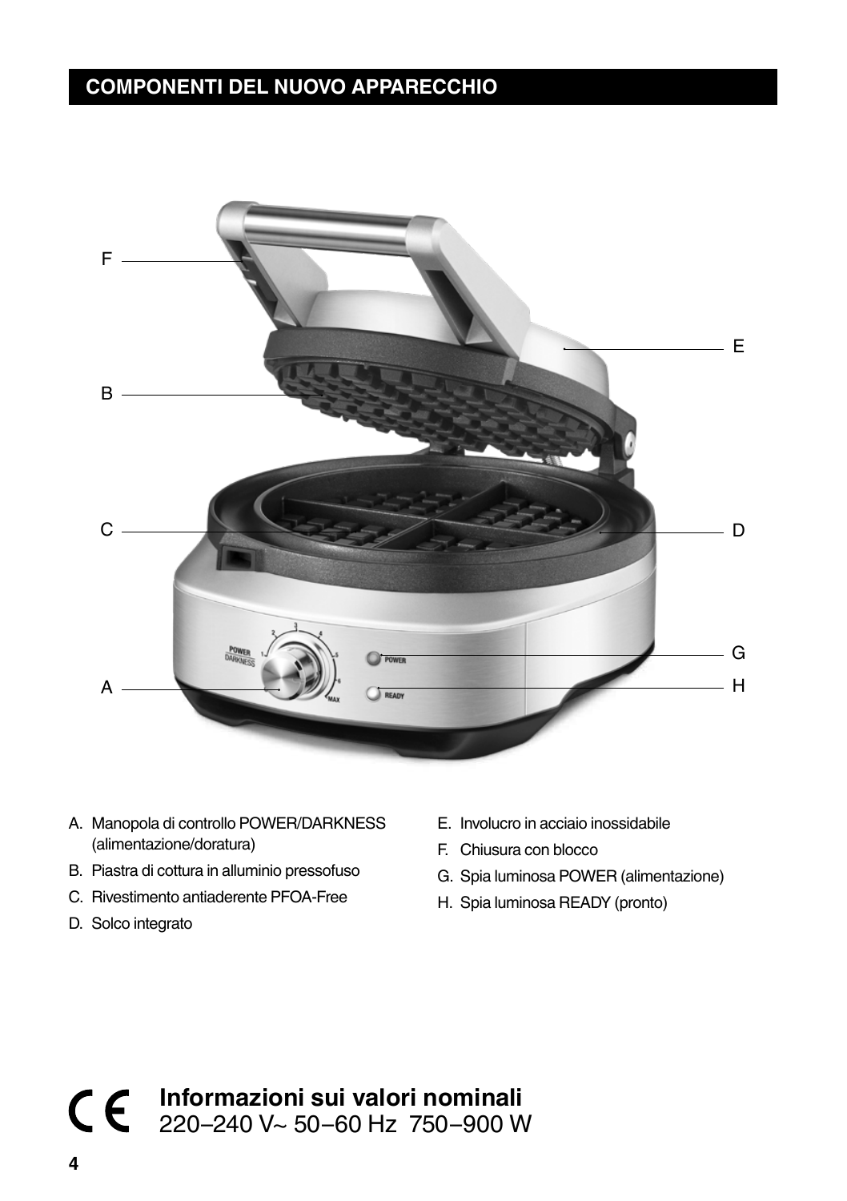## **COMPONENTI DEL NUOVO APPARECCHIO**



- A. Manopola di controllo POWER/DARKNESS (alimentazione/doratura)
- B. Piastra di cottura in alluminio pressofuso
- C. Rivestimento antiaderente PFOA-Free
- D. Solco integrato
- E. Involucro in acciaio inossidabile
- F. Chiusura con blocco
- G. Spia luminosa POWER (alimentazione)
- H. Spia luminosa READY (pronto)

**Informazioni sui valori nominali** 220–240 V~ 50–60 Hz 750–900 W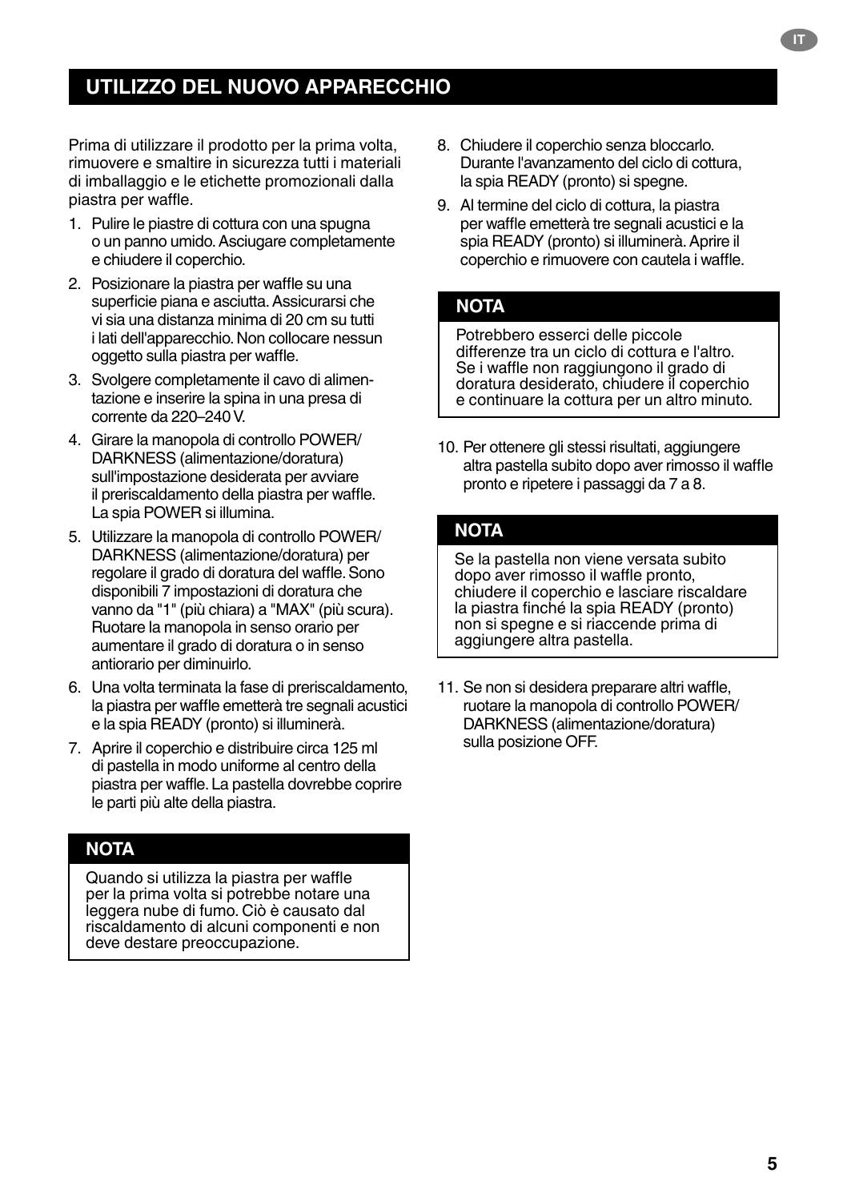## **UTILIZZO DEL NUOVO APPARECCHIO**

Prima di utilizzare il prodotto per la prima volta, rimuovere e smaltire in sicurezza tutti i materiali di imballaggio e le etichette promozionali dalla piastra per waffle.

- 1. Pulire le piastre di cottura con una spugna o un panno umido. Asciugare completamente e chiudere il coperchio.
- 2. Posizionare la piastra per waffle su una superficie piana e asciutta. Assicurarsi che vi sia una distanza minima di 20 cm su tutti i lati dell'apparecchio. Non collocare nessun oggetto sulla piastra per waffle.
- 3. Svolgere completamente il cavo di alimentazione e inserire la spina in una presa di corrente da 220–240 V.
- 4. Girare la manopola di controllo POWER/ DARKNESS (alimentazione/doratura) sull'impostazione desiderata per avviare il preriscaldamento della piastra per waffle. La spia POWER si illumina.
- 5. Utilizzare la manopola di controllo POWER/ DARKNESS (alimentazione/doratura) per regolare il grado di doratura del waffle. Sono disponibili 7 impostazioni di doratura che vanno da "1" (più chiara) a "MAX" (più scura). Ruotare la manopola in senso orario per aumentare il grado di doratura o in senso antiorario per diminuirlo.
- 6. Una volta terminata la fase di preriscaldamento, la piastra per waffle emetterà tre segnali acustici e la spia READY (pronto) si illuminerà.
- 7. Aprire il coperchio e distribuire circa 125 ml di pastella in modo uniforme al centro della piastra per waffle. La pastella dovrebbe coprire le parti più alte della piastra.

### **NOTA**

Quando si utilizza la piastra per waffle per la prima volta si potrebbe notare una leggera nube di fumo. Ciò è causato dal riscaldamento di alcuni componenti e non deve destare preoccupazione.

- 8. Chiudere il coperchio senza bloccarlo. Durante l'avanzamento del ciclo di cottura, la spia READY (pronto) si spegne.
- 9. Al termine del ciclo di cottura, la piastra per waffle emetterà tre segnali acustici e la spia READY (pronto) si illuminerà. Aprire il coperchio e rimuovere con cautela i waffle.

### **NOTA**

Potrebbero esserci delle piccole differenze tra un ciclo di cottura e l'altro. Se i waffle non raggiungono il grado di doratura desiderato, chiudere il coperchio e continuare la cottura per un altro minuto.

10. Per ottenere gli stessi risultati, aggiungere altra pastella subito dopo aver rimosso il waffle pronto e ripetere i passaggi da 7 a 8.

### **NOTA**

Se la pastella non viene versata subito dopo aver rimosso il waffle pronto, chiudere il coperchio e lasciare riscaldare la piastra finché la spia READY (pronto) non si spegne e si riaccende prima di aggiungere altra pastella.

11. Se non si desidera preparare altri waffle, ruotare la manopola di controllo POWER/ DARKNESS (alimentazione/doratura) sulla posizione OFF.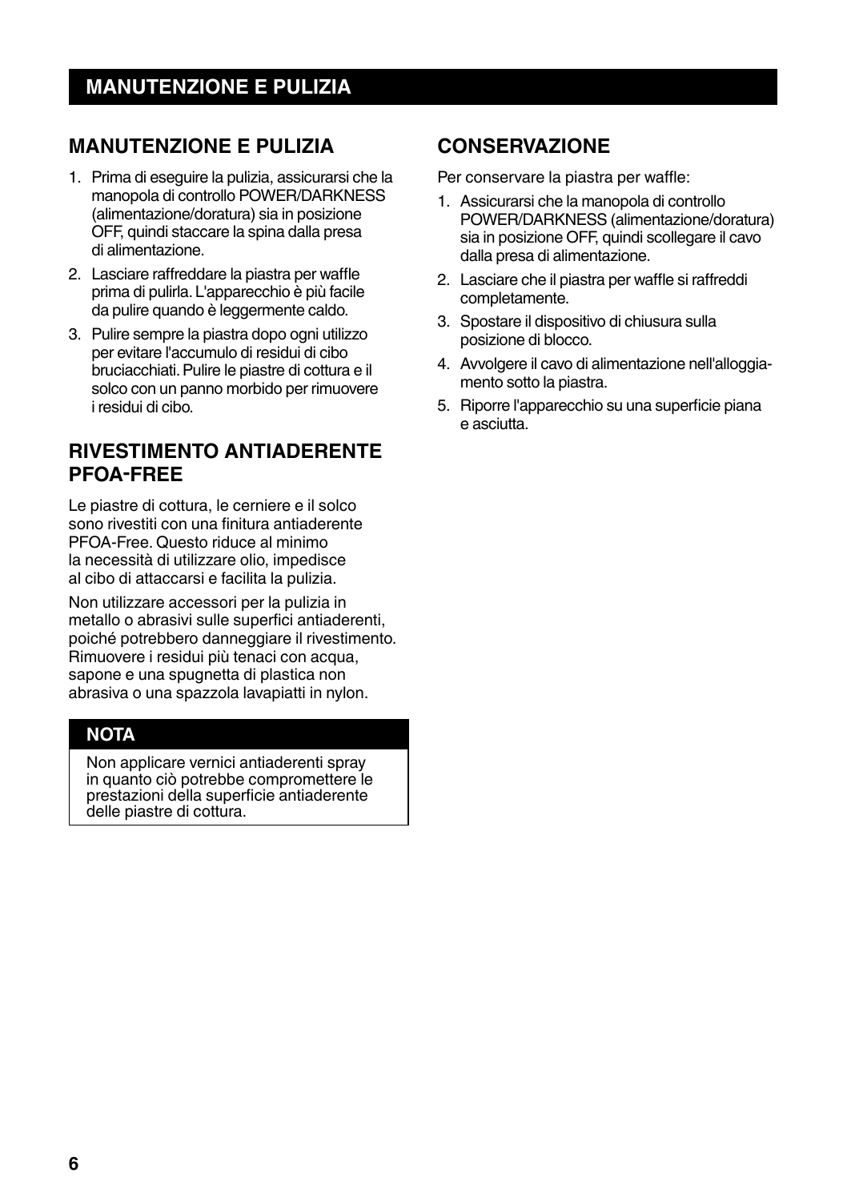## **MANUTENZIONE E PULIZIA**

- 1. Prima di eseguire la pulizia, assicurarsi che la manopola di controllo POWER/DARKNESS (alimentazione/doratura) sia in posizione OFF, quindi staccare la spina dalla presa di alimentazione.
- 2. Lasciare raffreddare la piastra per waffle prima di pulirla. L'apparecchio è più facile da pulire quando è leggermente caldo.
- 3. Pulire sempre la piastra dopo ogni utilizzo per evitare l'accumulo di residui di cibo bruciacchiati. Pulire le piastre di cottura e il solco con un panno morbido per rimuovere i residui di cibo.

## **RIVESTIMENTO ANTIADERENTE PFOA-FREE**

Le piastre di cottura, le cerniere e il solco sono rivestiti con una finitura antiaderente PFOA-Free. Questo riduce al minimo la necessità di utilizzare olio, impedisce al cibo di attaccarsi e facilita la pulizia.

Non utilizzare accessori per la pulizia in metallo o abrasivi sulle superfici antiaderenti, poiché potrebbero danneggiare il rivestimento. Rimuovere i residui più tenaci con acqua, sapone e una spugnetta di plastica non abrasiva o una spazzola lavapiatti in nylon.

## **NOTA**

Non applicare vernici antiaderenti spray in quanto ciò potrebbe compromettere le prestazioni della superficie antiaderente delle piastre di cottura.

## **CONSERVAZIONE**

Per conservare la piastra per waffle:

- 1. Assicurarsi che la manopola di controllo POWER/DARKNESS (alimentazione/doratura) sia in posizione OFF, quindi scollegare il cavo dalla presa di alimentazione.
- 2. Lasciare che il piastra per waffle si raffreddi completamente.
- 3. Spostare il dispositivo di chiusura sulla posizione di blocco.
- 4. Avvolgere il cavo di alimentazione nell'alloggiamento sotto la piastra.
- 5. Riporre l'apparecchio su una superficie piana e asciutta.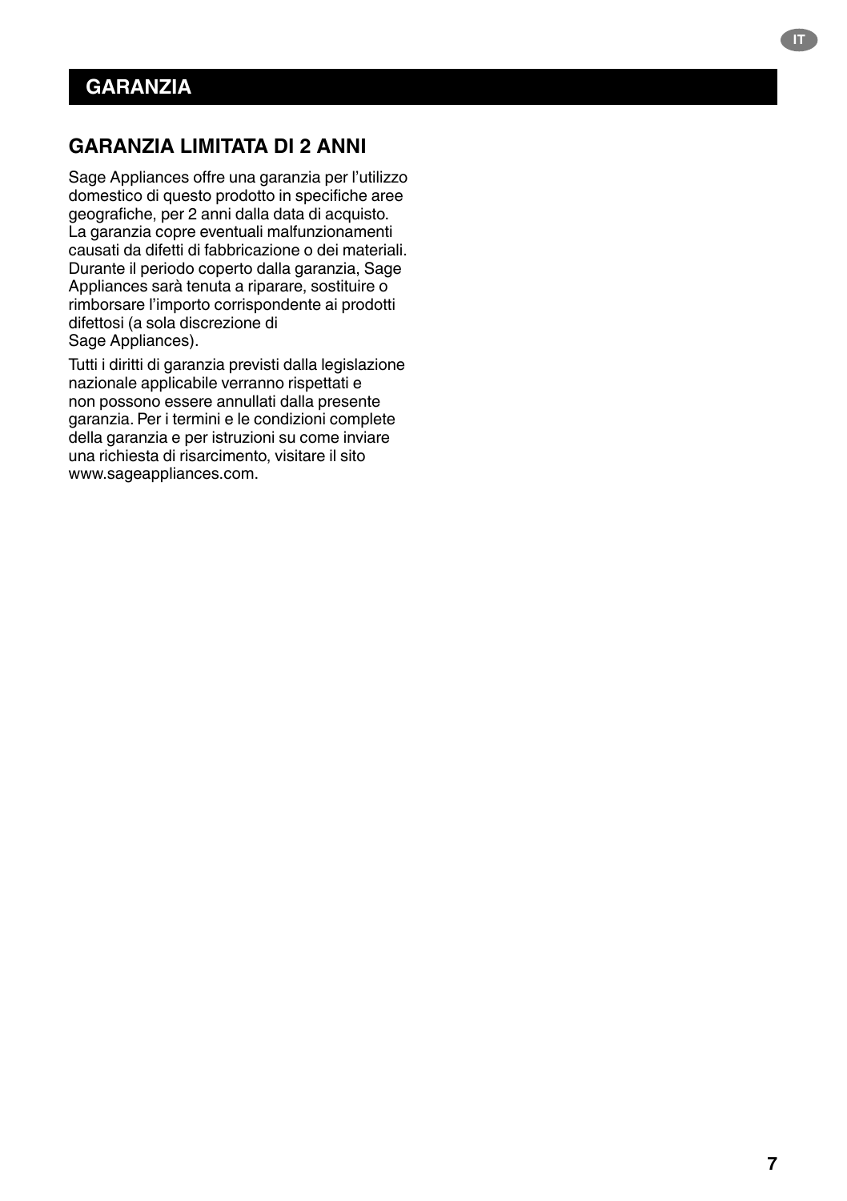## **GARANZIA LIMITATA DI 2 ANNI**

Sage Appliances offre una garanzia per l'utilizzo domestico di questo prodotto in specifiche aree geografiche, per 2 anni dalla data di acquisto. La garanzia copre eventuali malfunzionamenti causati da difetti di fabbricazione o dei materiali. Durante il periodo coperto dalla garanzia, Sage Appliances sarà tenuta a riparare, sostituire o rimborsare l'importo corrispondente ai prodotti difettosi (a sola discrezione di Sage Appliances).

Tutti i diritti di garanzia previsti dalla legislazione nazionale applicabile verranno rispettati e non possono essere annullati dalla presente garanzia. Per i termini e le condizioni complete della garanzia e per istruzioni su come inviare una richiesta di risarcimento, visitare il sito www.sageappliances.com.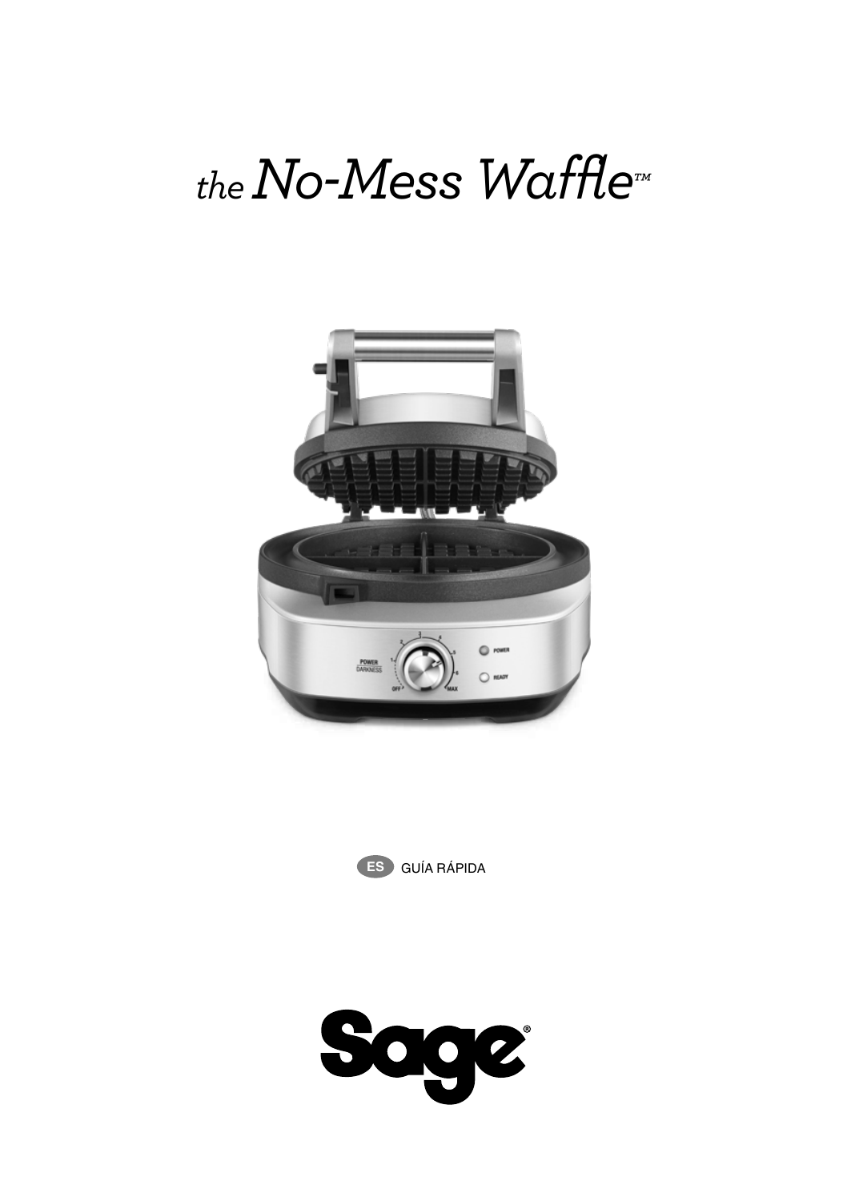# *the No-Mess Waffle™*





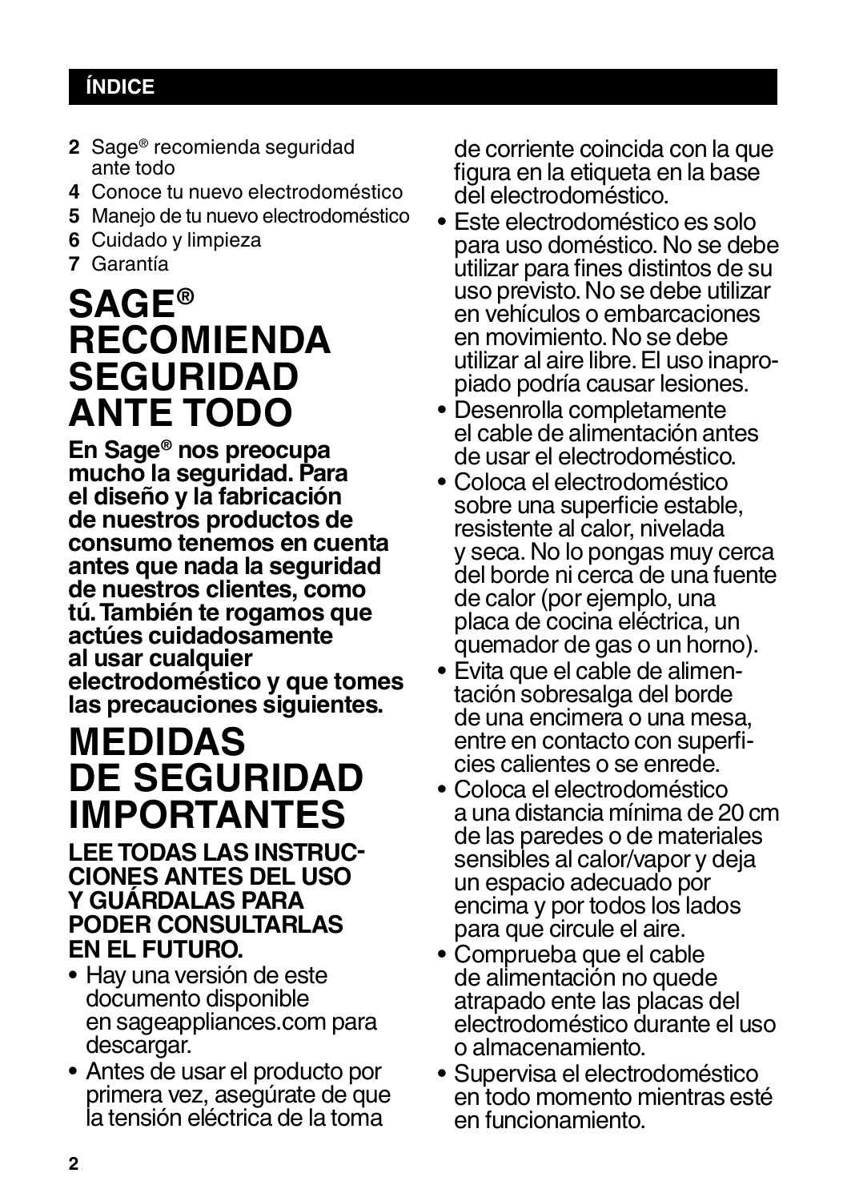## **ÍNDICE**

- **2** Sage® recomienda seguridad ante todo
- **4** Conoce tu nuevo electrodoméstico
- **5** Manejo de tu nuevo electrodoméstico
- **6** Cuidado y limpieza
- **7** Garantía

## **SAGE® RECOMIENDA SEGURIDAD ANTE TODO**

**En Sage® nos preocupa mucho la seguridad. Para el diseño y la fabricación de nuestros productos de consumo tenemos en cuenta antes que nada la seguridad de nuestros clientes, como tú. También te rogamos que actúes cuidadosamente al usar cualquier electrodoméstico y que tomes las precauciones siguientes.**

## **MEDIDAS DE SEGURIDAD IMPORTANTES**

## **LEE TODAS LAS INSTRUC- CIONES ANTES DEL USO Y GUÁRDALAS PARA PODER CONSULTARLAS EN EL FUTURO.**

- Hay una versión de este documento disponible en sageappliances.com para descargar.
- Antes de usar el producto por primera vez, asegúrate de que la tensión eléctrica de la toma

de corriente coincida con la que figura en la etiqueta en la base del electrodoméstico.

- Este electrodoméstico es solo para uso doméstico. No se debe utilizar para fines distintos de su uso previsto. No se debe utilizar en vehículos o embarcaciones en movimiento. No se debe utilizar al aire libre. El uso inapro- piado podría causar lesiones.
- Desenrolla completamente el cable de alimentación antes de usar el electrodoméstico.
- Coloca el electrodoméstico sobre una superficie estable, resistente al calor, nivelada y seca. No lo pongas muy cerca del borde ni cerca de una fuente de calor (por ejemplo, una placa de cocina eléctrica, un
- quemador de gas o un horno).<br>Evita que el cable de alimentación sobresalga del borde de una encimera o una mesa, entre en contacto con superfi- cies calientes o se enrede.
- Coloca el electrodoméstico a una distancia mínima de 20 cm de las paredes o de materiales sensibles al calor/vapor y deja un espacio adecuado por encima y por todos los lados para que circule el aire.
- Comprueba que el cable de alimentación no quede atrapado ente las placas del electrodoméstico durante el uso o almacenamiento.
- Supervisa el electrodoméstico en todo momento mientras esté en funcionamiento.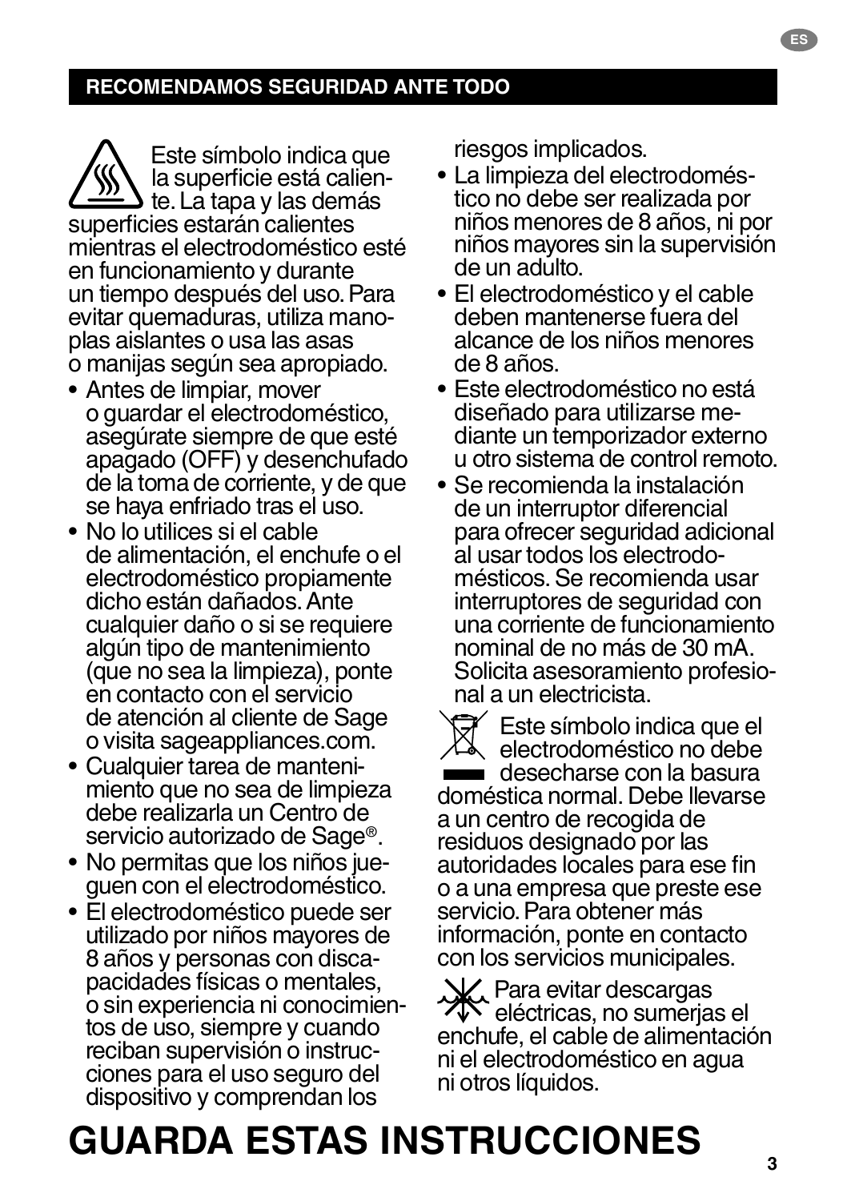## **RECOMENDAMOS SEGURIDAD ANTE TODO**

Este símbolo indica que<br>la superficie está calien- $\boldsymbol{\Delta}$  te. La tapa y las demás superficies estarán calientes mientras el electrodoméstico esté en funcionamiento y durante un tiempo después del uso. Para evitar quemaduras, utiliza mano- plas aislantes o usa las asas o manijas según sea apropiado.

- Antes de limpiar, mover o guardar el electrodoméstico, asegúrate siempre de que esté apagado (OFF) y desenchufado de la toma de corriente, y de que se haya enfriado tras el uso.
- No lo utilices si el cable de alimentación, el enchufe o el electrodoméstico propiamente dicho están dañados. Ante cualquier daño o si se requiere algún tipo de mantenimiento (que no sea la limpieza), ponte en contacto con el servicio de atención al cliente de Sage o visita sageappliances.com.
- Cualquier tarea de manteni- miento que no sea de limpieza debe realizarla un Centro de servicio autorizado de Sage®.
- No permitas que los niños jue- guen con el electrodoméstico.
- El electrodoméstico puede ser utilizado por niños mayores de <sup>8</sup> años y personas con disca- pacidades físicas o mentales, o sin experiencia ni conocimien-<br>tos de uso, siempre y cuando<br>reciban supervisión o instrucciones para el uso seguro del dispositivo y comprendan los

riesgos implicados.<br>• La limpieza del electrodoméstico no debe ser realizada por niños menores de 8 años, ni por niños mayores sin la supervisión de un adulto.

**ES**

- El electrodoméstico y el cable deben mantenerse fuera del alcance de los niños menores de 8 años.
- Este electrodoméstico no está diante un temporizador externo u otro sistema de control remoto.
- Se recomienda la instalación de un interruptor diferencial para ofrecer seguridad adicional<br>al usar todos los electrodomésticos. Se recomienda usar interruptores de seguridad con una corriente de funcionamiento nominal de no más de 30 mA. Solicita asesoramiento profesio- nal a un electricista.
- Este símbolo indica que el electrodoméstico no debe desecharse con la basura doméstica normal. Debe llevarse a un centro de recogida de residuos designado por las autoridades locales para ese fin o a una empresa que preste ese servicio. Para obtener más información, ponte en contacto con los servicios municipales.

 $\mathbf{V}$ , Para evitar descargas **XX** eléctricas, no sumerjas el enchufe, el cable de alimentación ni el electrodoméstico en agua ni otros líquidos.

## **GUARDA ESTAS INSTRUCCIONES**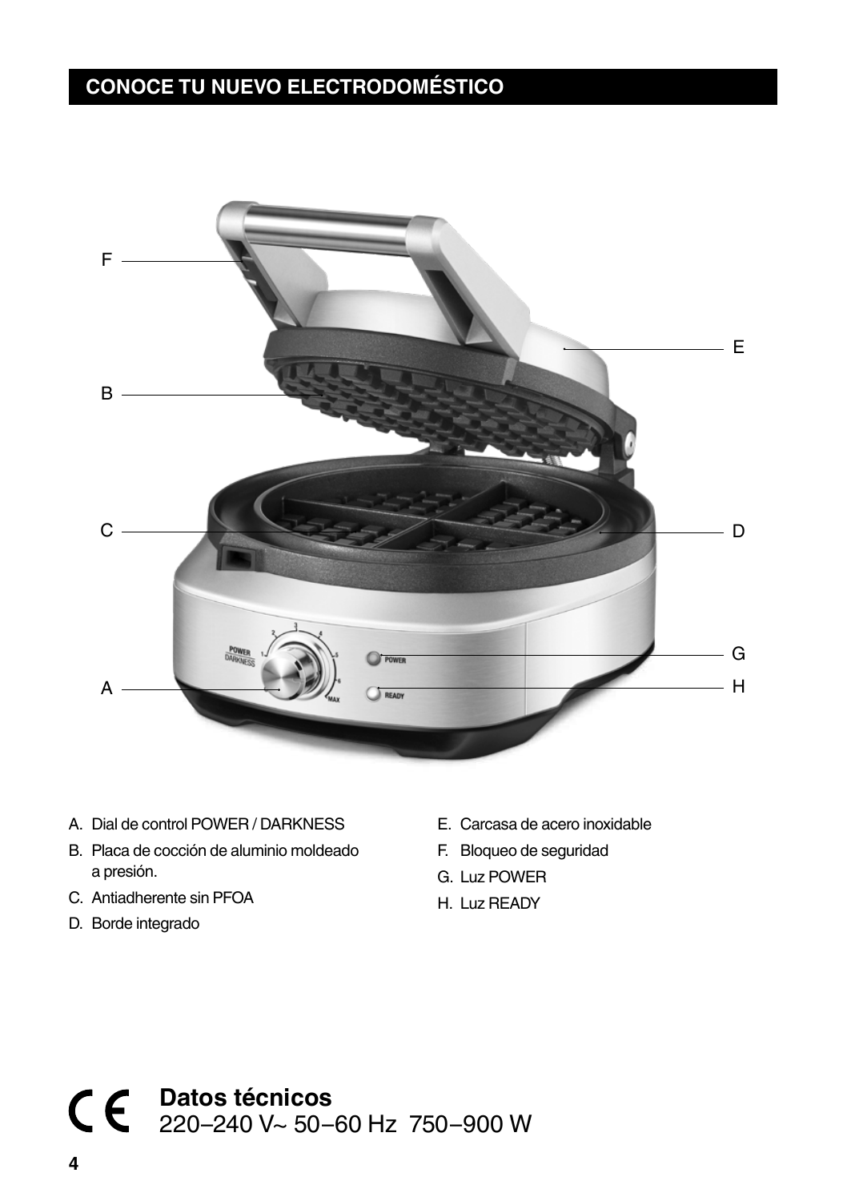## **CONOCE TU NUEVO ELECTRODOMÉSTICO**



- A. Dial de control POWER / DARKNESS
- B. Placa de cocción de aluminio moldeado a presión.
- C. Antiadherente sin PFOA
- D. Borde integrado
- E. Carcasa de acero inoxidable
- F. Bloqueo de seguridad
- G. Luz POWER
- H. Luz READY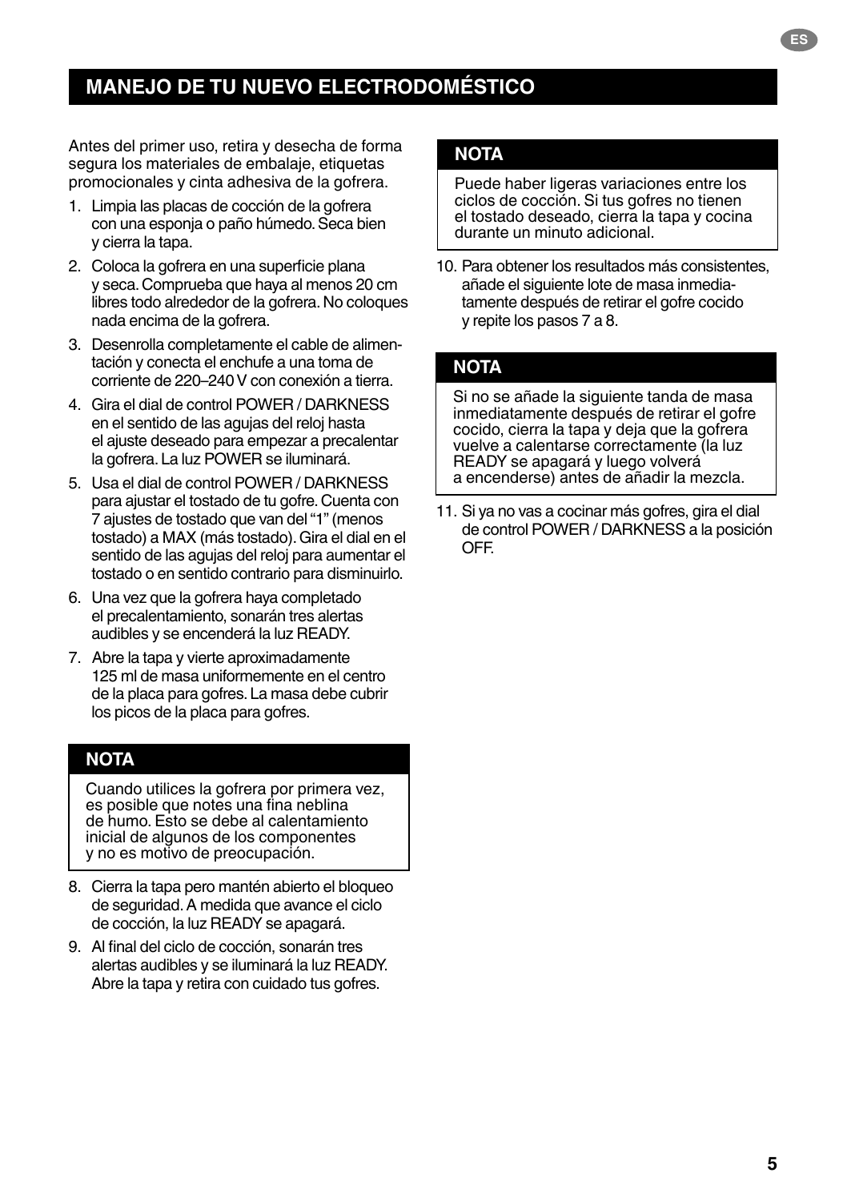## **MANEJO DE TU NUEVO ELECTRODOMÉSTICO**

Antes del primer uso, retira y desecha de forma segura los materiales de embalaje, etiquetas promocionales y cinta adhesiva de la gofrera.

- 1. Limpia las placas de cocción de la gofrera con una esponja o paño húmedo. Seca bien y cierra la tapa.
- 2. Coloca la gofrera en una superficie plana y seca. Comprueba que haya al menos 20 cm libres todo alrededor de la gofrera. No coloques nada encima de la gofrera.
- 3. Desenrolla completamente el cable de alimentación y conecta el enchufe a una toma de corriente de 220–240V con conexión a tierra.
- 4. Gira el dial de control POWER / DARKNESS en el sentido de las agujas del reloj hasta el ajuste deseado para empezar a precalentar la gofrera. La luz POWER se iluminará.
- 5. Usa el dial de control POWER / DARKNESS para ajustar el tostado de tu gofre. Cuenta con 7 ajustes de tostado que van del "1" (menos tostado) a MAX (más tostado). Gira el dial en el sentido de las agujas del reloj para aumentar el tostado o en sentido contrario para disminuirlo.
- 6. Una vez que la gofrera haya completado el precalentamiento, sonarán tres alertas audibles y se encenderá la luz READY.
- 7. Abre la tapa y vierte aproximadamente 125 ml de masa uniformemente en el centro de la placa para gofres. La masa debe cubrir los picos de la placa para gofres.

### **NOTA**

Cuando utilices la gofrera por primera vez, es posible que notes una fina neblina de humo. Esto se debe al calentamiento inicial de algunos de los componentes y no es motivo de preocupación.

- 8. Cierra la tapa pero mantén abierto el bloqueo de seguridad. A medida que avance el ciclo de cocción, la luz READY se apagará.
- 9. Al final del ciclo de cocción, sonarán tres alertas audibles y se iluminará la luz READY. Abre la tapa y retira con cuidado tus gofres.

## **NOTA**

Puede haber ligeras variaciones entre los ciclos de cocción. Si tus gofres no tienen el tostado deseado, cierra la tapa y cocina durante un minuto adicional.

10. Para obtener los resultados más consistentes, añade el siguiente lote de masa inmediatamente después de retirar el gofre cocido y repite los pasos 7 a 8.

## **NOTA**

Si no se añade la siguiente tanda de masa inmediatamente después de retirar el gofre cocido, cierra la tapa y deja que la gofrera vuelve a calentarse correctamente (la luz READY se apagará y luego volverá a encenderse) antes de añadir la mezcla.

11. Si ya no vas a cocinar más gofres, gira el dial de control POWER / DARKNESS a la posición OFF.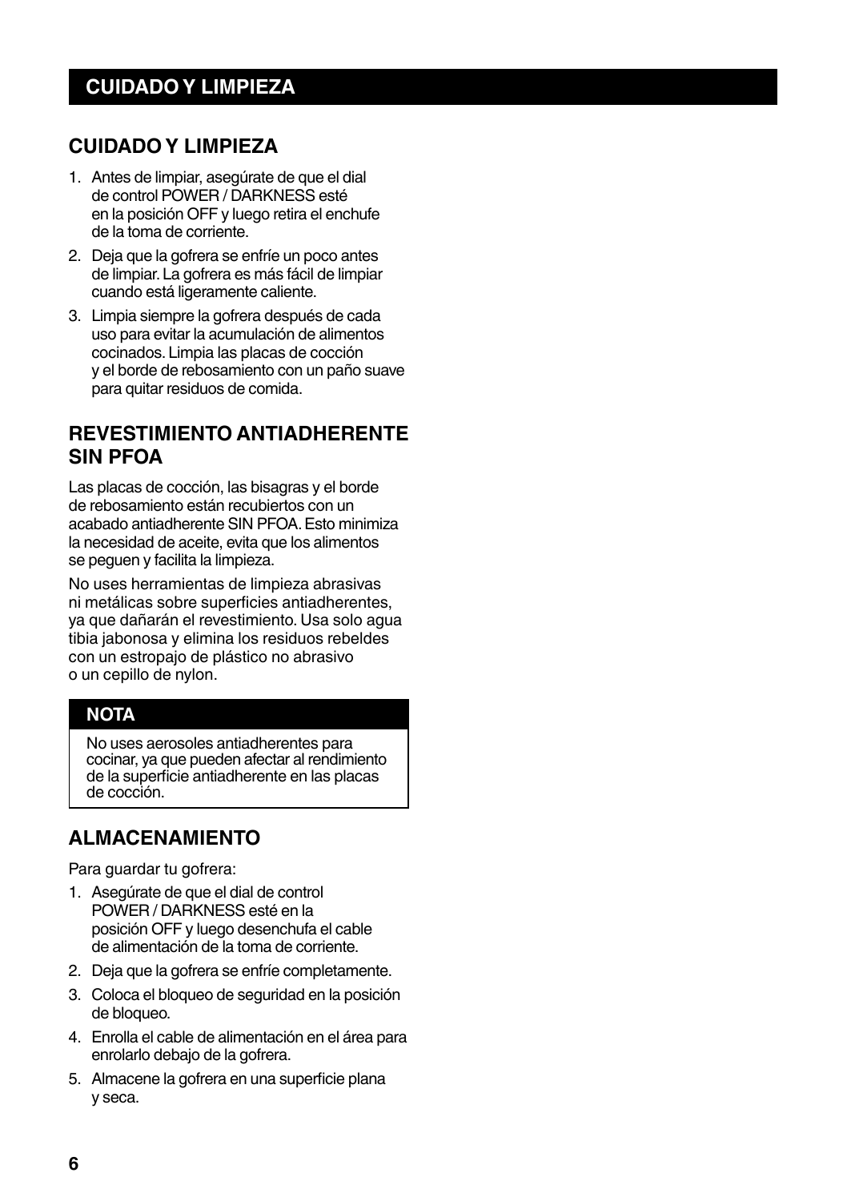## **CUIDADO Y LIMPIEZA**

- 1. Antes de limpiar, asegúrate de que el dial de control POWER / DARKNESS esté en la posición OFF y luego retira el enchufe de la toma de corriente.
- 2. Deja que la gofrera se enfríe un poco antes de limpiar. La gofrera es más fácil de limpiar cuando está ligeramente caliente.
- 3. Limpia siempre la gofrera después de cada uso para evitar la acumulación de alimentos cocinados. Limpia las placas de cocción y el borde de rebosamiento con un paño suave para quitar residuos de comida.

## **REVESTIMIENTO ANTIADHERENTE SIN PFOA**

Las placas de cocción, las bisagras y el borde de rebosamiento están recubiertos con un acabado antiadherente SIN PFOA. Esto minimiza la necesidad de aceite, evita que los alimentos se peguen y facilita la limpieza.

No uses herramientas de limpieza abrasivas ni metálicas sobre superficies antiadherentes, ya que dañarán el revestimiento. Usa solo agua tibia jabonosa y elimina los residuos rebeldes con un estropajo de plástico no abrasivo o un cepillo de nylon.

## **NOTA**

No uses aerosoles antiadherentes para cocinar, ya que pueden afectar al rendimiento de la superficie antiadherente en las placas de cocción.

## **ALMACENAMIENTO**

Para guardar tu gofrera:

- 1. Asegúrate de que el dial de control POWER / DARKNESS esté en la posición OFF y luego desenchufa el cable de alimentación de la toma de corriente.
- 2. Deja que la gofrera se enfríe completamente.
- 3. Coloca el bloqueo de seguridad en la posición de bloqueo.
- 4. Enrolla el cable de alimentación en el área para enrolarlo debajo de la gofrera.
- 5. Almacene la gofrera en una superficie plana y seca.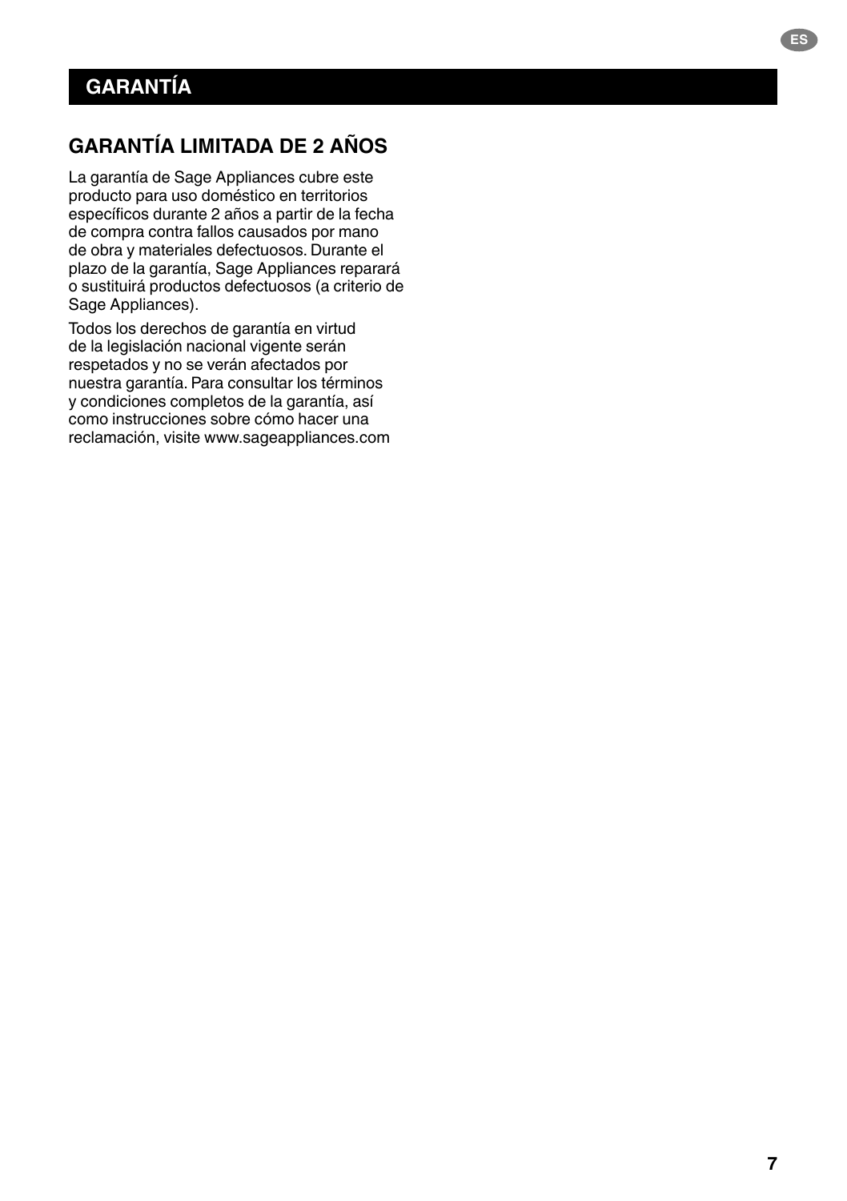## **GARANTÍA LIMITADA DE 2 AÑOS**

La garantía de Sage Appliances cubre este producto para uso doméstico en territorios específicos durante 2 años a partir de la fecha de compra contra fallos causados por mano de obra y materiales defectuosos. Durante el plazo de la garantía, Sage Appliances reparará o sustituirá productos defectuosos (a criterio de Sage Appliances).

Todos los derechos de garantía en virtud de la legislación nacional vigente serán respetados y no se verán afectados por nuestra garantía. Para consultar los términos y condiciones completos de la garantía, así como instrucciones sobre cómo hacer una reclamación, visite www.sageappliances.com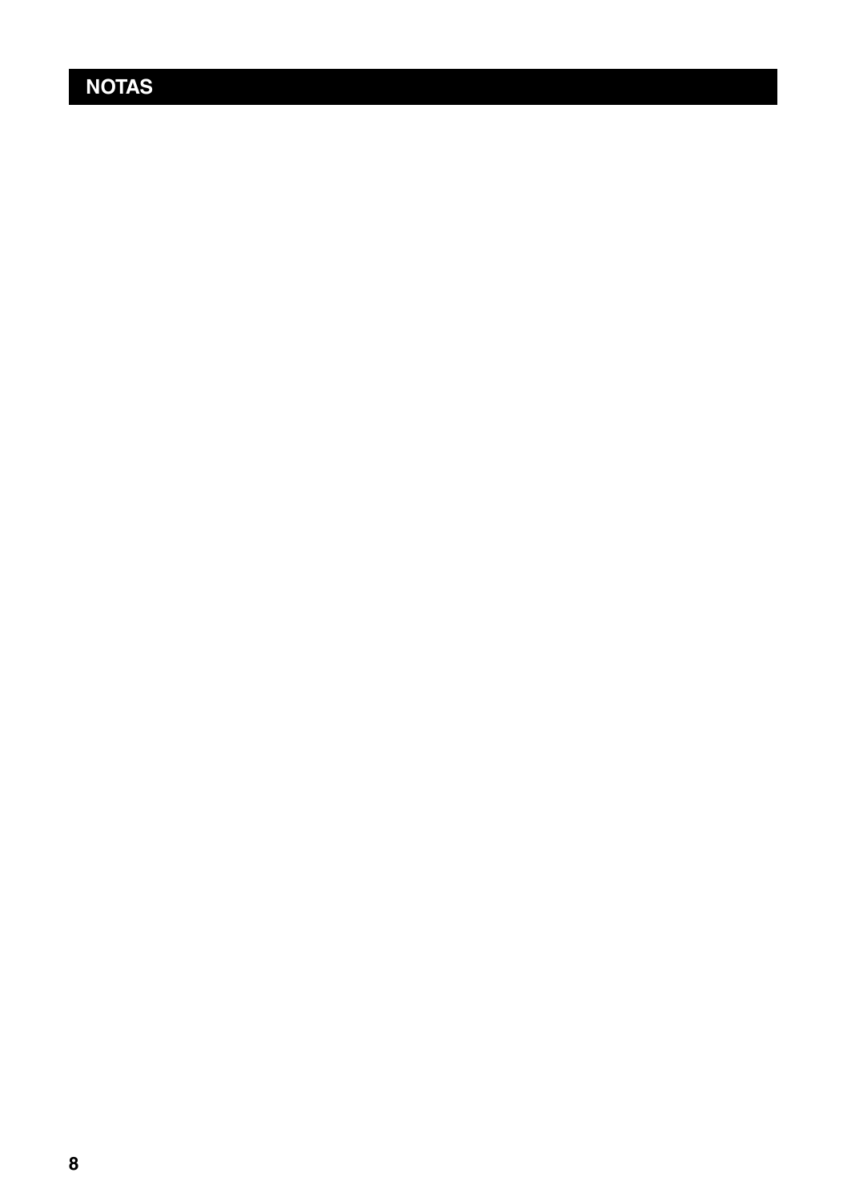## **NOTAS**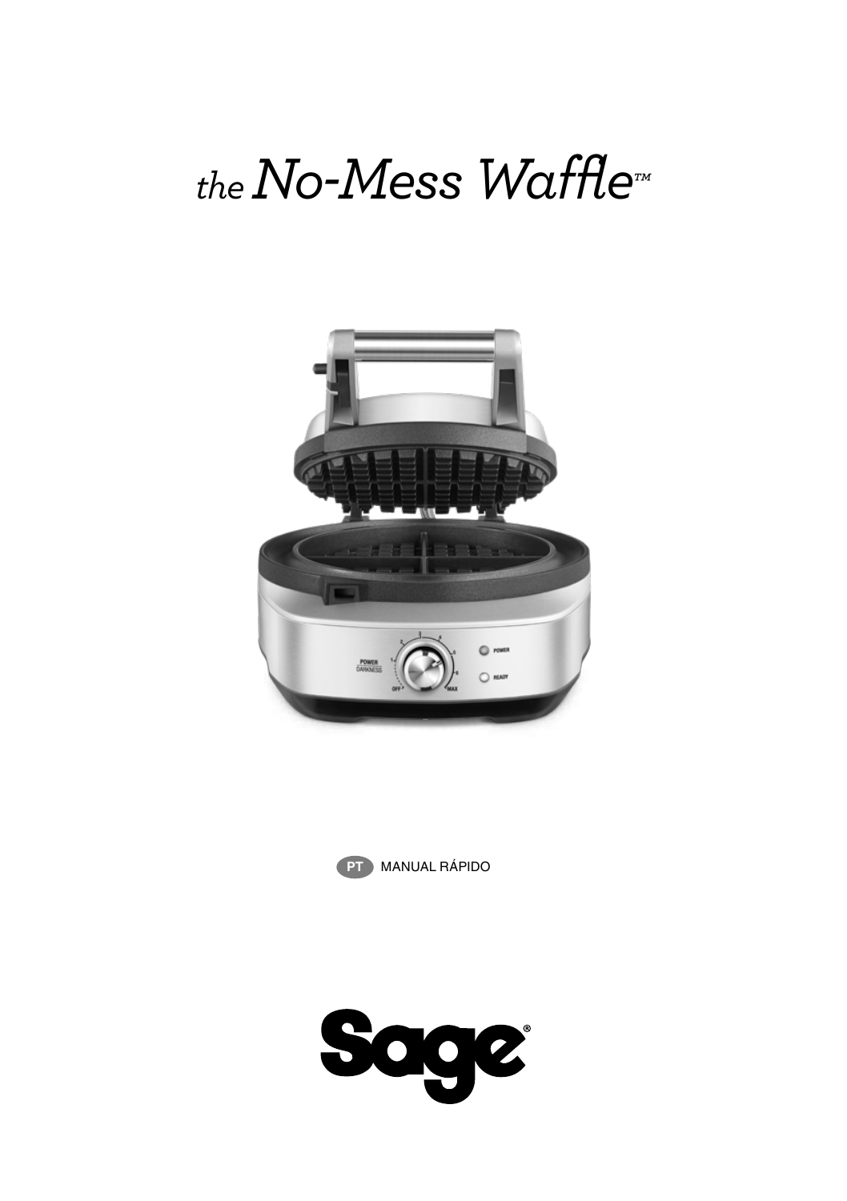# *the No-Mess Waffle™*





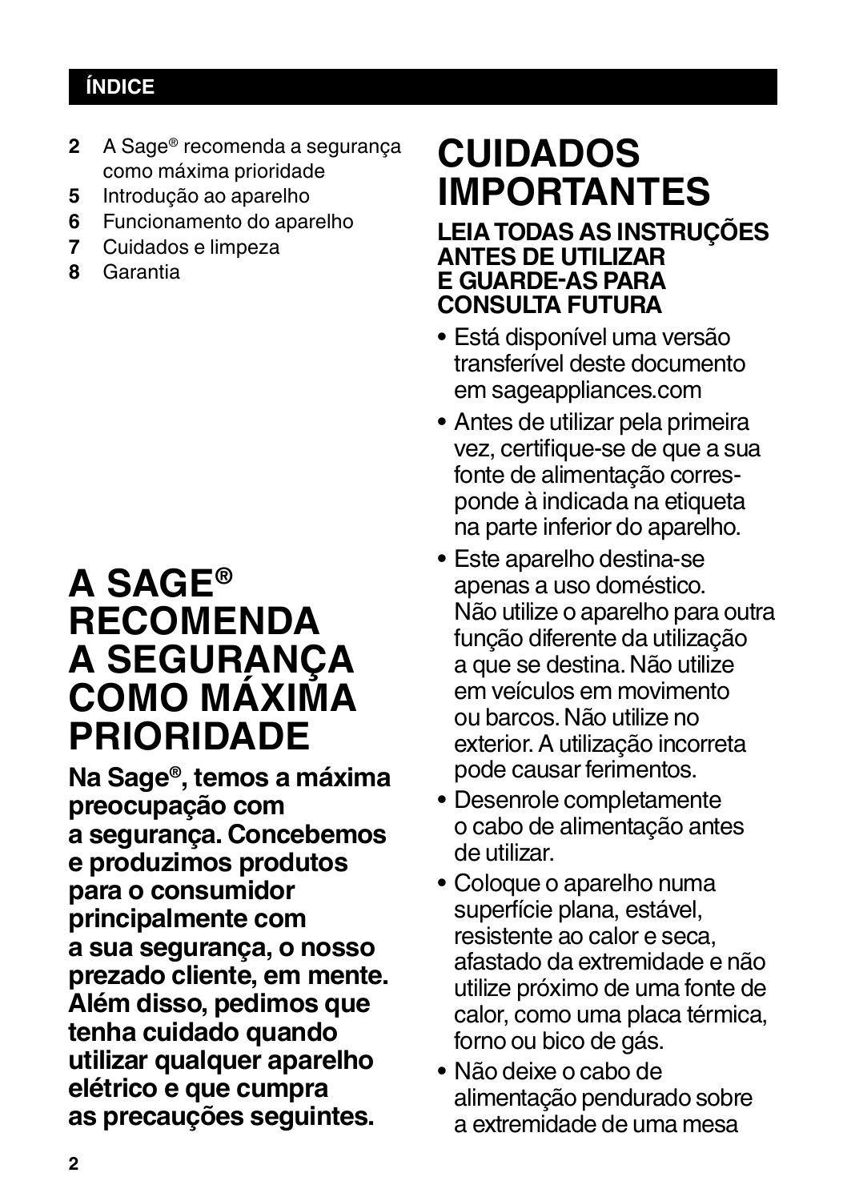## **ÍNDICE**

- **2** A Sage® recomenda a segurança como máxima prioridade
- **5** Introdução ao aparelho
- **6** Funcionamento do aparelho
- **7** Cuidados e limpeza
- **8** Garantia

## **A SAGE® RECOMENDA A SEGURANÇA COMO MÁXIMA PRIORIDADE**

**Na Sage®, temos a máxima preocupação com a segurança. Concebemos e produzimos produtos para o consumidor principalmente com a sua segurança, o nosso prezado cliente, em mente. Além disso, pedimos que tenha cuidado quando utilizar qualquer aparelho elétrico e que cumpra as precauções seguintes.**

## **CUIDADOS IMPORTANTES**

## **LEIA TODAS AS INSTRUÇÕES ANTES DE UTILIZAR E GUARDE-AS PARA CONSULTA FUTURA**

- Está disponível uma versão transferível deste documento em sageappliances.com
- Antes de utilizar pela primeira vez, certifique-se de que a sua fonte de alimentação corresponde à indicada na etiqueta na parte inferior do aparelho.
- Este aparelho destina-se apenas a uso doméstico. Não utilize o aparelho para outra função diferente da utilização a que se destina. Não utilize em veículos em movimento ou barcos. Não utilize no exterior. A utilização incorreta pode causar ferimentos.
- Desenrole completamente o cabo de alimentação antes de utilizar.
- Coloque o aparelho numa superfície plana, estável, resistente ao calor e seca, afastado da extremidade e não utilize próximo de uma fonte de calor, como uma placa térmica, forno ou bico de gás.
- Não deixe o cabo de alimentação pendurado sobre a extremidade de uma mesa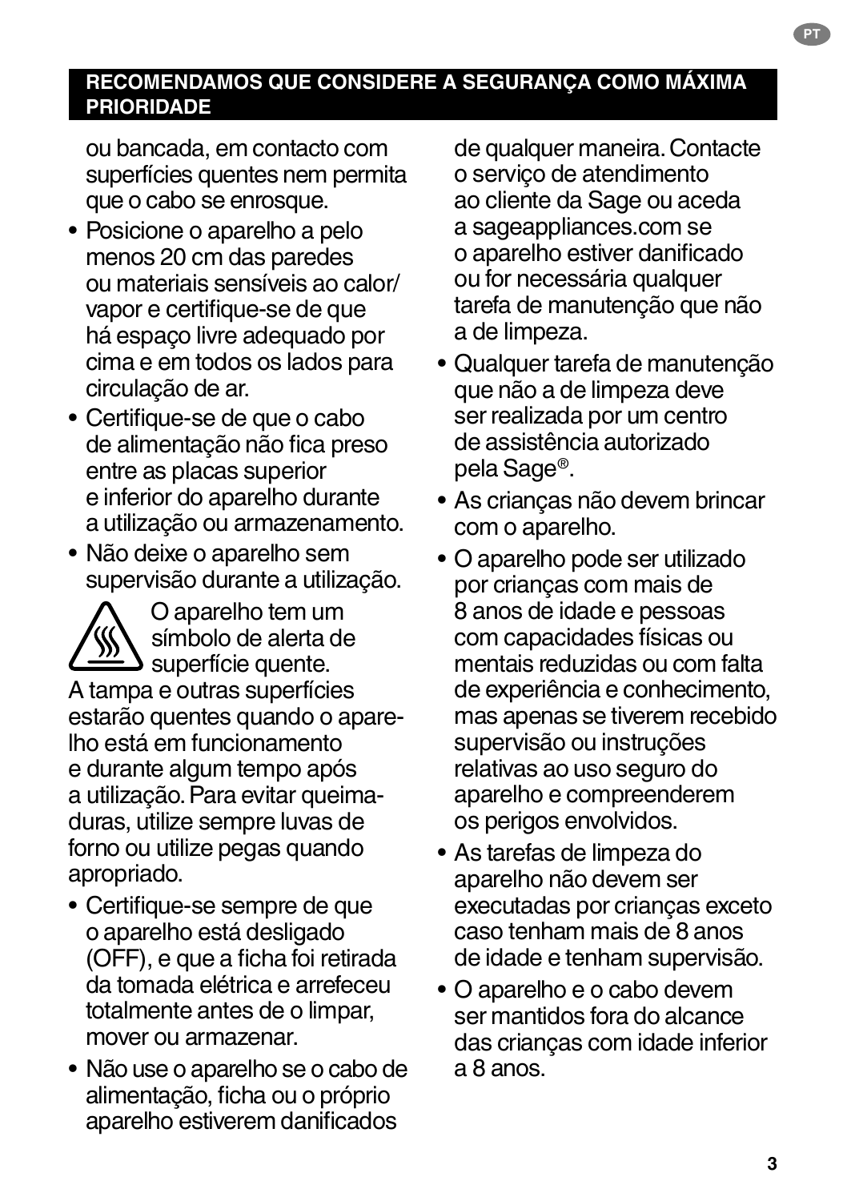## **RECOMENDAMOS QUE CONSIDERE A SEGURANÇA COMO MÁXIMA PRIORIDADE**

ou bancada, em contacto com superfícies quentes nem permita que o cabo se enrosque.

- Posicione o aparelho a pelo menos 20 cm das paredes ou materiais sensíveis ao calor/ vapor e certifique-se de que há espaço livre adequado por cima e em todos os lados para circulação de ar.
- Certifique-se de que o cabo de alimentação não fica preso entre as placas superior e inferior do aparelho durante a utilização ou armazenamento.
- Não deixe o aparelho sem supervisão durante a utilização.



O aparelho tem um símbolo de alerta de  $\blacktriangle$  superfície quente.

A tampa e outras superfícies estarão quentes quando o aparelho está em funcionamento e durante algum tempo após a utilização. Para evitar queimaduras, utilize sempre luvas de forno ou utilize pegas quando apropriado.

- Certifique-se sempre de que o aparelho está desligado (OFF), e que a ficha foi retirada da tomada elétrica e arrefeceu totalmente antes de o limpar, mover ou armazenar.
- Não use o aparelho se o cabo de alimentação, ficha ou o próprio aparelho estiverem danificados

de qualquer maneira. Contacte o serviço de atendimento ao cliente da Sage ou aceda a sageappliances.com se o aparelho estiver danificado ou for necessária qualquer tarefa de manutenção que não a de limpeza.

**PT**

- Qualquer tarefa de manutenção que não a de limpeza deve ser realizada por um centro de assistência autorizado pela Sage®.
- As crianças não devem brincar com o aparelho.
- O aparelho pode ser utilizado por crianças com mais de 8 anos de idade e pessoas com capacidades físicas ou mentais reduzidas ou com falta de experiência e conhecimento, mas apenas se tiverem recebido supervisão ou instruções relativas ao uso seguro do aparelho e compreenderem os perigos envolvidos.
- As tarefas de limpeza do aparelho não devem ser executadas por crianças exceto caso tenham mais de 8 anos de idade e tenham supervisão.
- O aparelho e o cabo devem ser mantidos fora do alcance das crianças com idade inferior a 8 anos.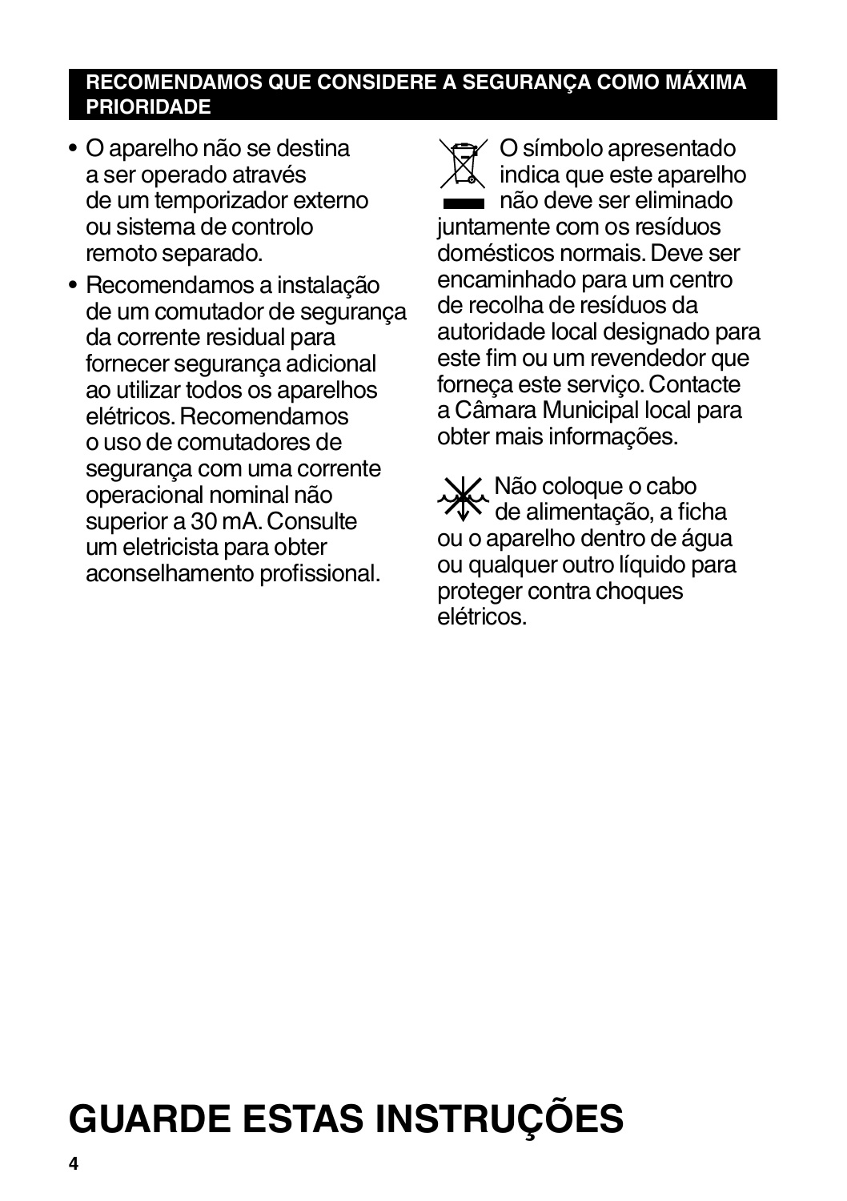## **RECOMENDAMOS QUE CONSIDERE A SEGURANÇA COMO MÁXIMA PRIORIDADE**

- O aparelho não se destina a ser operado através de um temporizador externo ou sistema de controlo remoto separado.
- Recomendamos a instalação de um comutador de segurança da corrente residual para fornecer segurança adicional ao utilizar todos os aparelhos elétricos. Recomendamos o uso de comutadores de segurança com uma corrente operacional nominal não superior a 30 mA. Consulte um eletricista para obter aconselhamento profissional.
- 

O símbolo apresentado indica que este aparelho não deve ser eliminado juntamente com os resíduos domésticos normais. Deve ser encaminhado para um centro de recolha de resíduos da autoridade local designado para este fim ou um revendedor que forneça este serviço. Contacte a Câmara Municipal local para obter mais informações.

Não coloque o cabo de alimentação, a ficha ou o aparelho dentro de água ou qualquer outro líquido para proteger contra choques elétricos.

# **GUARDE ESTAS INSTRUÇÕES**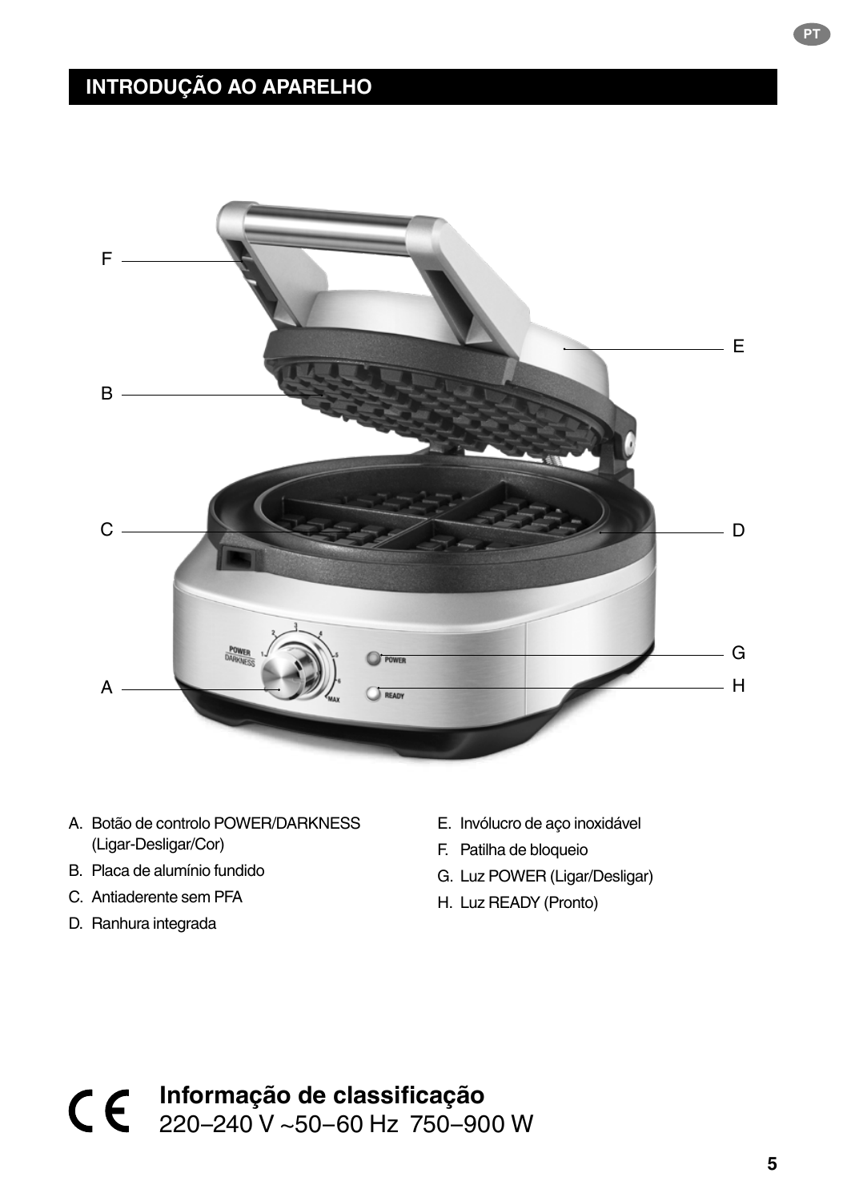## **INTRODUÇÃO AO APARELHO**



- A. Botão de controlo POWER/DARKNESS (Ligar-Desligar/Cor)
- B. Placa de alumínio fundido
- C. Antiaderente sem PFA
- D. Ranhura integrada
- E. Invólucro de aço inoxidável
- F. Patilha de bloqueio
- G. Luz POWER (Ligar/Desligar)
- H. Luz READY (Pronto)

**Informação de classificação** 220–240 V ~50–60 Hz 750–900 W **PT**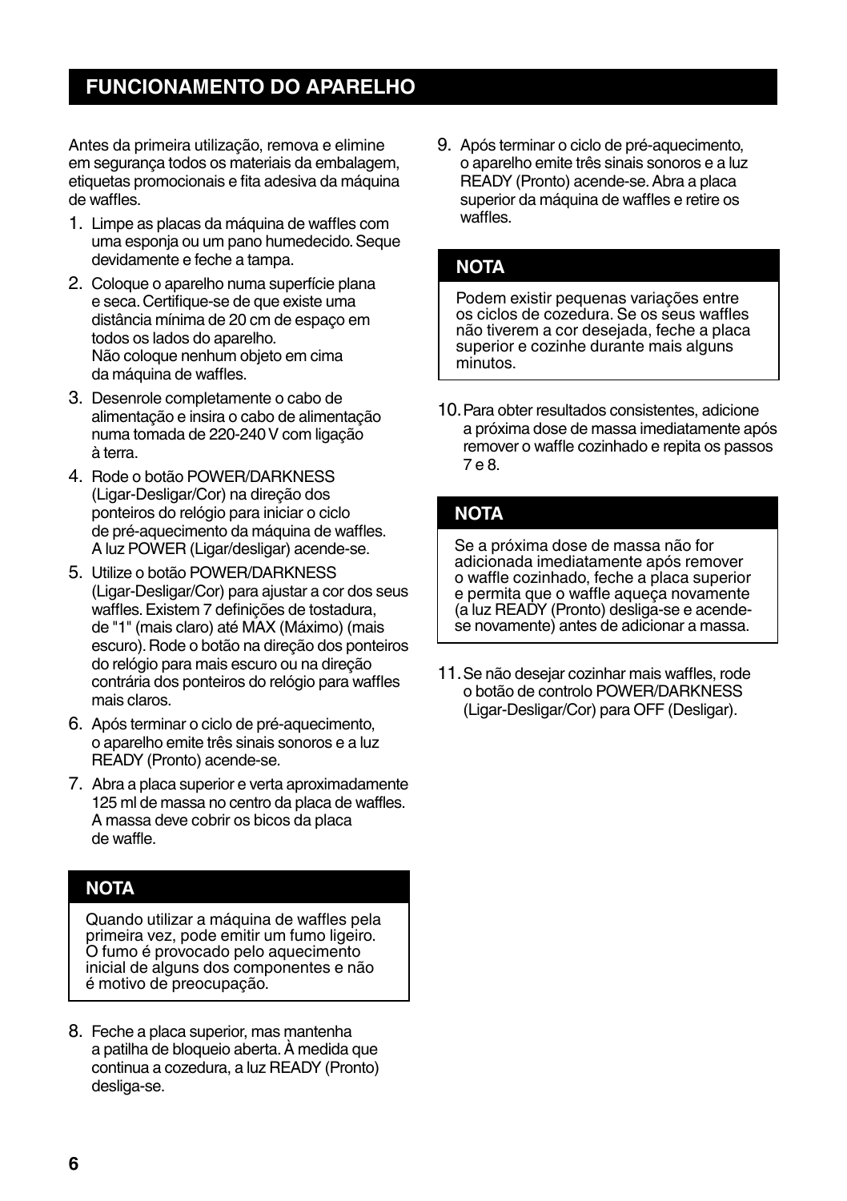## **FUNCIONAMENTO DO APARELHO**

Antes da primeira utilização, remova e elimine em segurança todos os materiais da embalagem, etiquetas promocionais e fita adesiva da máquina de waffles.

- 1. Limpe as placas da máquina de waffles com uma esponja ou um pano humedecido. Seque devidamente e feche a tampa.
- 2. Coloque o aparelho numa superfície plana e seca. Certifique-se de que existe uma distância mínima de 20 cm de espaço em todos os lados do aparelho. Não coloque nenhum objeto em cima da máquina de waffles.
- 3. Desenrole completamente o cabo de alimentação e insira o cabo de alimentação numa tomada de 220-240 V com ligação à terra.
- 4. Rode o botão POWER/DARKNESS (Ligar-Desligar/Cor) na direção dos ponteiros do relógio para iniciar o ciclo de pré-aquecimento da máquina de waffles. A luz POWER (Ligar/desligar) acende-se.
- 5. Utilize o botão POWER/DARKNESS (Ligar-Desligar/Cor) para ajustar a cor dos seus waffles. Existem 7 definições de tostadura, de "1" (mais claro) até MAX (Máximo) (mais escuro). Rode o botão na direção dos ponteiros do relógio para mais escuro ou na direção contrária dos ponteiros do relógio para waffles mais claros.
- 6. Após terminar o ciclo de pré-aquecimento, o aparelho emite três sinais sonoros e a luz READY (Pronto) acende-se.
- 7. Abra a placa superior e verta aproximadamente 125 ml de massa no centro da placa de waffles. A massa deve cobrir os bicos da placa de waffle.

### **NOTA**

Quando utilizar a máquina de waffles pela primeira vez, pode emitir um fumo ligeiro. O fumo é provocado pelo aquecimento inicial de alguns dos componentes e não é motivo de preocupação.

8. Feche a placa superior, mas mantenha a patilha de bloqueio aberta. À medida que continua a cozedura, a luz READY (Pronto) desliga-se.

9. Após terminar o ciclo de pré-aquecimento, o aparelho emite três sinais sonoros e a luz READY (Pronto) acende-se. Abra a placa superior da máquina de waffles e retire os waffles.

### **NOTA**

Podem existir pequenas variações entre os ciclos de cozedura. Se os seus waffles não tiverem a cor desejada, feche a placa superior e cozinhe durante mais alguns minutos.

10.Para obter resultados consistentes, adicione a próxima dose de massa imediatamente após remover o waffle cozinhado e repita os passos 7 e 8.

## **NOTA**

Se a próxima dose de massa não for adicionada imediatamente após remover o waffle cozinhado, feche a placa superior e permita que o waffle aqueça novamente (a luz READY (Pronto) desliga-se e acendese novamente) antes de adicionar a massa.

11.Se não desejar cozinhar mais waffles, rode o botão de controlo POWER/DARKNESS (Ligar-Desligar/Cor) para OFF (Desligar).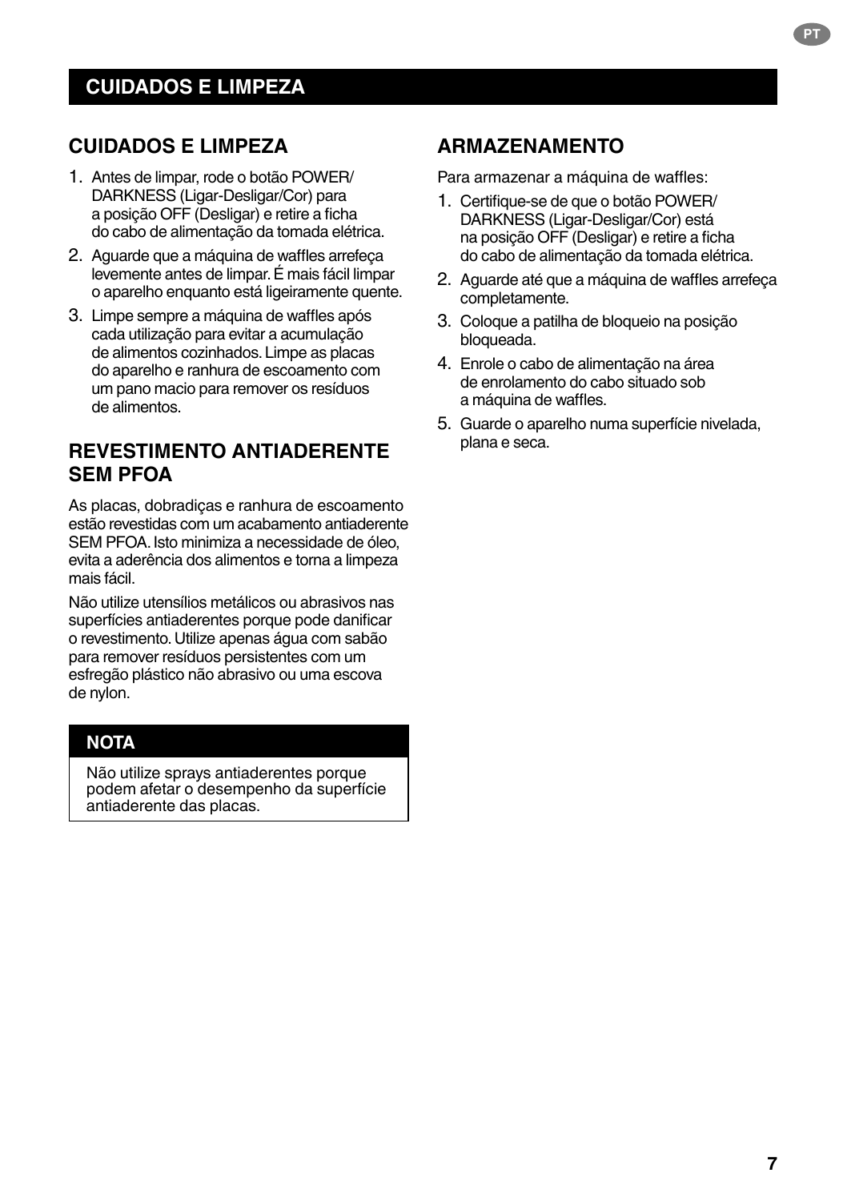## **CUIDADOS E LIMPEZA**

- 1. Antes de limpar, rode o botão POWER/ DARKNESS (Ligar-Desligar/Cor) para a posição OFF (Desligar) e retire a ficha do cabo de alimentação da tomada elétrica.
- 2. Aguarde que a máquina de waffles arrefeça levemente antes de limpar. É mais fácil limpar o aparelho enquanto está ligeiramente quente.
- 3. Limpe sempre a máquina de waffles após cada utilização para evitar a acumulação de alimentos cozinhados. Limpe as placas do aparelho e ranhura de escoamento com um pano macio para remover os resíduos de alimentos.

## **REVESTIMENTO ANTIADERENTE SEM PFOA**

As placas, dobradiças e ranhura de escoamento estão revestidas com um acabamento antiaderente SEM PFOA. Isto minimiza a necessidade de óleo, evita a aderência dos alimentos e torna a limpeza mais fácil.

Não utilize utensílios metálicos ou abrasivos nas superfícies antiaderentes porque pode danificar o revestimento. Utilize apenas água com sabão para remover resíduos persistentes com um esfregão plástico não abrasivo ou uma escova de nylon.

## **NOTA**

Não utilize sprays antiaderentes porque podem afetar o desempenho da superfície antiaderente das placas.

## **ARMAZENAMENTO**

Para armazenar a máquina de waffles:

- 1. Certifique-se de que o botão POWER/ DARKNESS (Ligar-Desligar/Cor) está na posição OFF (Desligar) e retire a ficha do cabo de alimentação da tomada elétrica.
- 2. Aguarde até que a máquina de waffles arrefeça completamente.
- 3. Coloque a patilha de bloqueio na posição bloqueada.
- 4. Enrole o cabo de alimentação na área de enrolamento do cabo situado sob a máquina de waffles.
- 5. Guarde o aparelho numa superfície nivelada, plana e seca.

**PT**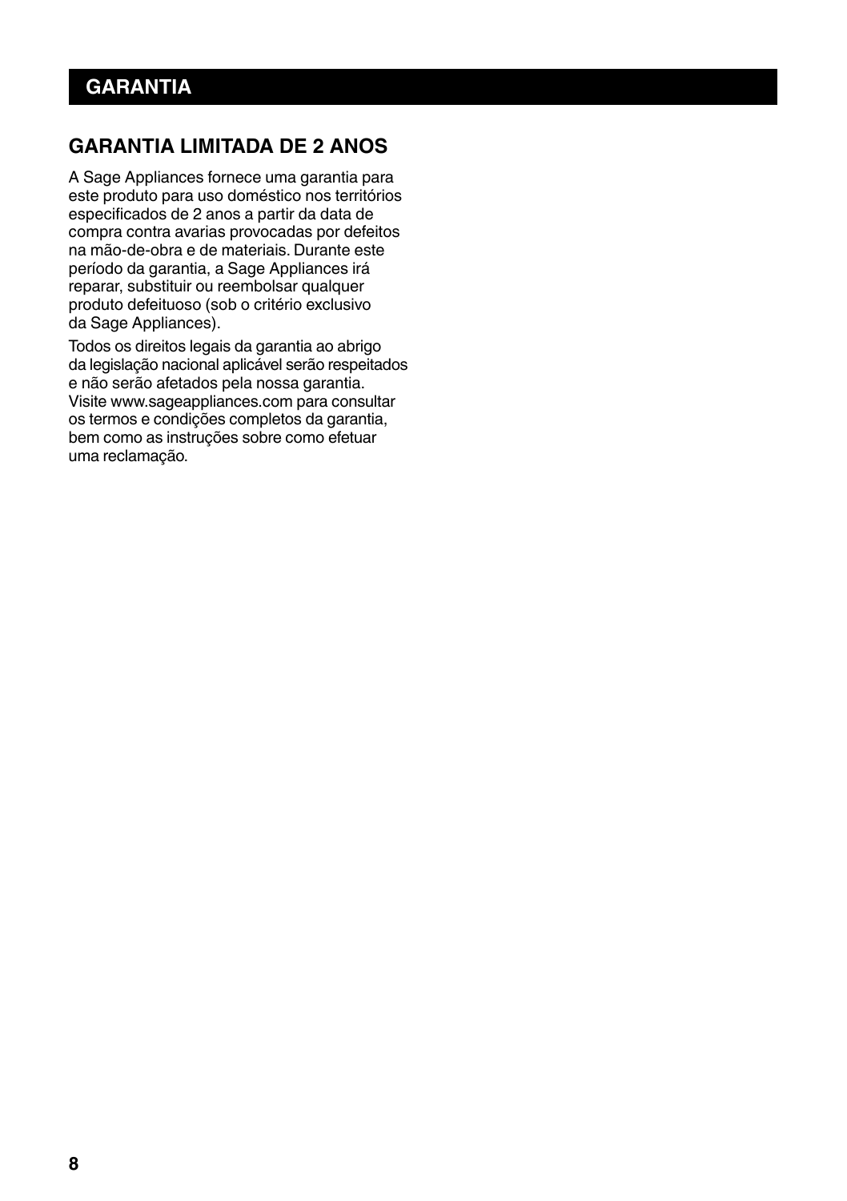## **GARANTIA LIMITADA DE 2 ANOS**

A Sage Appliances fornece uma garantia para este produto para uso doméstico nos territórios especificados de 2 anos a partir da data de compra contra avarias provocadas por defeitos na mão-de-obra e de materiais. Durante este período da garantia, a Sage Appliances irá reparar, substituir ou reembolsar qualquer produto defeituoso (sob o critério exclusivo da Sage Appliances).

Todos os direitos legais da garantia ao abrigo da legislação nacional aplicável serão respeitados e não serão afetados pela nossa garantia. Visite www.sageappliances.com para consultar os termos e condições completos da garantia, bem como as instruções sobre como efetuar uma reclamação.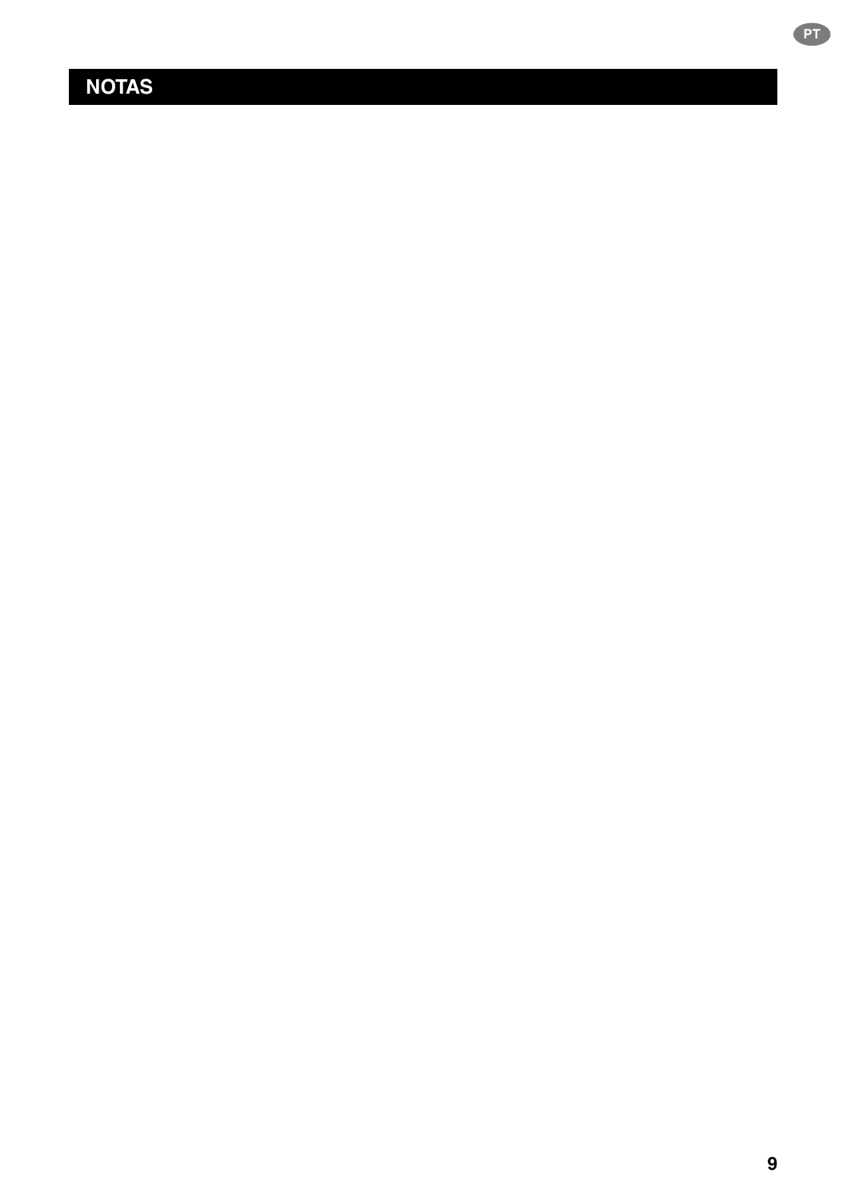## **NOTAS**